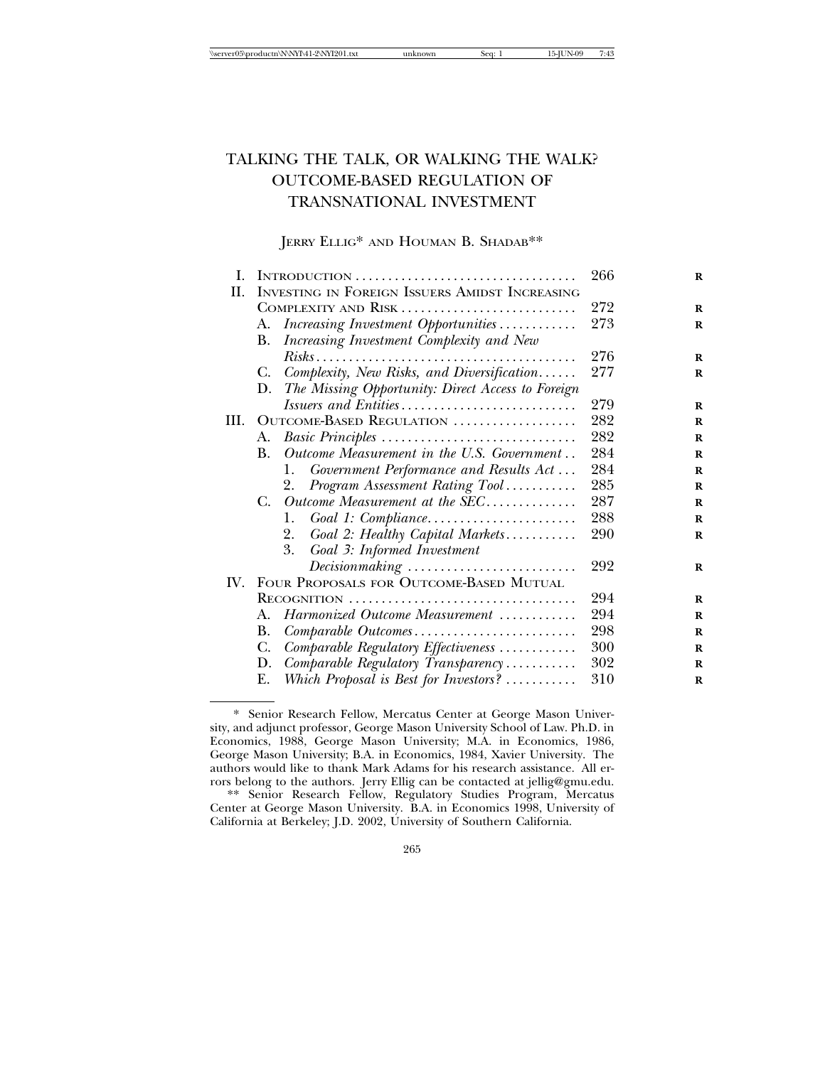# TALKING THE TALK, OR WALKING THE WALK? OUTCOME-BASED REGULATION OF TRANSNATIONAL INVESTMENT

## JERRY ELLIG\* AND HOUMAN B. SHADAB\*\*

| I.  |                                                                         | 266 |
|-----|-------------------------------------------------------------------------|-----|
| П.  | <b>INVESTING IN FOREIGN ISSUERS AMIDST INCREASING</b>                   |     |
|     | COMPLEXITY AND RISK                                                     | 272 |
|     | Increasing Investment Opportunities<br>А.                               | 273 |
|     | Increasing Investment Complexity and New<br>В.                          |     |
|     |                                                                         | 276 |
|     | Complexity, New Risks, and Diversification<br>C.                        | 277 |
|     | The Missing Opportunity: Direct Access to Foreign<br>D.                 |     |
|     | Issuers and Entities                                                    | 279 |
| HI. | OUTCOME-BASED REGULATION                                                | 282 |
|     | Basic Principles<br>А.                                                  | 282 |
|     | Outcome Measurement in the U.S. Government<br>B.                        | 284 |
|     | Government Performance and Results Act<br>1.                            | 284 |
|     | Program Assessment Rating Tool<br>2.                                    | 285 |
|     | Outcome Measurement at the SEC<br>$C_{\cdot}$                           | 287 |
|     | Goal 1: Compliance<br>1.                                                | 288 |
|     | Goal 2: Healthy Capital Markets<br>2.                                   | 290 |
|     | Goal 3: Informed Investment<br>3.                                       |     |
|     | $Decision making \dots \dots \dots \dots \dots \dots \dots \dots \dots$ | 292 |
| IV. | FOUR PROPOSALS FOR OUTCOME-BASED MUTUAL                                 |     |
|     | RECOGNITION                                                             | 294 |
|     | Harmonized Outcome Measurement<br>А.                                    | 294 |
|     | В.<br>Comparable Outcomes                                               | 298 |
|     | C.<br>Comparable Regulatory Effectiveness                               | 300 |
|     | D.<br>Comparable Regulatory Transparency                                | 302 |
|     | Which Proposal is Best for Investors?<br>Е.                             | 310 |

<sup>\*</sup> Senior Research Fellow, Mercatus Center at George Mason University, and adjunct professor, George Mason University School of Law. Ph.D. in Economics, 1988, George Mason University; M.A. in Economics, 1986, George Mason University; B.A. in Economics, 1984, Xavier University. The authors would like to thank Mark Adams for his research assistance. All errors belong to the authors. Jerry Ellig can be contacted at jellig@gmu.edu.

<sup>\*\*</sup> Senior Research Fellow, Regulatory Studies Program, Mercatus Center at George Mason University. B.A. in Economics 1998, University of California at Berkeley; J.D. 2002, University of Southern California.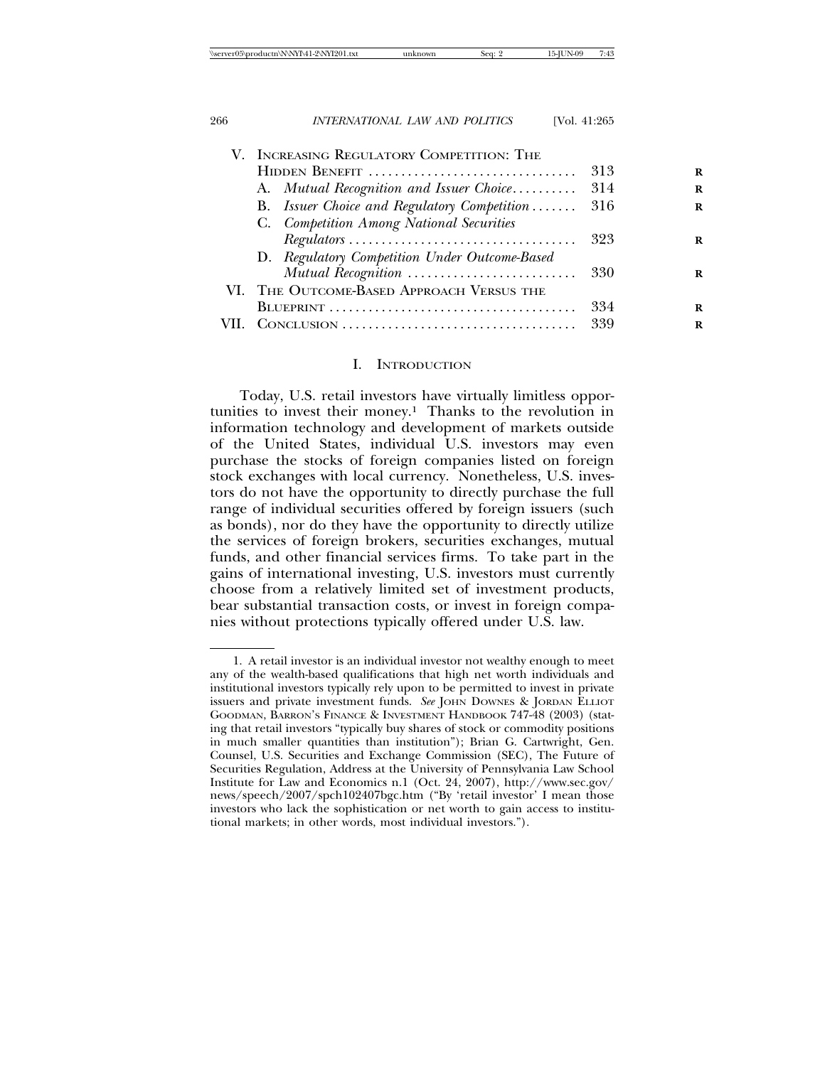| INCREASING REGULATORY COMPETITION: THE                                         |     |
|--------------------------------------------------------------------------------|-----|
| HIDDEN BENEFIT                                                                 | 313 |
| A. Mutual Recognition and Issuer Choice 314                                    |     |
| B. Issuer Choice and Regulatory Competition                                    | 316 |
| C. Competition Among National Securities                                       |     |
| $Regulators \dots \dots \dots \dots \dots \dots \dots \dots \dots \dots \dots$ | 323 |
| D. Regulatory Competition Under Outcome-Based                                  |     |
| Mutual Recognition                                                             | 330 |
| VI. THE OUTCOME-BASED APPROACH VERSUS THE                                      |     |
|                                                                                | 334 |
|                                                                                | 339 |
|                                                                                |     |

#### I. INTRODUCTION

Today, U.S. retail investors have virtually limitless opportunities to invest their money.1 Thanks to the revolution in information technology and development of markets outside of the United States, individual U.S. investors may even purchase the stocks of foreign companies listed on foreign stock exchanges with local currency. Nonetheless, U.S. investors do not have the opportunity to directly purchase the full range of individual securities offered by foreign issuers (such as bonds), nor do they have the opportunity to directly utilize the services of foreign brokers, securities exchanges, mutual funds, and other financial services firms. To take part in the gains of international investing, U.S. investors must currently choose from a relatively limited set of investment products, bear substantial transaction costs, or invest in foreign companies without protections typically offered under U.S. law.

<sup>1.</sup> A retail investor is an individual investor not wealthy enough to meet any of the wealth-based qualifications that high net worth individuals and institutional investors typically rely upon to be permitted to invest in private issuers and private investment funds. *See* JOHN DOWNES & JORDAN ELLIOT GOODMAN, BARRON'S FINANCE & INVESTMENT HANDBOOK 747-48 (2003) (stating that retail investors "typically buy shares of stock or commodity positions in much smaller quantities than institution"); Brian G. Cartwright, Gen. Counsel, U.S. Securities and Exchange Commission (SEC), The Future of Securities Regulation, Address at the University of Pennsylvania Law School Institute for Law and Economics n.1 (Oct. 24, 2007), http://www.sec.gov/ news/speech/2007/spch102407bgc.htm ("By 'retail investor' I mean those investors who lack the sophistication or net worth to gain access to institutional markets; in other words, most individual investors.").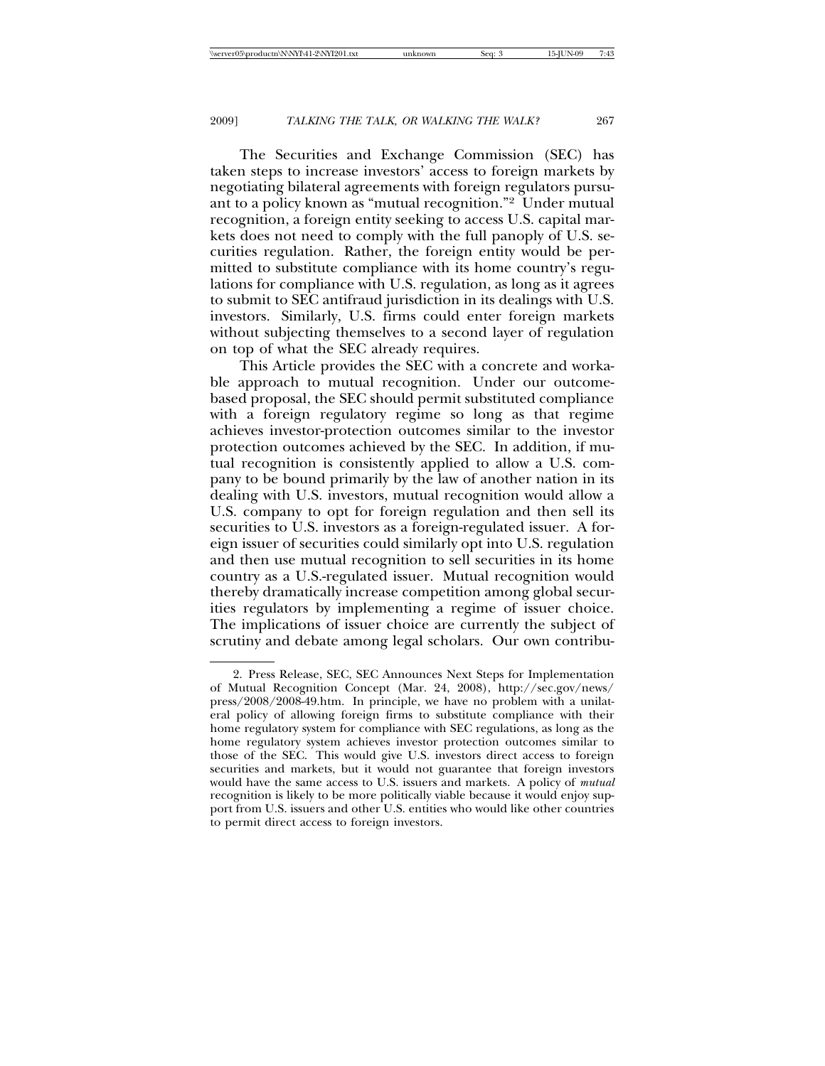The Securities and Exchange Commission (SEC) has taken steps to increase investors' access to foreign markets by negotiating bilateral agreements with foreign regulators pursuant to a policy known as "mutual recognition."2 Under mutual recognition, a foreign entity seeking to access U.S. capital markets does not need to comply with the full panoply of U.S. securities regulation. Rather, the foreign entity would be permitted to substitute compliance with its home country's regulations for compliance with U.S. regulation, as long as it agrees to submit to SEC antifraud jurisdiction in its dealings with U.S. investors. Similarly, U.S. firms could enter foreign markets without subjecting themselves to a second layer of regulation on top of what the SEC already requires.

This Article provides the SEC with a concrete and workable approach to mutual recognition. Under our outcomebased proposal, the SEC should permit substituted compliance with a foreign regulatory regime so long as that regime achieves investor-protection outcomes similar to the investor protection outcomes achieved by the SEC. In addition, if mutual recognition is consistently applied to allow a U.S. company to be bound primarily by the law of another nation in its dealing with U.S. investors, mutual recognition would allow a U.S. company to opt for foreign regulation and then sell its securities to U.S. investors as a foreign-regulated issuer. A foreign issuer of securities could similarly opt into U.S. regulation and then use mutual recognition to sell securities in its home country as a U.S.-regulated issuer. Mutual recognition would thereby dramatically increase competition among global securities regulators by implementing a regime of issuer choice. The implications of issuer choice are currently the subject of scrutiny and debate among legal scholars. Our own contribu-

<sup>2.</sup> Press Release, SEC, SEC Announces Next Steps for Implementation of Mutual Recognition Concept (Mar. 24, 2008), http://sec.gov/news/ press/2008/2008-49.htm. In principle, we have no problem with a unilateral policy of allowing foreign firms to substitute compliance with their home regulatory system for compliance with SEC regulations, as long as the home regulatory system achieves investor protection outcomes similar to those of the SEC. This would give U.S. investors direct access to foreign securities and markets, but it would not guarantee that foreign investors would have the same access to U.S. issuers and markets. A policy of *mutual* recognition is likely to be more politically viable because it would enjoy support from U.S. issuers and other U.S. entities who would like other countries to permit direct access to foreign investors.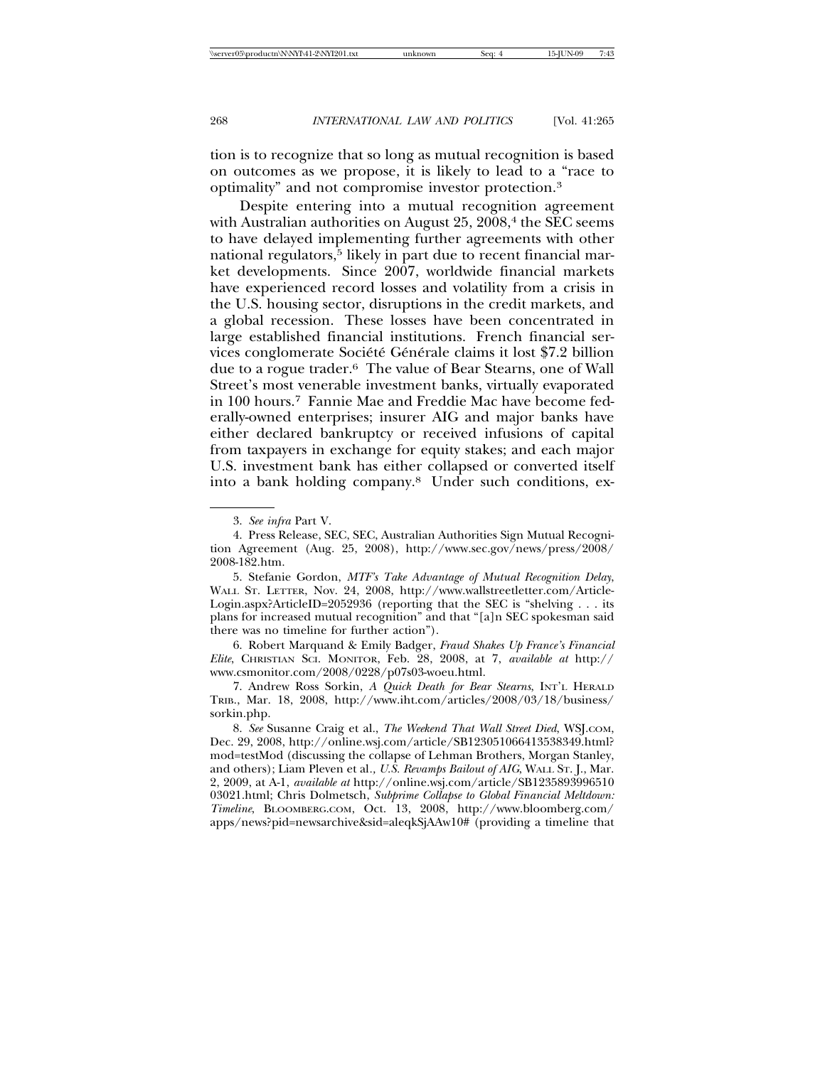tion is to recognize that so long as mutual recognition is based on outcomes as we propose, it is likely to lead to a "race to optimality" and not compromise investor protection.3

Despite entering into a mutual recognition agreement with Australian authorities on August  $25, 2008$ ,<sup>4</sup> the SEC seems to have delayed implementing further agreements with other national regulators,<sup>5</sup> likely in part due to recent financial market developments. Since 2007, worldwide financial markets have experienced record losses and volatility from a crisis in the U.S. housing sector, disruptions in the credit markets, and a global recession. These losses have been concentrated in large established financial institutions. French financial services conglomerate Société Générale claims it lost \$7.2 billion due to a rogue trader.6 The value of Bear Stearns, one of Wall Street's most venerable investment banks, virtually evaporated in 100 hours.7 Fannie Mae and Freddie Mac have become federally-owned enterprises; insurer AIG and major banks have either declared bankruptcy or received infusions of capital from taxpayers in exchange for equity stakes; and each major U.S. investment bank has either collapsed or converted itself into a bank holding company.8 Under such conditions, ex-

6. Robert Marquand & Emily Badger, *Fraud Shakes Up France's Financial Elite*, CHRISTIAN SCI. MONITOR, Feb. 28, 2008, at 7, *available at* http:// www.csmonitor.com/2008/0228/p07s03-woeu.html.

7. Andrew Ross Sorkin, *A Quick Death for Bear Stearns*, INT'L HERALD TRIB., Mar. 18, 2008, http://www.iht.com/articles/2008/03/18/business/ sorkin.php.

8. *See* Susanne Craig et al., *The Weekend That Wall Street Died*, WSJ.COM, Dec. 29, 2008, http://online.wsj.com/article/SB123051066413538349.html? mod=testMod (discussing the collapse of Lehman Brothers, Morgan Stanley, and others); Liam Pleven et al*., U.S. Revamps Bailout of AIG*, WALL ST. J., Mar. 2, 2009, at A-1, *available at* http://online.wsj.com/article/SB1235893996510 03021.html; Chris Dolmetsch, *Subprime Collapse to Global Financial Meltdown: Timeline*, BLOOMBERG.COM, Oct. 13, 2008, http://www.bloomberg.com/ apps/news?pid=newsarchive&sid=aleqkSjAAw10# (providing a timeline that

<sup>3.</sup> *See infra* Part V.

<sup>4.</sup> Press Release, SEC, SEC, Australian Authorities Sign Mutual Recognition Agreement (Aug. 25, 2008), http://www.sec.gov/news/press/2008/ 2008-182.htm.

<sup>5.</sup> Stefanie Gordon, *MTF's Take Advantage of Mutual Recognition Delay*, WALL ST. LETTER, Nov. 24, 2008, http://www.wallstreetletter.com/Article-Login.aspx?ArticleID=2052936 (reporting that the SEC is "shelving . . . its plans for increased mutual recognition" and that "[a]n SEC spokesman said there was no timeline for further action").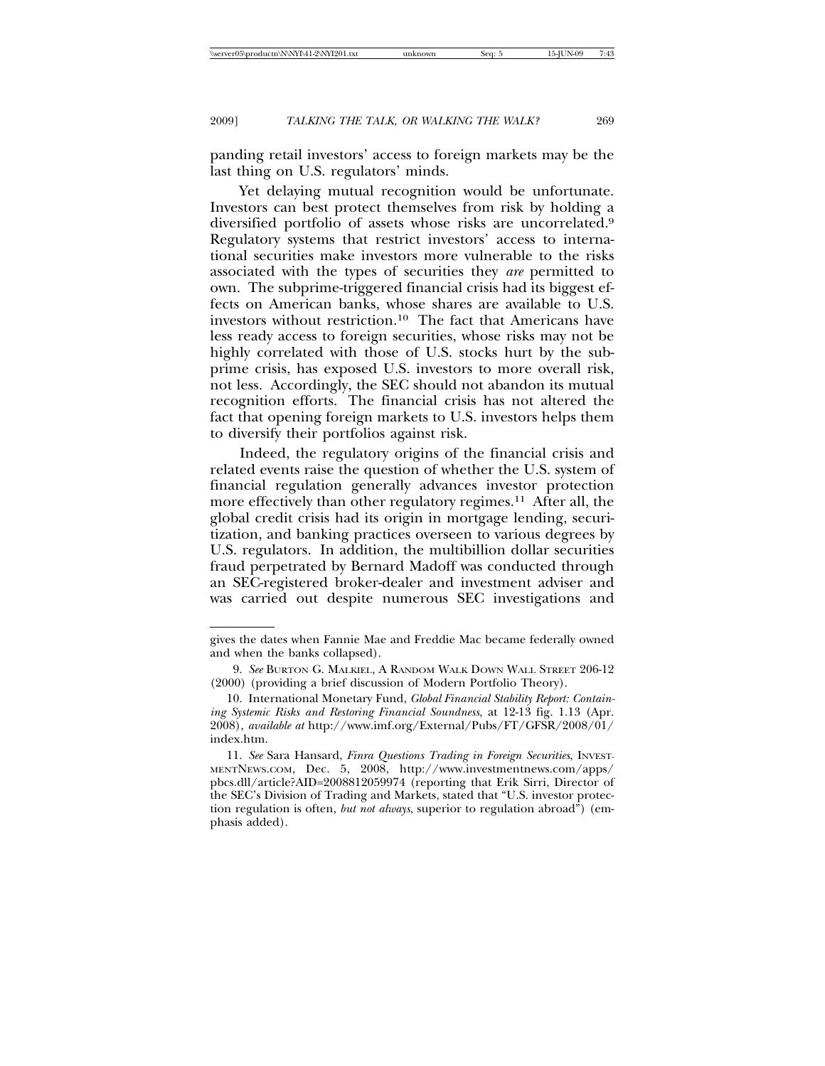panding retail investors' access to foreign markets may be the last thing on U.S. regulators' minds.

Yet delaying mutual recognition would be unfortunate. Investors can best protect themselves from risk by holding a diversified portfolio of assets whose risks are uncorrelated.9 Regulatory systems that restrict investors' access to international securities make investors more vulnerable to the risks associated with the types of securities they *are* permitted to own. The subprime-triggered financial crisis had its biggest effects on American banks, whose shares are available to U.S. investors without restriction.10 The fact that Americans have less ready access to foreign securities, whose risks may not be highly correlated with those of U.S. stocks hurt by the subprime crisis, has exposed U.S. investors to more overall risk, not less. Accordingly, the SEC should not abandon its mutual recognition efforts. The financial crisis has not altered the fact that opening foreign markets to U.S. investors helps them to diversify their portfolios against risk.

Indeed, the regulatory origins of the financial crisis and related events raise the question of whether the U.S. system of financial regulation generally advances investor protection more effectively than other regulatory regimes.11 After all, the global credit crisis had its origin in mortgage lending, securitization, and banking practices overseen to various degrees by U.S. regulators. In addition, the multibillion dollar securities fraud perpetrated by Bernard Madoff was conducted through an SEC-registered broker-dealer and investment adviser and was carried out despite numerous SEC investigations and

gives the dates when Fannie Mae and Freddie Mac became federally owned and when the banks collapsed).

<sup>9.</sup> *See* BURTON G. MALKIEL, A RANDOM WALK DOWN WALL STREET 206-12 (2000) (providing a brief discussion of Modern Portfolio Theory).

<sup>10.</sup> International Monetary Fund, *Global Financial Stability Report: Containing Systemic Risks and Restoring Financial Soundness*, at 12-13 fig. 1.13 (Apr. 2008), *available at* http://www.imf.org/External/Pubs/FT/GFSR/2008/01/ index.htm.

<sup>11.</sup> *See* Sara Hansard, *Finra Questions Trading in Foreign Securities*, INVEST-MENTNEWS.COM, Dec. 5, 2008, http://www.investmentnews.com/apps/ pbcs.dll/article?AID=2008812059974 (reporting that Erik Sirri, Director of the SEC's Division of Trading and Markets, stated that "U.S. investor protection regulation is often, *but not always*, superior to regulation abroad") (emphasis added).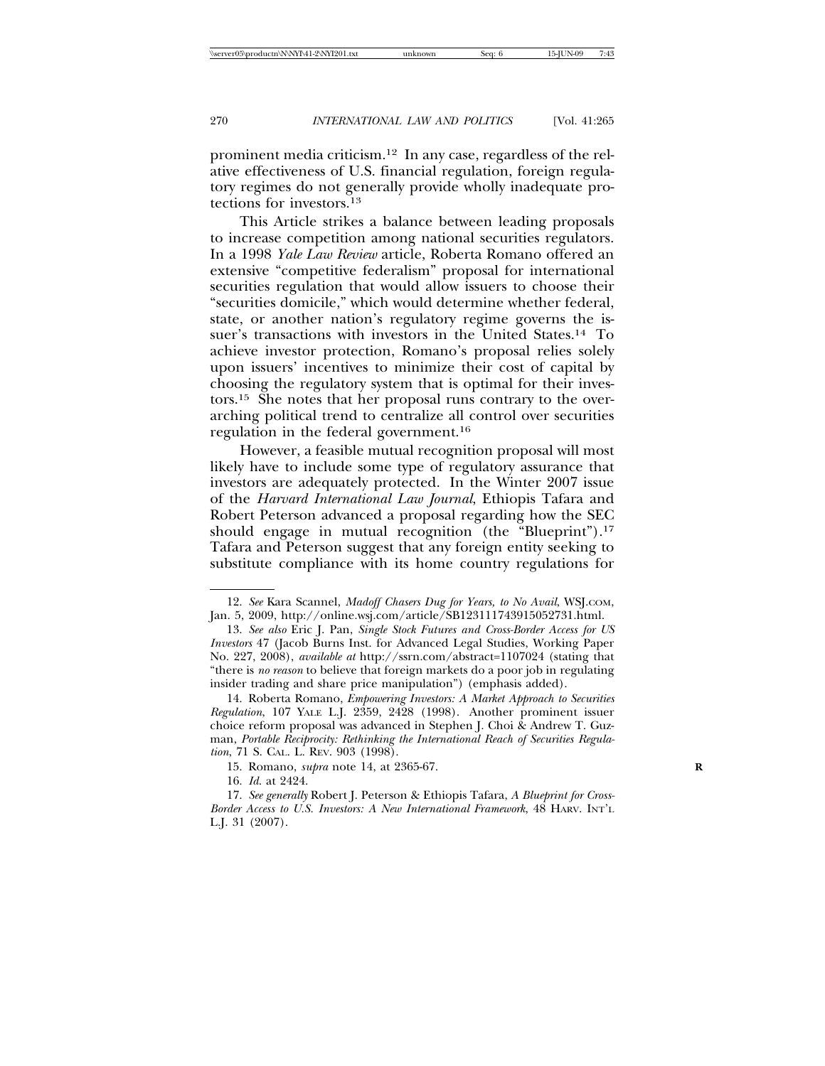prominent media criticism.12 In any case, regardless of the relative effectiveness of U.S. financial regulation, foreign regulatory regimes do not generally provide wholly inadequate protections for investors.13

This Article strikes a balance between leading proposals to increase competition among national securities regulators. In a 1998 *Yale Law Review* article, Roberta Romano offered an extensive "competitive federalism" proposal for international securities regulation that would allow issuers to choose their "securities domicile," which would determine whether federal, state, or another nation's regulatory regime governs the issuer's transactions with investors in the United States.<sup>14</sup> To achieve investor protection, Romano's proposal relies solely upon issuers' incentives to minimize their cost of capital by choosing the regulatory system that is optimal for their investors.15 She notes that her proposal runs contrary to the overarching political trend to centralize all control over securities regulation in the federal government.16

However, a feasible mutual recognition proposal will most likely have to include some type of regulatory assurance that investors are adequately protected. In the Winter 2007 issue of the *Harvard International Law Journal*, Ethiopis Tafara and Robert Peterson advanced a proposal regarding how the SEC should engage in mutual recognition (the "Blueprint").<sup>17</sup> Tafara and Peterson suggest that any foreign entity seeking to substitute compliance with its home country regulations for

<sup>12.</sup> *See* Kara Scannel, *Madoff Chasers Dug for Years, to No Avail*, WSJ.COM, Jan. 5, 2009, http://online.wsj.com/article/SB123111743915052731.html.

<sup>13.</sup> *See also* Eric J. Pan, *Single Stock Futures and Cross-Border Access for US Investors* 47 (Jacob Burns Inst. for Advanced Legal Studies, Working Paper No. 227, 2008), *available at* http://ssrn.com/abstract=1107024 (stating that "there is *no reason* to believe that foreign markets do a poor job in regulating insider trading and share price manipulation") (emphasis added).

<sup>14.</sup> Roberta Romano, *Empowering Investors: A Market Approach to Securities Regulation*, 107 YALE L.J. 2359, 2428 (1998). Another prominent issuer choice reform proposal was advanced in Stephen J. Choi & Andrew T. Guzman, *Portable Reciprocity: Rethinking the International Reach of Securities Regulation*, 71 S. CAL. L. REV. 903 (1998).

<sup>15.</sup> Romano, *supra* note 14, at 2365-67. **R**

<sup>16.</sup> *Id*. at 2424.

<sup>17.</sup> *See generally* Robert J. Peterson & Ethiopis Tafara, *A Blueprint for Cross-Border Access to U.S. Investors: A New International Framework*, 48 HARV. INT'L L.J. 31 (2007).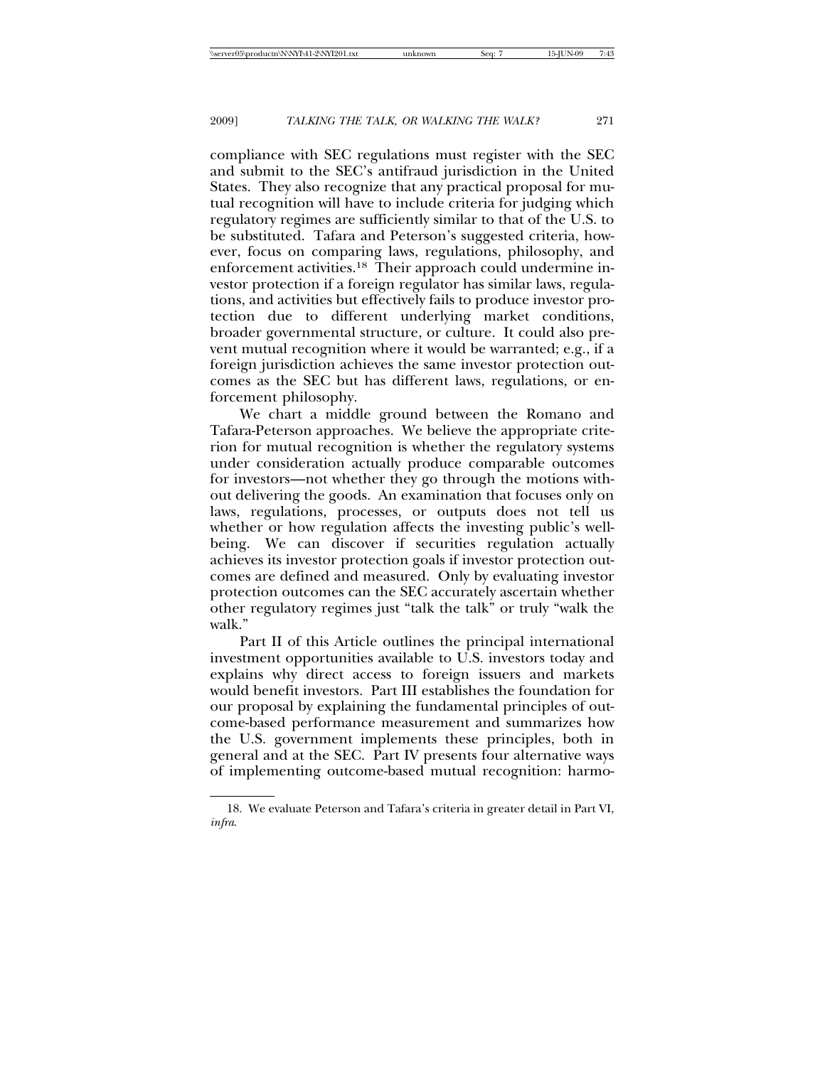compliance with SEC regulations must register with the SEC and submit to the SEC's antifraud jurisdiction in the United States. They also recognize that any practical proposal for mutual recognition will have to include criteria for judging which regulatory regimes are sufficiently similar to that of the U.S. to be substituted. Tafara and Peterson's suggested criteria, however, focus on comparing laws, regulations, philosophy, and enforcement activities.18 Their approach could undermine investor protection if a foreign regulator has similar laws, regulations, and activities but effectively fails to produce investor protection due to different underlying market conditions, broader governmental structure, or culture. It could also prevent mutual recognition where it would be warranted; e.g., if a foreign jurisdiction achieves the same investor protection outcomes as the SEC but has different laws, regulations, or enforcement philosophy.

We chart a middle ground between the Romano and Tafara-Peterson approaches. We believe the appropriate criterion for mutual recognition is whether the regulatory systems under consideration actually produce comparable outcomes for investors—not whether they go through the motions without delivering the goods. An examination that focuses only on laws, regulations, processes, or outputs does not tell us whether or how regulation affects the investing public's wellbeing. We can discover if securities regulation actually achieves its investor protection goals if investor protection outcomes are defined and measured. Only by evaluating investor protection outcomes can the SEC accurately ascertain whether other regulatory regimes just "talk the talk" or truly "walk the walk"

Part II of this Article outlines the principal international investment opportunities available to U.S. investors today and explains why direct access to foreign issuers and markets would benefit investors. Part III establishes the foundation for our proposal by explaining the fundamental principles of outcome-based performance measurement and summarizes how the U.S. government implements these principles, both in general and at the SEC. Part IV presents four alternative ways of implementing outcome-based mutual recognition: harmo-

<sup>18.</sup> We evaluate Peterson and Tafara's criteria in greater detail in Part VI, *infra*.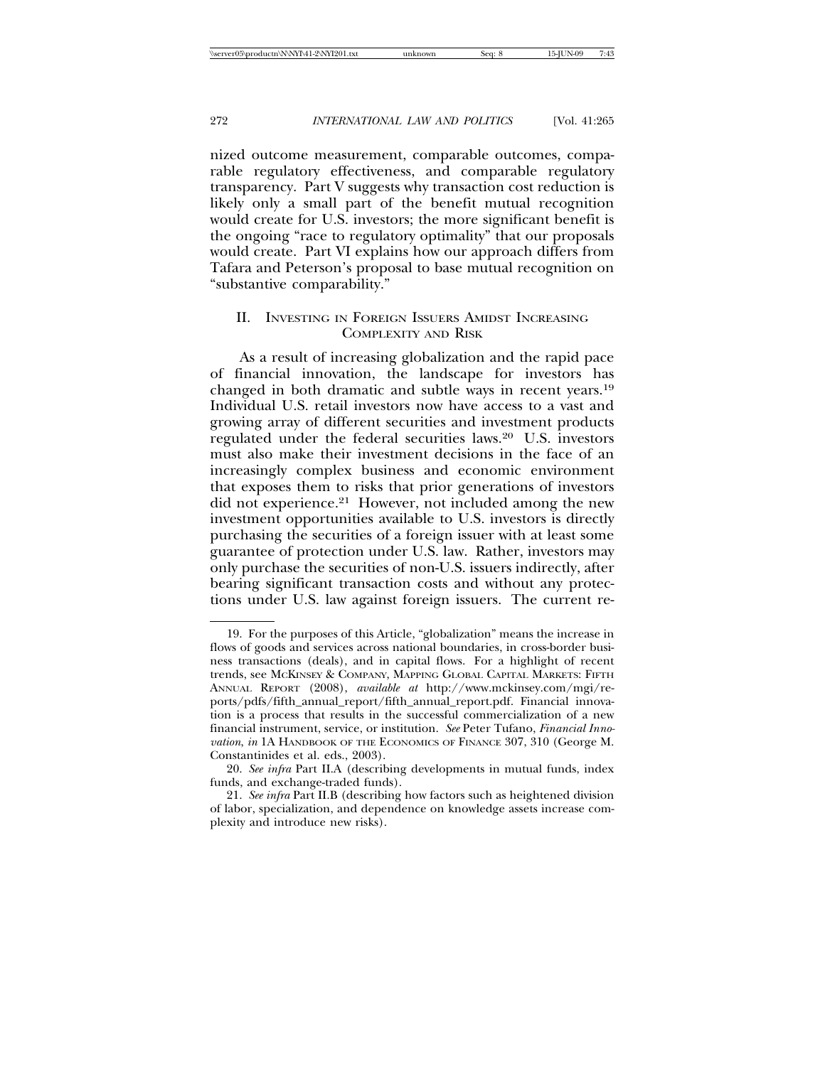nized outcome measurement, comparable outcomes, comparable regulatory effectiveness, and comparable regulatory transparency. Part V suggests why transaction cost reduction is likely only a small part of the benefit mutual recognition would create for U.S. investors; the more significant benefit is the ongoing "race to regulatory optimality" that our proposals would create. Part VI explains how our approach differs from Tafara and Peterson's proposal to base mutual recognition on "substantive comparability."

# II. INVESTING IN FOREIGN ISSUERS AMIDST INCREASING COMPLEXITY AND RISK

As a result of increasing globalization and the rapid pace of financial innovation, the landscape for investors has changed in both dramatic and subtle ways in recent years.19 Individual U.S. retail investors now have access to a vast and growing array of different securities and investment products regulated under the federal securities laws.20 U.S. investors must also make their investment decisions in the face of an increasingly complex business and economic environment that exposes them to risks that prior generations of investors did not experience.<sup>21</sup> However, not included among the new investment opportunities available to U.S. investors is directly purchasing the securities of a foreign issuer with at least some guarantee of protection under U.S. law. Rather, investors may only purchase the securities of non-U.S. issuers indirectly, after bearing significant transaction costs and without any protections under U.S. law against foreign issuers. The current re-

<sup>19.</sup> For the purposes of this Article, "globalization" means the increase in flows of goods and services across national boundaries, in cross-border business transactions (deals), and in capital flows. For a highlight of recent trends, see MCKINSEY & COMPANY, MAPPING GLOBAL CAPITAL MARKETS: FIFTH ANNUAL REPORT (2008), *available at* http://www.mckinsey.com/mgi/reports/pdfs/fifth\_annual\_report/fifth\_annual\_report.pdf. Financial innovation is a process that results in the successful commercialization of a new financial instrument, service, or institution. *See* Peter Tufano, *Financial Innovation*, *in* 1A HANDBOOK OF THE ECONOMICS OF FINANCE 307, 310 (George M. Constantinides et al. eds., 2003).

<sup>20.</sup> *See infra* Part II.A (describing developments in mutual funds, index funds, and exchange-traded funds).

<sup>21.</sup> *See infra* Part II.B (describing how factors such as heightened division of labor, specialization, and dependence on knowledge assets increase complexity and introduce new risks).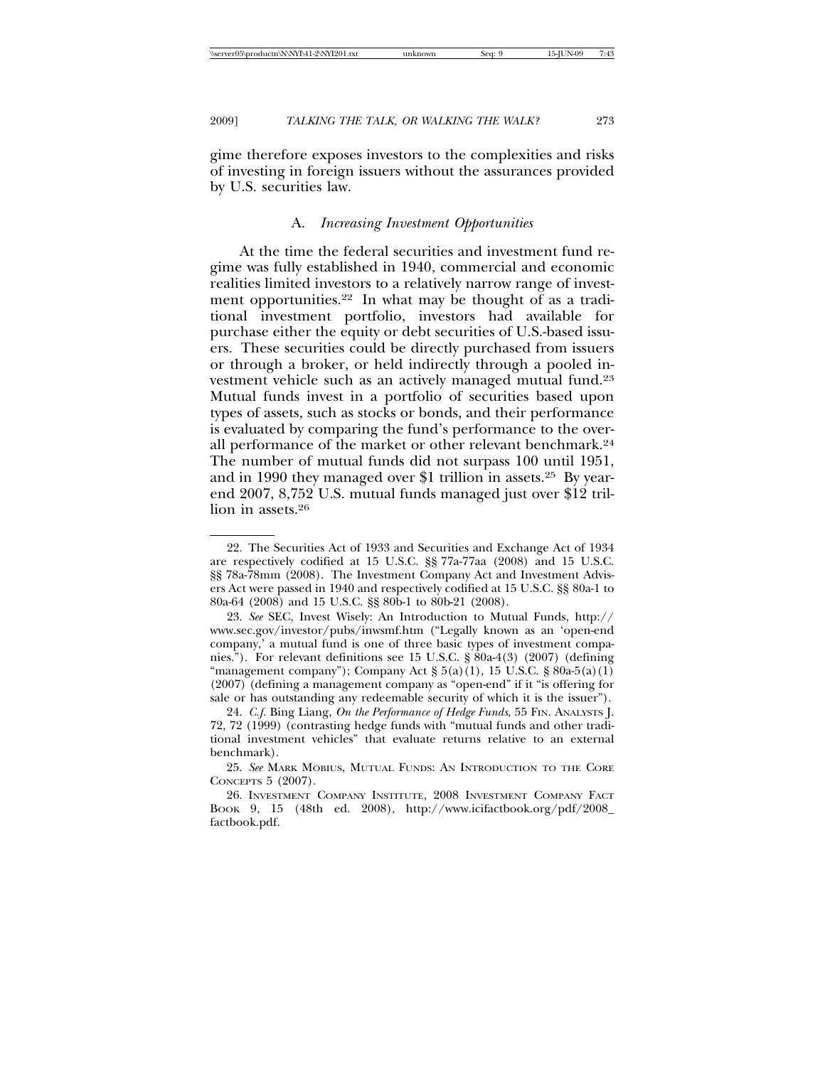gime therefore exposes investors to the complexities and risks of investing in foreign issuers without the assurances provided by U.S. securities law.

# A. *Increasing Investment Opportunities*

At the time the federal securities and investment fund regime was fully established in 1940, commercial and economic realities limited investors to a relatively narrow range of investment opportunities.<sup>22</sup> In what may be thought of as a traditional investment portfolio, investors had available for purchase either the equity or debt securities of U.S.-based issuers. These securities could be directly purchased from issuers or through a broker, or held indirectly through a pooled investment vehicle such as an actively managed mutual fund.23 Mutual funds invest in a portfolio of securities based upon types of assets, such as stocks or bonds, and their performance is evaluated by comparing the fund's performance to the overall performance of the market or other relevant benchmark.24 The number of mutual funds did not surpass 100 until 1951, and in 1990 they managed over \$1 trillion in assets.25 By yearend 2007, 8,752 U.S. mutual funds managed just over \$12 trillion in assets.26

<sup>22.</sup> The Securities Act of 1933 and Securities and Exchange Act of 1934 are respectively codified at 15 U.S.C. §§ 77a-77aa (2008) and 15 U.S.C. §§ 78a-78mm (2008). The Investment Company Act and Investment Advisers Act were passed in 1940 and respectively codified at 15 U.S.C. §§ 80a-1 to 80a-64 (2008) and 15 U.S.C. §§ 80b-1 to 80b-21 (2008).

<sup>23.</sup> *See* SEC, Invest Wisely: An Introduction to Mutual Funds, http:// www.sec.gov/investor/pubs/inwsmf.htm ("Legally known as an 'open-end company,' a mutual fund is one of three basic types of investment companies."). For relevant definitions see 15 U.S.C. § 80a-4(3) (2007) (defining "management company"); Company Act  $\S 5(a)(1)$ , 15 U.S.C.  $\S 80a-5(a)(1)$ (2007) (defining a management company as "open-end" if it "is offering for sale or has outstanding any redeemable security of which it is the issuer").

<sup>24.</sup> *C.f.* Bing Liang, *On the Performance of Hedge Funds*, 55 FIN. ANALYSTS J. 72, 72 (1999) (contrasting hedge funds with "mutual funds and other traditional investment vehicles" that evaluate returns relative to an external benchmark).

<sup>25.</sup> *See* MARK MOBIUS, MUTUAL FUNDS: AN INTRODUCTION TO THE CORE CONCEPTS 5 (2007).

<sup>26.</sup> INVESTMENT COMPANY INSTITUTE, 2008 INVESTMENT COMPANY FACT BOOK 9, 15 (48th ed. 2008), http://www.icifactbook.org/pdf/2008\_ factbook.pdf.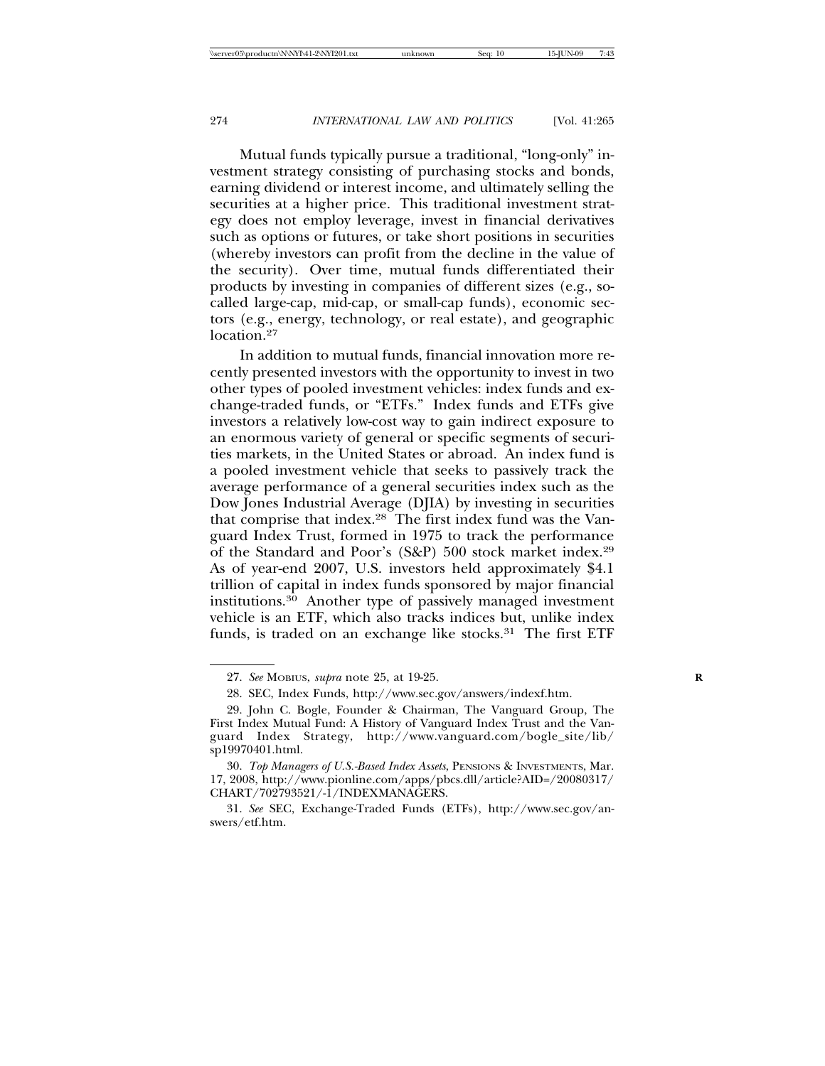Mutual funds typically pursue a traditional, "long-only" investment strategy consisting of purchasing stocks and bonds, earning dividend or interest income, and ultimately selling the securities at a higher price. This traditional investment strategy does not employ leverage, invest in financial derivatives such as options or futures, or take short positions in securities (whereby investors can profit from the decline in the value of the security). Over time, mutual funds differentiated their products by investing in companies of different sizes (e.g., socalled large-cap, mid-cap, or small-cap funds), economic sectors (e.g., energy, technology, or real estate), and geographic location.<sup>27</sup>

In addition to mutual funds, financial innovation more recently presented investors with the opportunity to invest in two other types of pooled investment vehicles: index funds and exchange-traded funds, or "ETFs." Index funds and ETFs give investors a relatively low-cost way to gain indirect exposure to an enormous variety of general or specific segments of securities markets, in the United States or abroad. An index fund is a pooled investment vehicle that seeks to passively track the average performance of a general securities index such as the Dow Jones Industrial Average (DJIA) by investing in securities that comprise that index.28 The first index fund was the Vanguard Index Trust, formed in 1975 to track the performance of the Standard and Poor's (S&P) 500 stock market index.29 As of year-end 2007, U.S. investors held approximately \$4.1 trillion of capital in index funds sponsored by major financial institutions.30 Another type of passively managed investment vehicle is an ETF, which also tracks indices but, unlike index funds, is traded on an exchange like stocks.<sup>31</sup> The first ETF

31. *See* SEC, Exchange-Traded Funds (ETFs), http://www.sec.gov/answers/etf.htm.

<sup>27.</sup> *See* MOBIUS, *supra* note 25, at 19-25. **R**

<sup>28.</sup> SEC, Index Funds, http://www.sec.gov/answers/indexf.htm.

<sup>29.</sup> John C. Bogle, Founder & Chairman, The Vanguard Group, The First Index Mutual Fund: A History of Vanguard Index Trust and the Vanguard Index Strategy, http://www.vanguard.com/bogle\_site/lib/ sp19970401.html.

<sup>30.</sup> *Top Managers of U.S.-Based Index Assets*, PENSIONS & INVESTMENTS, Mar. 17, 2008, http://www.pionline.com/apps/pbcs.dll/article?AID=/20080317/ CHART/702793521/-1/INDEXMANAGERS.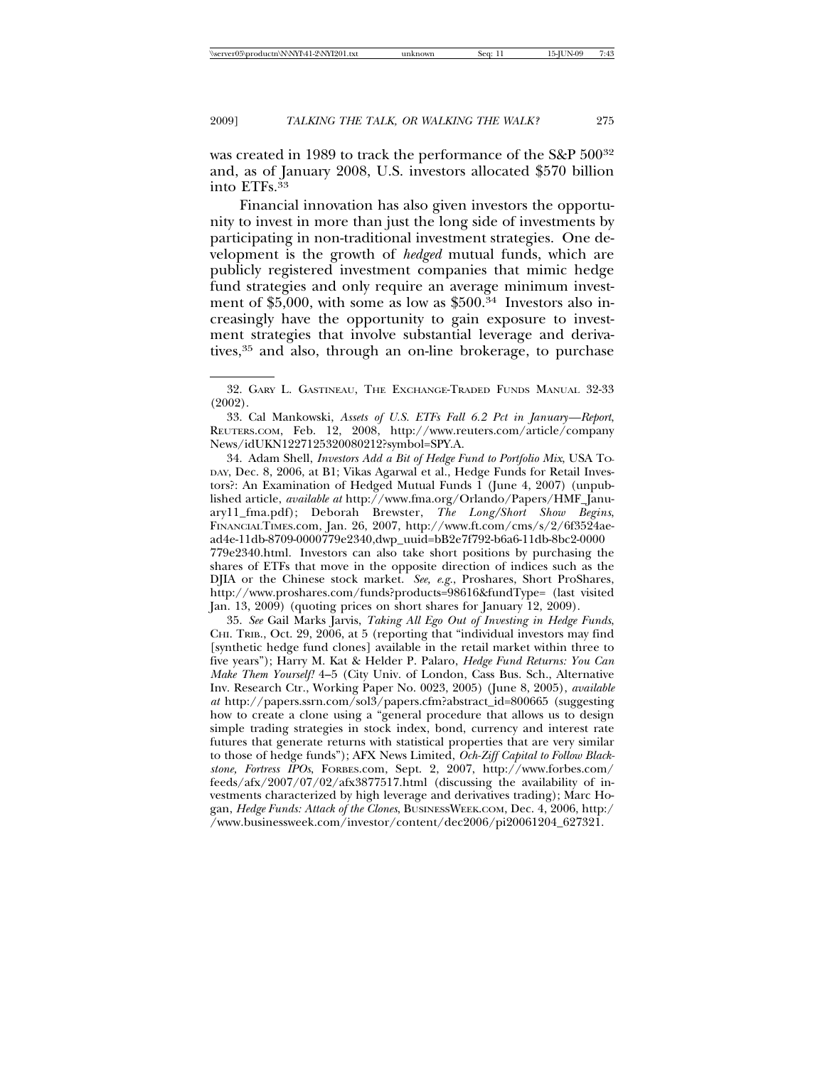was created in 1989 to track the performance of the S&P 50032 and, as of January 2008, U.S. investors allocated \$570 billion into ETFs.<sup>33</sup>

Financial innovation has also given investors the opportunity to invest in more than just the long side of investments by participating in non-traditional investment strategies. One development is the growth of *hedged* mutual funds, which are publicly registered investment companies that mimic hedge fund strategies and only require an average minimum investment of \$5,000, with some as low as  $$500<sup>34</sup>$  Investors also increasingly have the opportunity to gain exposure to investment strategies that involve substantial leverage and derivatives,<sup>35</sup> and also, through an on-line brokerage, to purchase

33. Cal Mankowski, *Assets of U.S. ETFs Fall 6.2 Pct in January—Report*, REUTERS.COM, Feb. 12, 2008, http://www.reuters.com/article/company News/idUKN1227125320080212?symbol=SPY.A.

34. Adam Shell, *Investors Add a Bit of Hedge Fund to Portfolio Mix*, USA TO-DAY, Dec. 8, 2006, at B1; Vikas Agarwal et al., Hedge Funds for Retail Investors?: An Examination of Hedged Mutual Funds 1 (June 4, 2007) (unpublished article, *available at* http://www.fma.org/Orlando/Papers/HMF\_January11\_fma.pdf); Deborah Brewster, *The Long/Short Show Begins*, FINANCIALTIMES.com, Jan. 26, 2007, http://www.ft.com/cms/s/2/6f3524aead4e-11db-8709-0000779e2340,dwp\_uuid=bB2e7f792-b6a6-11db-8bc2-0000 779e2340.html. Investors can also take short positions by purchasing the shares of ETFs that move in the opposite direction of indices such as the DJIA or the Chinese stock market. *See, e.g.*, Proshares, Short ProShares, http://www.proshares.com/funds?products=98616&fundType= (last visited Jan. 13, 2009) (quoting prices on short shares for January 12, 2009).

35. *See* Gail Marks Jarvis, *Taking All Ego Out of Investing in Hedge Funds*, CHI. TRIB., Oct. 29, 2006, at 5 (reporting that "individual investors may find [synthetic hedge fund clones] available in the retail market within three to five years"); Harry M. Kat & Helder P. Palaro, *Hedge Fund Returns: You Can Make Them Yourself!* 4–5 (City Univ. of London, Cass Bus. Sch., Alternative Inv. Research Ctr., Working Paper No. 0023, 2005) (June 8, 2005), *available at* http://papers.ssrn.com/sol3/papers.cfm?abstract\_id=800665 (suggesting how to create a clone using a "general procedure that allows us to design simple trading strategies in stock index, bond, currency and interest rate futures that generate returns with statistical properties that are very similar to those of hedge funds"); AFX News Limited, *Och-Ziff Capital to Follow Blackstone, Fortress IPOs*, FORBES.com, Sept. 2, 2007, http://www.forbes.com/ feeds/afx/2007/07/02/afx3877517.html (discussing the availability of investments characterized by high leverage and derivatives trading); Marc Hogan, *Hedge Funds: Attack of the Clones*, BUSINESSWEEK.COM, Dec. 4, 2006, http:/ /www.businessweek.com/investor/content/dec2006/pi20061204\_627321.

<sup>32.</sup> GARY L. GASTINEAU, THE EXCHANGE-TRADED FUNDS MANUAL 32-33 (2002).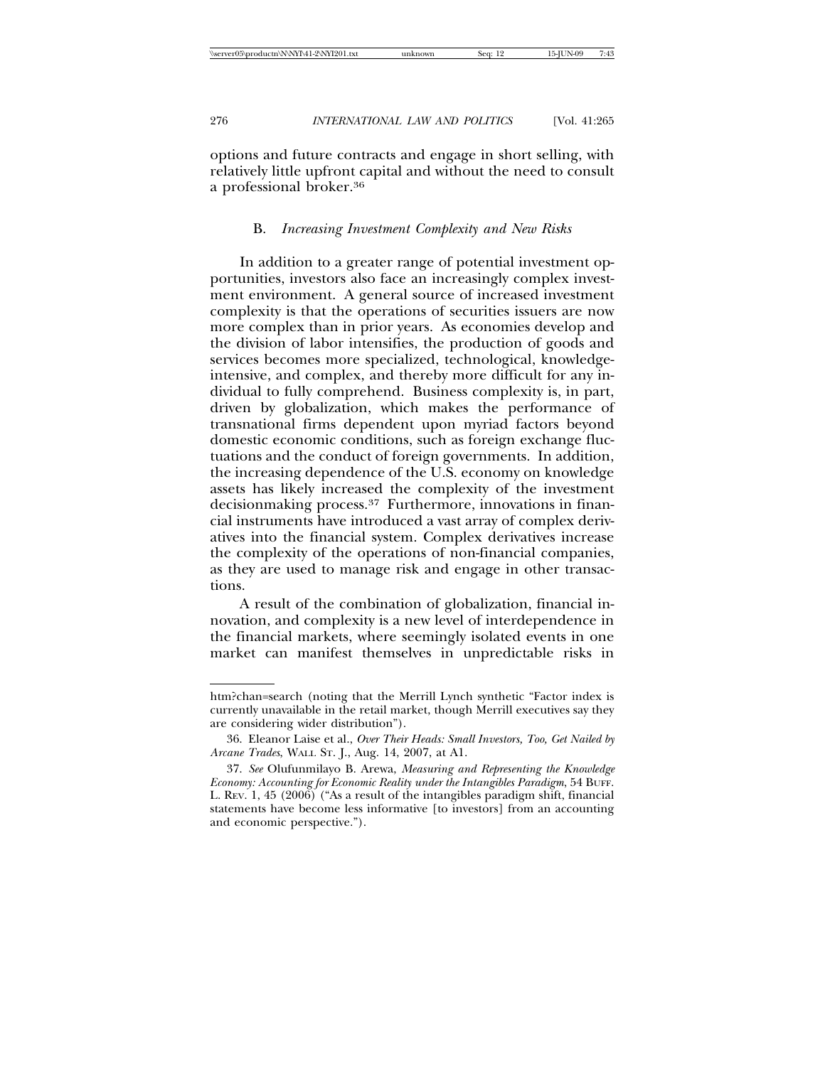options and future contracts and engage in short selling, with relatively little upfront capital and without the need to consult a professional broker.36

#### B. *Increasing Investment Complexity and New Risks*

In addition to a greater range of potential investment opportunities, investors also face an increasingly complex investment environment. A general source of increased investment complexity is that the operations of securities issuers are now more complex than in prior years. As economies develop and the division of labor intensifies, the production of goods and services becomes more specialized, technological, knowledgeintensive, and complex, and thereby more difficult for any individual to fully comprehend. Business complexity is, in part, driven by globalization, which makes the performance of transnational firms dependent upon myriad factors beyond domestic economic conditions, such as foreign exchange fluctuations and the conduct of foreign governments. In addition, the increasing dependence of the U.S. economy on knowledge assets has likely increased the complexity of the investment decisionmaking process.<sup>37</sup> Furthermore, innovations in financial instruments have introduced a vast array of complex derivatives into the financial system. Complex derivatives increase the complexity of the operations of non-financial companies, as they are used to manage risk and engage in other transactions.

A result of the combination of globalization, financial innovation, and complexity is a new level of interdependence in the financial markets, where seemingly isolated events in one market can manifest themselves in unpredictable risks in

htm?chan=search (noting that the Merrill Lynch synthetic "Factor index is currently unavailable in the retail market, though Merrill executives say they are considering wider distribution").

<sup>36.</sup> Eleanor Laise et al., *Over Their Heads: Small Investors, Too, Get Nailed by Arcane Trades*, WALL ST. J., Aug. 14, 2007, at A1.

<sup>37.</sup> *See* Olufunmilayo B. Arewa, *Measuring and Representing the Knowledge Economy: Accounting for Economic Reality under the Intangibles Paradigm*, 54 BUFF. L. REV. 1, 45 (2006) ("As a result of the intangibles paradigm shift, financial statements have become less informative [to investors] from an accounting and economic perspective.").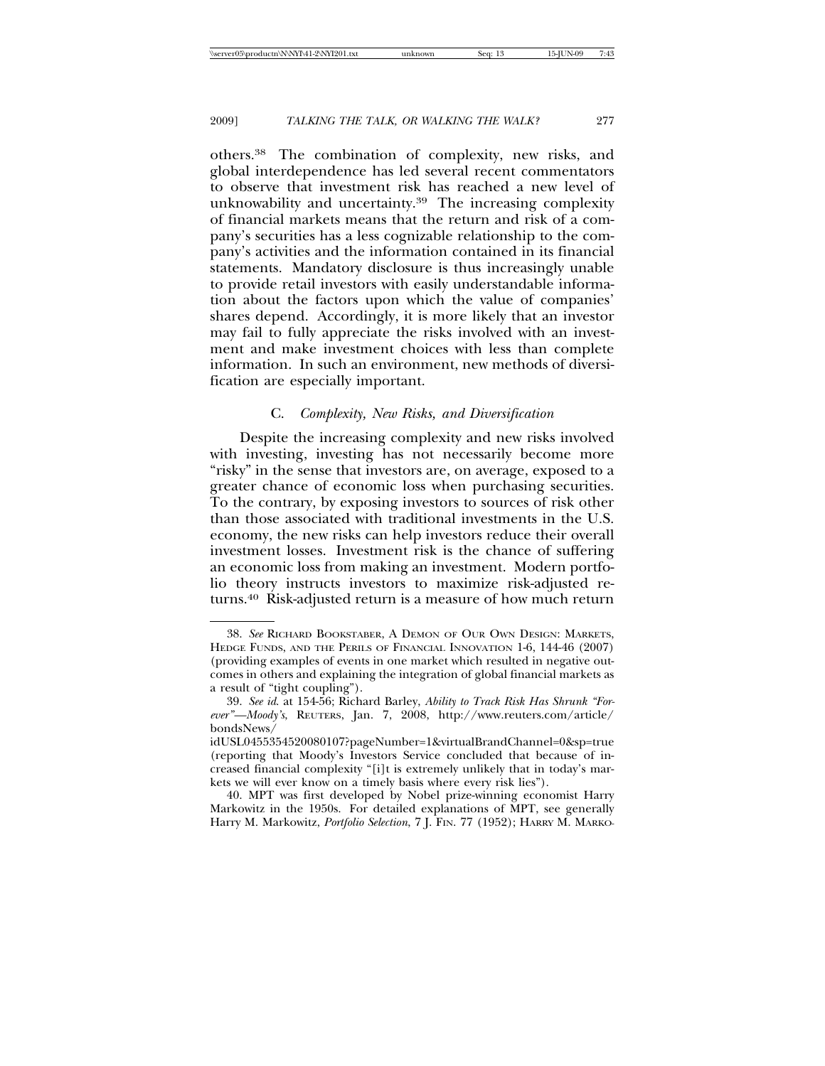others.38 The combination of complexity, new risks, and global interdependence has led several recent commentators to observe that investment risk has reached a new level of unknowability and uncertainty.39 The increasing complexity of financial markets means that the return and risk of a company's securities has a less cognizable relationship to the company's activities and the information contained in its financial statements. Mandatory disclosure is thus increasingly unable to provide retail investors with easily understandable information about the factors upon which the value of companies' shares depend. Accordingly, it is more likely that an investor may fail to fully appreciate the risks involved with an investment and make investment choices with less than complete information. In such an environment, new methods of diversification are especially important.

# C. *Complexity, New Risks, and Diversification*

Despite the increasing complexity and new risks involved with investing, investing has not necessarily become more "risky" in the sense that investors are, on average, exposed to a greater chance of economic loss when purchasing securities. To the contrary, by exposing investors to sources of risk other than those associated with traditional investments in the U.S. economy, the new risks can help investors reduce their overall investment losses. Investment risk is the chance of suffering an economic loss from making an investment. Modern portfolio theory instructs investors to maximize risk-adjusted returns.<sup>40</sup> Risk-adjusted return is a measure of how much return

<sup>38.</sup> *See* RICHARD BOOKSTABER, A DEMON OF OUR OWN DESIGN: MARKETS, HEDGE FUNDS, AND THE PERILS OF FINANCIAL INNOVATION 1-6, 144-46 (2007) (providing examples of events in one market which resulted in negative outcomes in others and explaining the integration of global financial markets as a result of "tight coupling").

<sup>39.</sup> *See id*. at 154-56; Richard Barley, *Ability to Track Risk Has Shrunk "Forever"—Moody's*, REUTERS, Jan. 7, 2008, http://www.reuters.com/article/ bondsNews/

idUSL0455354520080107?pageNumber=1&virtualBrandChannel=0&sp=true (reporting that Moody's Investors Service concluded that because of increased financial complexity "[i]t is extremely unlikely that in today's markets we will ever know on a timely basis where every risk lies").

<sup>40.</sup> MPT was first developed by Nobel prize-winning economist Harry Markowitz in the 1950s. For detailed explanations of MPT, see generally Harry M. Markowitz, *Portfolio Selection*, 7 J. FIN. 77 (1952); HARRY M. MARKO-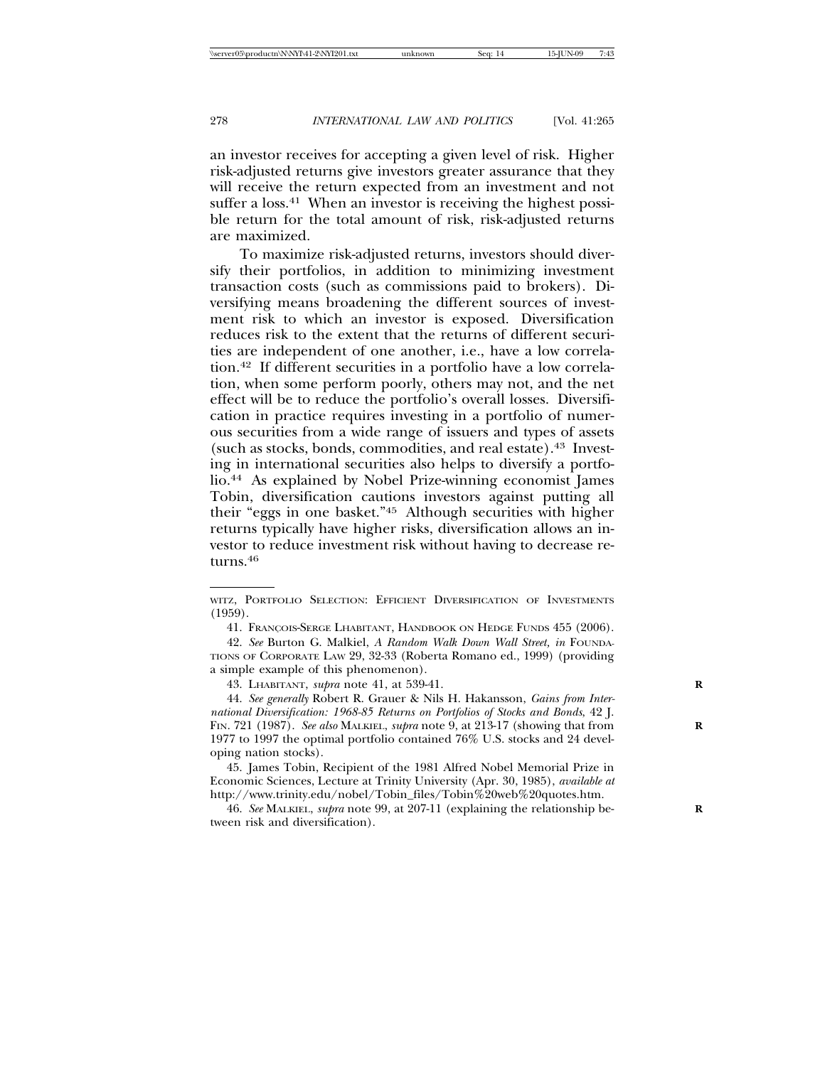an investor receives for accepting a given level of risk. Higher risk-adjusted returns give investors greater assurance that they will receive the return expected from an investment and not suffer a loss.<sup>41</sup> When an investor is receiving the highest possible return for the total amount of risk, risk-adjusted returns are maximized.

To maximize risk-adjusted returns, investors should diversify their portfolios, in addition to minimizing investment transaction costs (such as commissions paid to brokers). Diversifying means broadening the different sources of investment risk to which an investor is exposed. Diversification reduces risk to the extent that the returns of different securities are independent of one another, i.e., have a low correlation.42 If different securities in a portfolio have a low correlation, when some perform poorly, others may not, and the net effect will be to reduce the portfolio's overall losses. Diversification in practice requires investing in a portfolio of numerous securities from a wide range of issuers and types of assets (such as stocks, bonds, commodities, and real estate).43 Investing in international securities also helps to diversify a portfolio.44 As explained by Nobel Prize-winning economist James Tobin, diversification cautions investors against putting all their "eggs in one basket."45 Although securities with higher returns typically have higher risks, diversification allows an investor to reduce investment risk without having to decrease returns.<sup>46</sup>

43. LHABITANT, *supra* note 41, at 539-41. **R**

WITZ, PORTFOLIO SELECTION: EFFICIENT DIVERSIFICATION OF INVESTMENTS (1959).

<sup>41.</sup> François-Serge Lhabitant, Handbook on Hedge Funds 455 (2006).

<sup>42.</sup> *See* Burton G. Malkiel, *A Random Walk Down Wall Street, in* FOUNDA-TIONS OF CORPORATE LAW 29, 32-33 (Roberta Romano ed., 1999) (providing a simple example of this phenomenon).

<sup>44.</sup> *See generally* Robert R. Grauer & Nils H. Hakansson, *Gains from International Diversification: 1968-85 Returns on Portfolios of Stocks and Bonds*, 42 J. FIN. 721 (1987). See also MALKIEL, *supra* note 9, at 213-17 (showing that from 1977 to 1997 the optimal portfolio contained 76% U.S. stocks and 24 developing nation stocks).

<sup>45.</sup> James Tobin, Recipient of the 1981 Alfred Nobel Memorial Prize in Economic Sciences, Lecture at Trinity University (Apr. 30, 1985), *available at* http://www.trinity.edu/nobel/Tobin\_files/Tobin%20web%20quotes.htm.

<sup>46.</sup> *See* MALKIEL, *supra* note 99, at 207-11 (explaining the relationship be- **R** tween risk and diversification).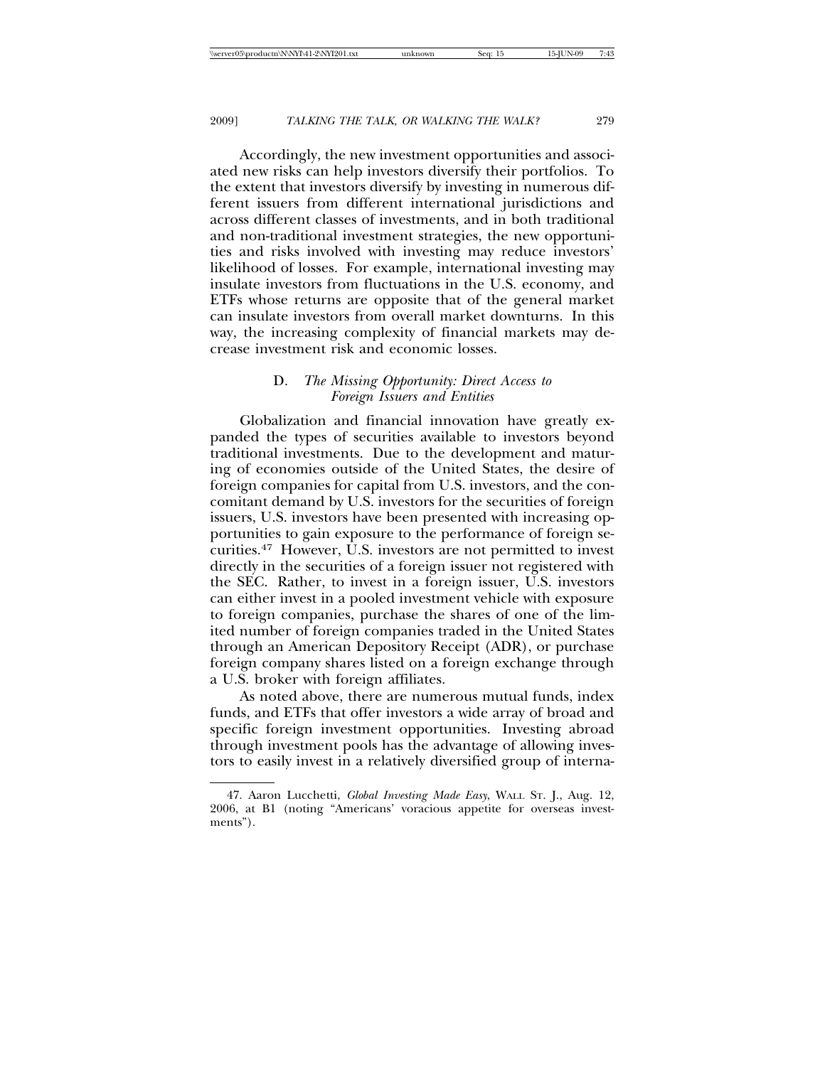Accordingly, the new investment opportunities and associated new risks can help investors diversify their portfolios. To the extent that investors diversify by investing in numerous different issuers from different international jurisdictions and across different classes of investments, and in both traditional and non-traditional investment strategies, the new opportunities and risks involved with investing may reduce investors' likelihood of losses. For example, international investing may insulate investors from fluctuations in the U.S. economy, and ETFs whose returns are opposite that of the general market can insulate investors from overall market downturns. In this way, the increasing complexity of financial markets may decrease investment risk and economic losses.

# D. *The Missing Opportunity: Direct Access to Foreign Issuers and Entities*

Globalization and financial innovation have greatly expanded the types of securities available to investors beyond traditional investments. Due to the development and maturing of economies outside of the United States, the desire of foreign companies for capital from U.S. investors, and the concomitant demand by U.S. investors for the securities of foreign issuers, U.S. investors have been presented with increasing opportunities to gain exposure to the performance of foreign securities.<sup>47</sup> However, U.S. investors are not permitted to invest directly in the securities of a foreign issuer not registered with the SEC. Rather, to invest in a foreign issuer, U.S. investors can either invest in a pooled investment vehicle with exposure to foreign companies, purchase the shares of one of the limited number of foreign companies traded in the United States through an American Depository Receipt (ADR), or purchase foreign company shares listed on a foreign exchange through a U.S. broker with foreign affiliates.

As noted above, there are numerous mutual funds, index funds, and ETFs that offer investors a wide array of broad and specific foreign investment opportunities. Investing abroad through investment pools has the advantage of allowing investors to easily invest in a relatively diversified group of interna-

<sup>47.</sup> Aaron Lucchetti, *Global Investing Made Easy*, WALL ST. J., Aug. 12, 2006, at B1 (noting "Americans' voracious appetite for overseas investments").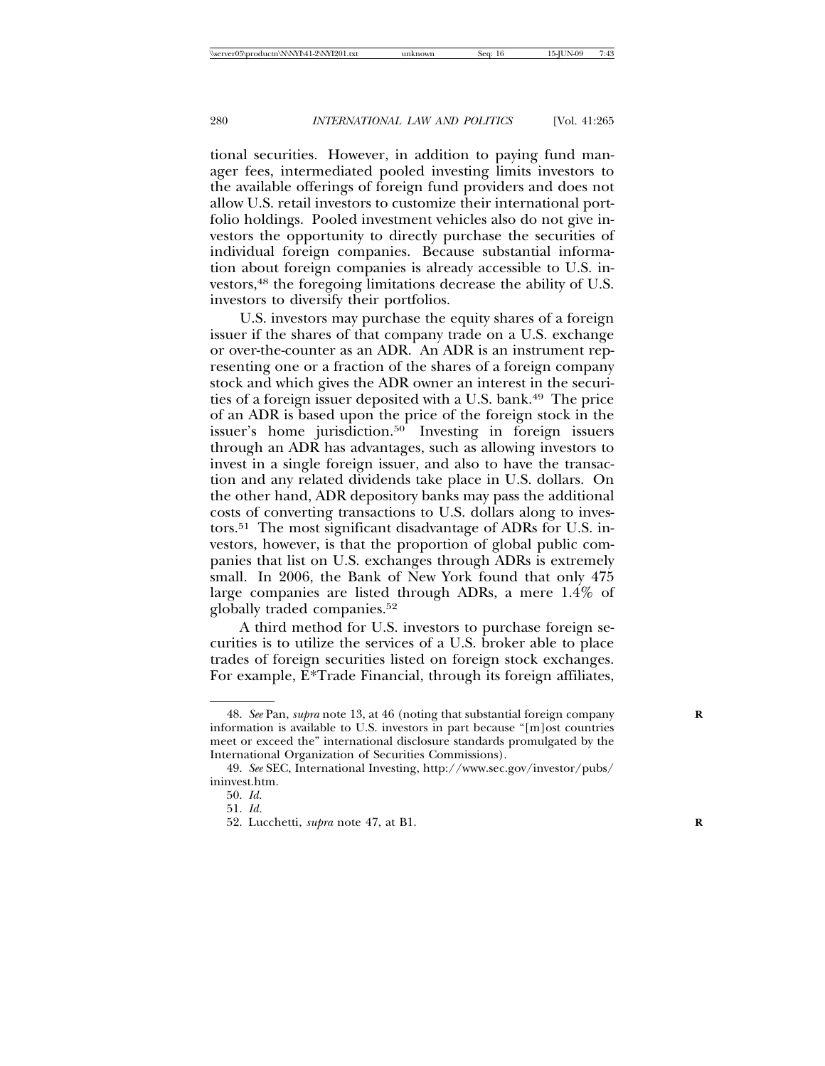tional securities. However, in addition to paying fund manager fees, intermediated pooled investing limits investors to the available offerings of foreign fund providers and does not allow U.S. retail investors to customize their international portfolio holdings. Pooled investment vehicles also do not give investors the opportunity to directly purchase the securities of individual foreign companies. Because substantial information about foreign companies is already accessible to U.S. investors,48 the foregoing limitations decrease the ability of U.S. investors to diversify their portfolios.

U.S. investors may purchase the equity shares of a foreign issuer if the shares of that company trade on a U.S. exchange or over-the-counter as an ADR. An ADR is an instrument representing one or a fraction of the shares of a foreign company stock and which gives the ADR owner an interest in the securities of a foreign issuer deposited with a U.S. bank.49 The price of an ADR is based upon the price of the foreign stock in the issuer's home jurisdiction.<sup>50</sup> Investing in foreign issuers through an ADR has advantages, such as allowing investors to invest in a single foreign issuer, and also to have the transaction and any related dividends take place in U.S. dollars. On the other hand, ADR depository banks may pass the additional costs of converting transactions to U.S. dollars along to investors.51 The most significant disadvantage of ADRs for U.S. investors, however, is that the proportion of global public companies that list on U.S. exchanges through ADRs is extremely small. In 2006, the Bank of New York found that only 475 large companies are listed through ADRs, a mere 1.4% of globally traded companies.52

A third method for U.S. investors to purchase foreign securities is to utilize the services of a U.S. broker able to place trades of foreign securities listed on foreign stock exchanges. For example, E\*Trade Financial, through its foreign affiliates,

<sup>48.</sup> *See* Pan, *supra* note 13, at 46 (noting that substantial foreign company **R** information is available to U.S. investors in part because "[m]ost countries meet or exceed the" international disclosure standards promulgated by the International Organization of Securities Commissions).

<sup>49.</sup> *See* SEC, International Investing, http://www.sec.gov/investor/pubs/ ininvest.htm.

<sup>50.</sup> *Id.*

<sup>51.</sup> *Id.*

<sup>52.</sup> Lucchetti, *supra* note 47, at B1. **R**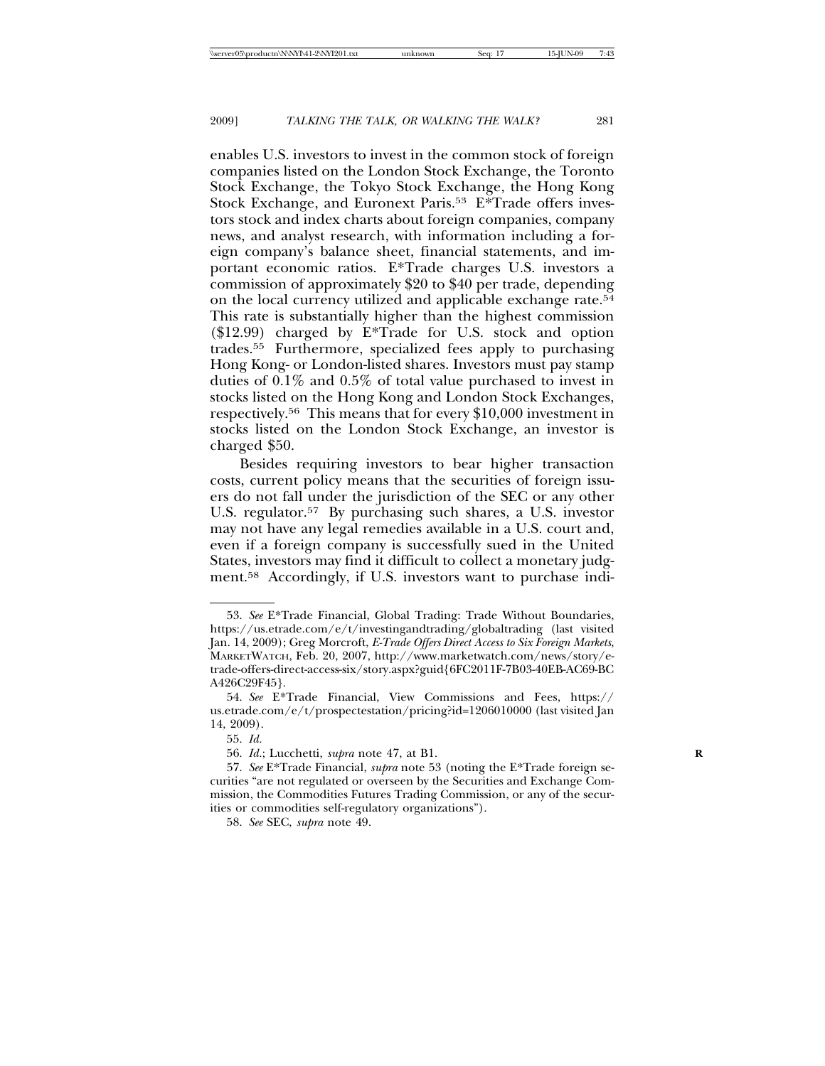enables U.S. investors to invest in the common stock of foreign companies listed on the London Stock Exchange, the Toronto Stock Exchange, the Tokyo Stock Exchange, the Hong Kong Stock Exchange, and Euronext Paris.<sup>53</sup> E\*Trade offers investors stock and index charts about foreign companies, company news, and analyst research, with information including a foreign company's balance sheet, financial statements, and important economic ratios. E\*Trade charges U.S. investors a commission of approximately \$20 to \$40 per trade, depending on the local currency utilized and applicable exchange rate.54 This rate is substantially higher than the highest commission  $($12.99)$  charged by  $E*Trade$  for U.S. stock and option trades.55 Furthermore, specialized fees apply to purchasing Hong Kong- or London-listed shares. Investors must pay stamp duties of 0.1% and 0.5% of total value purchased to invest in stocks listed on the Hong Kong and London Stock Exchanges, respectively.56 This means that for every \$10,000 investment in stocks listed on the London Stock Exchange, an investor is charged \$50.

Besides requiring investors to bear higher transaction costs, current policy means that the securities of foreign issuers do not fall under the jurisdiction of the SEC or any other U.S. regulator.57 By purchasing such shares, a U.S. investor may not have any legal remedies available in a U.S. court and, even if a foreign company is successfully sued in the United States, investors may find it difficult to collect a monetary judgment.58 Accordingly, if U.S. investors want to purchase indi-

<sup>53.</sup> *See* E\*Trade Financial, Global Trading: Trade Without Boundaries, https://us.etrade.com/e/t/investingandtrading/globaltrading (last visited Jan. 14, 2009); Greg Morcroft, *E-Trade Offers Direct Access to Six Foreign Markets*, MARKETWATCH, Feb. 20, 2007, http://www.marketwatch.com/news/story/etrade-offers-direct-access-six/story.aspx?guid{6FC2011F-7B03-40EB-AC69-BC A426C29F45}.

<sup>54.</sup> *See* E\*Trade Financial, View Commissions and Fees, https:// us.etrade.com/e/t/prospectestation/pricing?id=1206010000 (last visited Jan 14, 2009).

<sup>55.</sup> *Id.*

<sup>56.</sup> *Id.*; Lucchetti, *supra* note 47, at B1. **R**

<sup>57.</sup> *See* E\*Trade Financial, *supra* note 53 (noting the E\*Trade foreign securities "are not regulated or overseen by the Securities and Exchange Commission, the Commodities Futures Trading Commission, or any of the securities or commodities self-regulatory organizations").

<sup>58.</sup> *See* SEC, *supra* note 49.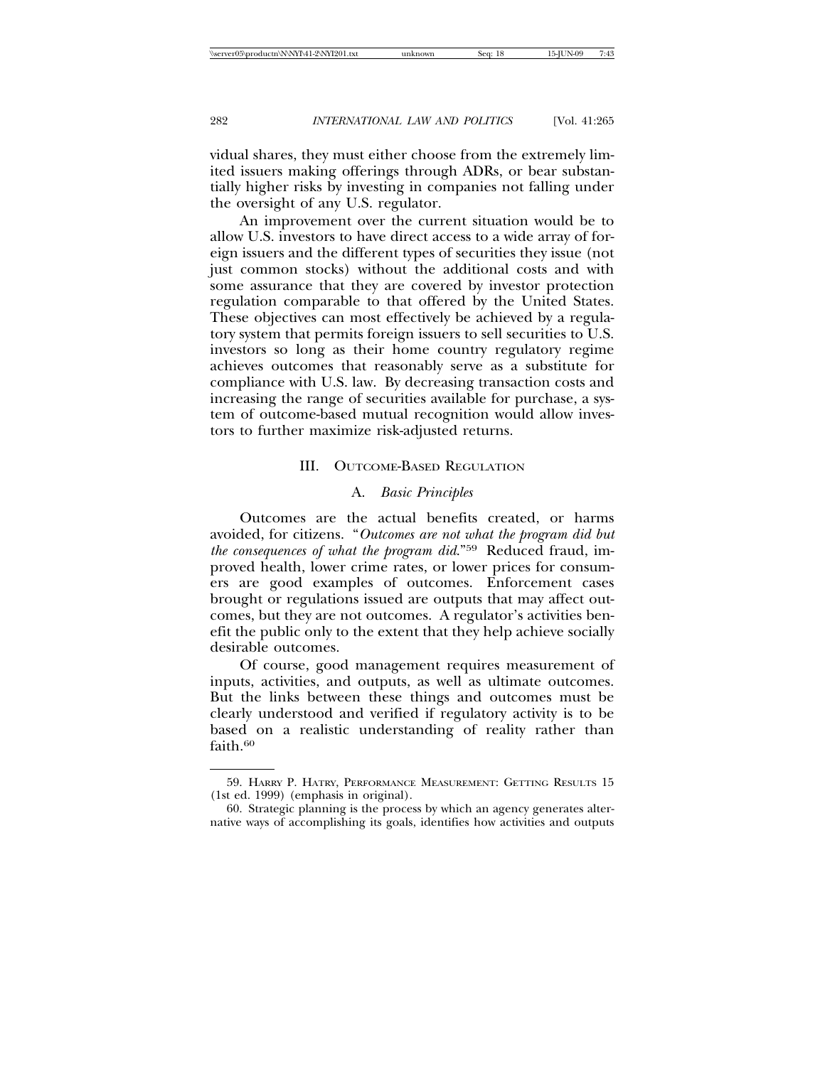vidual shares, they must either choose from the extremely limited issuers making offerings through ADRs, or bear substantially higher risks by investing in companies not falling under the oversight of any U.S. regulator.

An improvement over the current situation would be to allow U.S. investors to have direct access to a wide array of foreign issuers and the different types of securities they issue (not just common stocks) without the additional costs and with some assurance that they are covered by investor protection regulation comparable to that offered by the United States. These objectives can most effectively be achieved by a regulatory system that permits foreign issuers to sell securities to U.S. investors so long as their home country regulatory regime achieves outcomes that reasonably serve as a substitute for compliance with U.S. law. By decreasing transaction costs and increasing the range of securities available for purchase, a system of outcome-based mutual recognition would allow investors to further maximize risk-adjusted returns.

#### III. OUTCOME-BASED REGULATION

# A. *Basic Principles*

Outcomes are the actual benefits created, or harms avoided, for citizens. "*Outcomes are not what the program did but the consequences of what the program did*."59 Reduced fraud, improved health, lower crime rates, or lower prices for consumers are good examples of outcomes. Enforcement cases brought or regulations issued are outputs that may affect outcomes, but they are not outcomes. A regulator's activities benefit the public only to the extent that they help achieve socially desirable outcomes.

Of course, good management requires measurement of inputs, activities, and outputs, as well as ultimate outcomes. But the links between these things and outcomes must be clearly understood and verified if regulatory activity is to be based on a realistic understanding of reality rather than faith 60

<sup>59.</sup> HARRY P. HATRY, PERFORMANCE MEASUREMENT: GETTING RESULTS 15 (1st ed. 1999) (emphasis in original).

<sup>60.</sup> Strategic planning is the process by which an agency generates alternative ways of accomplishing its goals, identifies how activities and outputs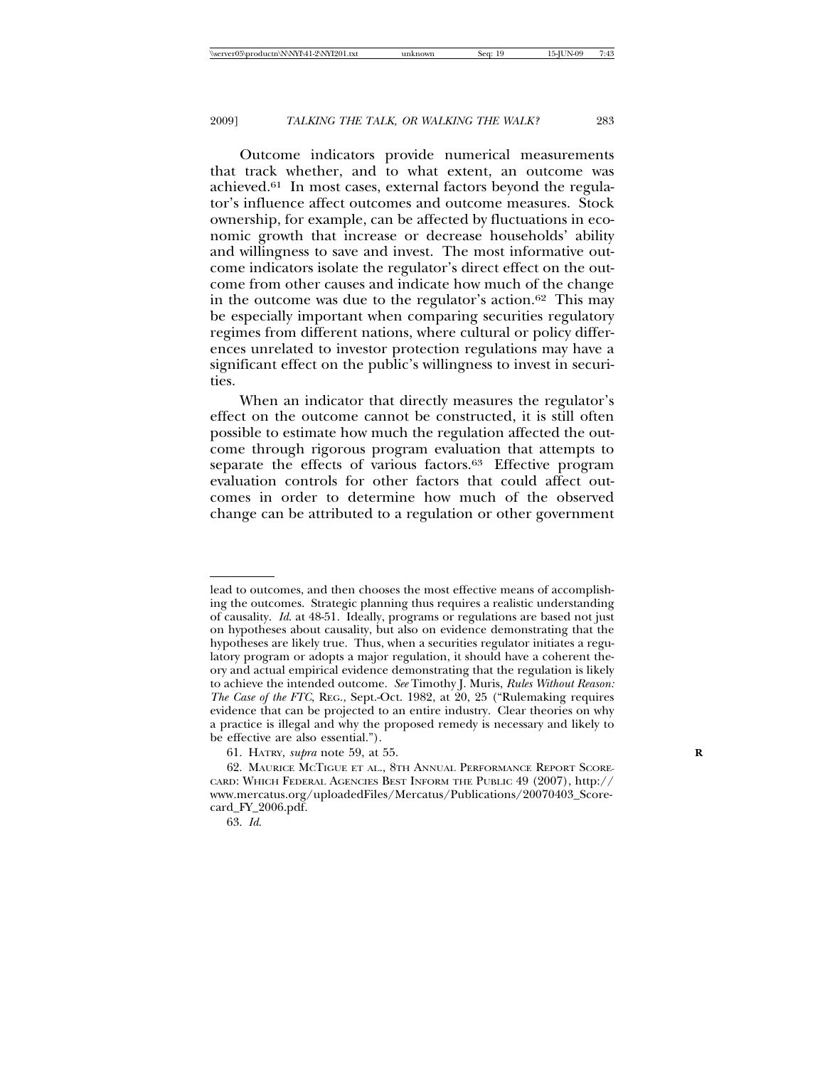Outcome indicators provide numerical measurements that track whether, and to what extent, an outcome was achieved.61 In most cases, external factors beyond the regulator's influence affect outcomes and outcome measures. Stock ownership, for example, can be affected by fluctuations in economic growth that increase or decrease households' ability and willingness to save and invest. The most informative outcome indicators isolate the regulator's direct effect on the outcome from other causes and indicate how much of the change in the outcome was due to the regulator's action.62 This may be especially important when comparing securities regulatory regimes from different nations, where cultural or policy differences unrelated to investor protection regulations may have a significant effect on the public's willingness to invest in securities.

When an indicator that directly measures the regulator's effect on the outcome cannot be constructed, it is still often possible to estimate how much the regulation affected the outcome through rigorous program evaluation that attempts to separate the effects of various factors.<sup>63</sup> Effective program evaluation controls for other factors that could affect outcomes in order to determine how much of the observed change can be attributed to a regulation or other government

lead to outcomes, and then chooses the most effective means of accomplishing the outcomes. Strategic planning thus requires a realistic understanding of causality. *Id*. at 48-51. Ideally, programs or regulations are based not just on hypotheses about causality, but also on evidence demonstrating that the hypotheses are likely true. Thus, when a securities regulator initiates a regulatory program or adopts a major regulation, it should have a coherent theory and actual empirical evidence demonstrating that the regulation is likely to achieve the intended outcome. *See* Timothy J. Muris, *Rules Without Reason: The Case of the FTC*, REG., Sept.-Oct. 1982, at 20, 25 ("Rulemaking requires evidence that can be projected to an entire industry. Clear theories on why a practice is illegal and why the proposed remedy is necessary and likely to be effective are also essential.").

<sup>61.</sup> HATRY, *supra* note 59, at 55. **R**

<sup>62.</sup> MAURICE MCTIGUE ET AL., 8TH ANNUAL PERFORMANCE REPORT SCORE-CARD: WHICH FEDERAL AGENCIES BEST INFORM THE PUBLIC 49 (2007), http:// www.mercatus.org/uploadedFiles/Mercatus/Publications/20070403\_Scorecard\_FY\_2006.pdf.

<sup>63.</sup> *Id*.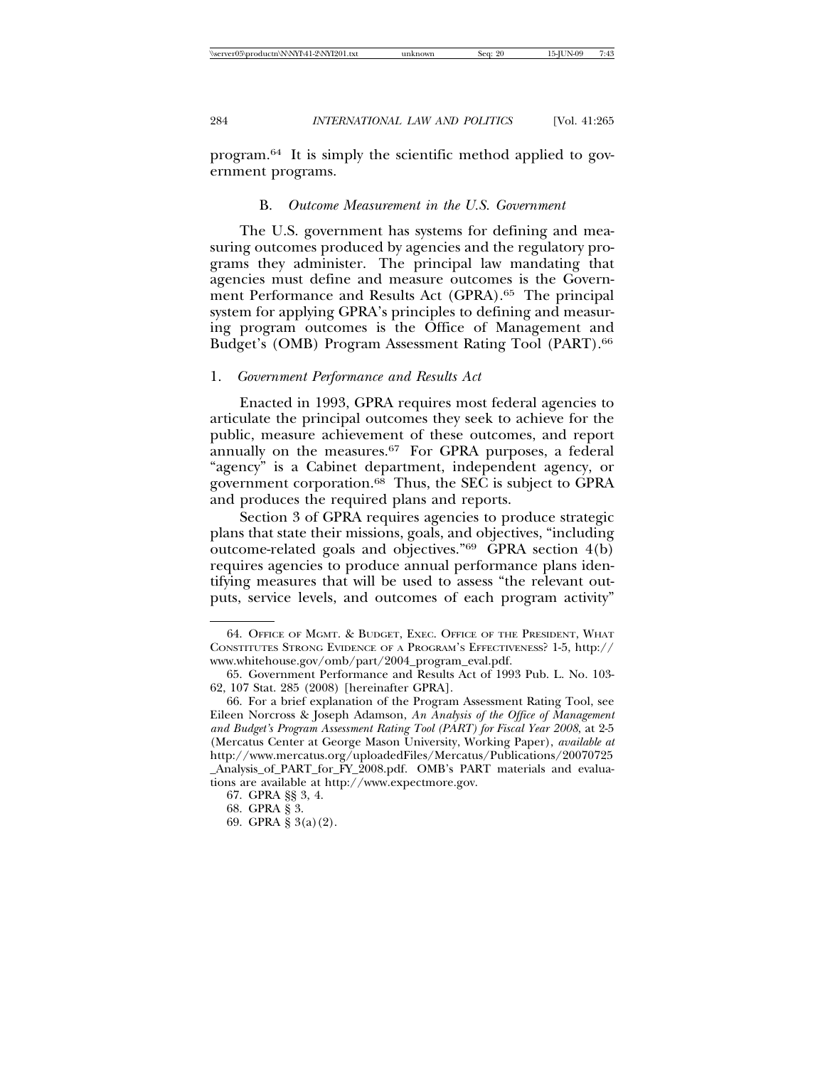program.64 It is simply the scientific method applied to government programs.

#### B. *Outcome Measurement in the U.S. Government*

The U.S. government has systems for defining and measuring outcomes produced by agencies and the regulatory programs they administer. The principal law mandating that agencies must define and measure outcomes is the Government Performance and Results Act (GPRA).65 The principal system for applying GPRA's principles to defining and measuring program outcomes is the Office of Management and Budget's (OMB) Program Assessment Rating Tool (PART).<sup>66</sup>

#### 1. *Government Performance and Results Act*

Enacted in 1993, GPRA requires most federal agencies to articulate the principal outcomes they seek to achieve for the public, measure achievement of these outcomes, and report annually on the measures.<sup>67</sup> For GPRA purposes, a federal "agency" is a Cabinet department, independent agency, or government corporation.68 Thus, the SEC is subject to GPRA and produces the required plans and reports.

Section 3 of GPRA requires agencies to produce strategic plans that state their missions, goals, and objectives, "including outcome-related goals and objectives." $69$  GPRA section  $4(b)$ requires agencies to produce annual performance plans identifying measures that will be used to assess "the relevant outputs, service levels, and outcomes of each program activity"

<sup>64.</sup> OFFICE OF MGMT. & BUDGET, EXEC. OFFICE OF THE PRESIDENT, WHAT CONSTITUTES STRONG EVIDENCE OF A PROGRAM'S EFFECTIVENESS? 1-5, http:// www.whitehouse.gov/omb/part/2004\_program\_eval.pdf.

<sup>65.</sup> Government Performance and Results Act of 1993 Pub. L. No. 103- 62, 107 Stat. 285 (2008) [hereinafter GPRA].

<sup>66.</sup> For a brief explanation of the Program Assessment Rating Tool, see Eileen Norcross & Joseph Adamson, *An Analysis of the Office of Management and Budget's Program Assessment Rating Tool (PART) for Fiscal Year 2008*, at 2-5 (Mercatus Center at George Mason University, Working Paper), *available at* http://www.mercatus.org/uploadedFiles/Mercatus/Publications/20070725 \_Analysis\_of\_PART\_for\_FY\_2008.pdf. OMB's PART materials and evaluations are available at http://www.expectmore.gov.

<sup>67.</sup> GPRA §§ 3, 4.

<sup>68.</sup> GPRA § 3.

<sup>69.</sup> GPRA § 3(a)(2).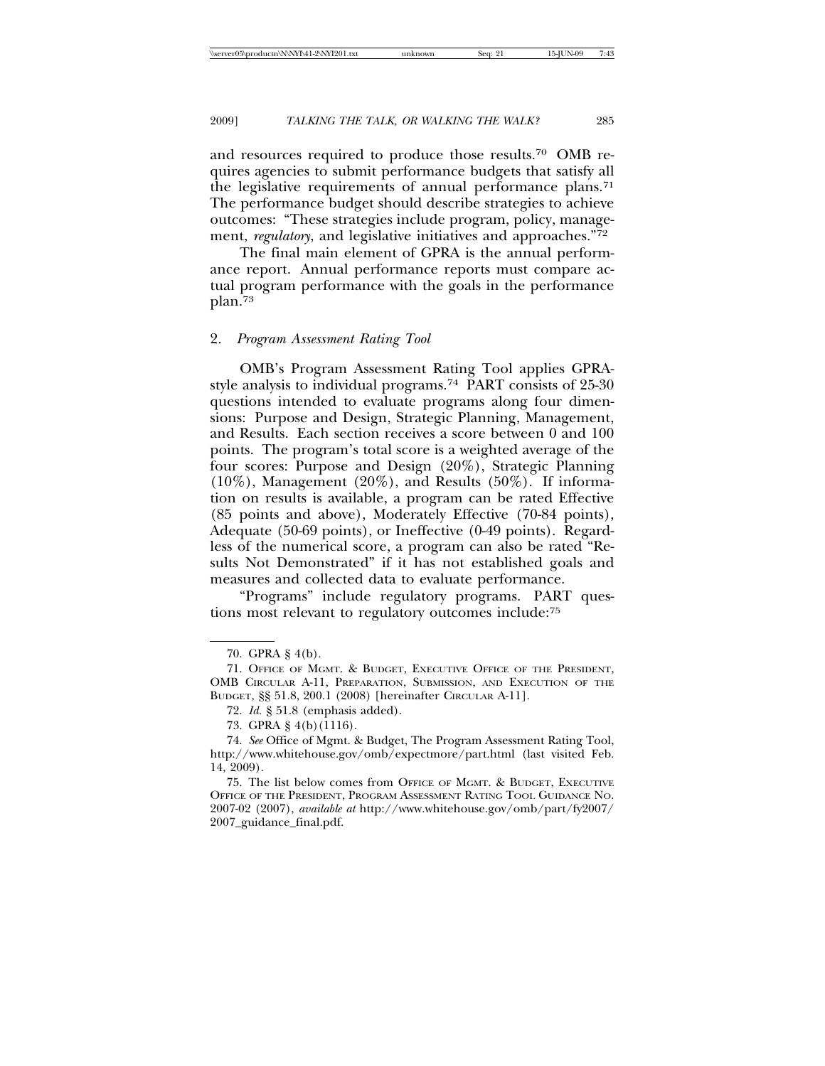and resources required to produce those results.70 OMB requires agencies to submit performance budgets that satisfy all the legislative requirements of annual performance plans.<sup>71</sup> The performance budget should describe strategies to achieve outcomes: "These strategies include program, policy, management, *regulatory*, and legislative initiatives and approaches."72

The final main element of GPRA is the annual performance report. Annual performance reports must compare actual program performance with the goals in the performance plan.73

#### 2. *Program Assessment Rating Tool*

OMB's Program Assessment Rating Tool applies GPRAstyle analysis to individual programs.74 PART consists of 25-30 questions intended to evaluate programs along four dimensions: Purpose and Design, Strategic Planning, Management, and Results. Each section receives a score between 0 and 100 points. The program's total score is a weighted average of the four scores: Purpose and Design (20%), Strategic Planning  $(10\%)$ , Management  $(20\%)$ , and Results  $(50\%)$ . If information on results is available, a program can be rated Effective (85 points and above), Moderately Effective (70-84 points), Adequate (50-69 points), or Ineffective (0-49 points). Regardless of the numerical score, a program can also be rated "Results Not Demonstrated" if it has not established goals and measures and collected data to evaluate performance.

"Programs" include regulatory programs. PART questions most relevant to regulatory outcomes include:75

<sup>70.</sup> GPRA § 4(b).

<sup>71.</sup> OFFICE OF MGMT. & BUDGET, EXECUTIVE OFFICE OF THE PRESIDENT, OMB CIRCULAR A-11, PREPARATION, SUBMISSION, AND EXECUTION OF THE BUDGET, §§ 51.8, 200.1 (2008) [hereinafter CIRCULAR A-11].

<sup>72.</sup> *Id.* § 51.8 (emphasis added).

<sup>73.</sup> GPRA § 4(b)(1116).

<sup>74.</sup> *See* Office of Mgmt. & Budget, The Program Assessment Rating Tool, http://www.whitehouse.gov/omb/expectmore/part.html (last visited Feb. 14, 2009).

<sup>75.</sup> The list below comes from OFFICE OF MGMT. & BUDGET, EXECUTIVE OFFICE OF THE PRESIDENT, PROGRAM ASSESSMENT RATING TOOL GUIDANCE NO. 2007-02 (2007), *available at* http://www.whitehouse.gov/omb/part/fy2007/ 2007\_guidance\_final.pdf.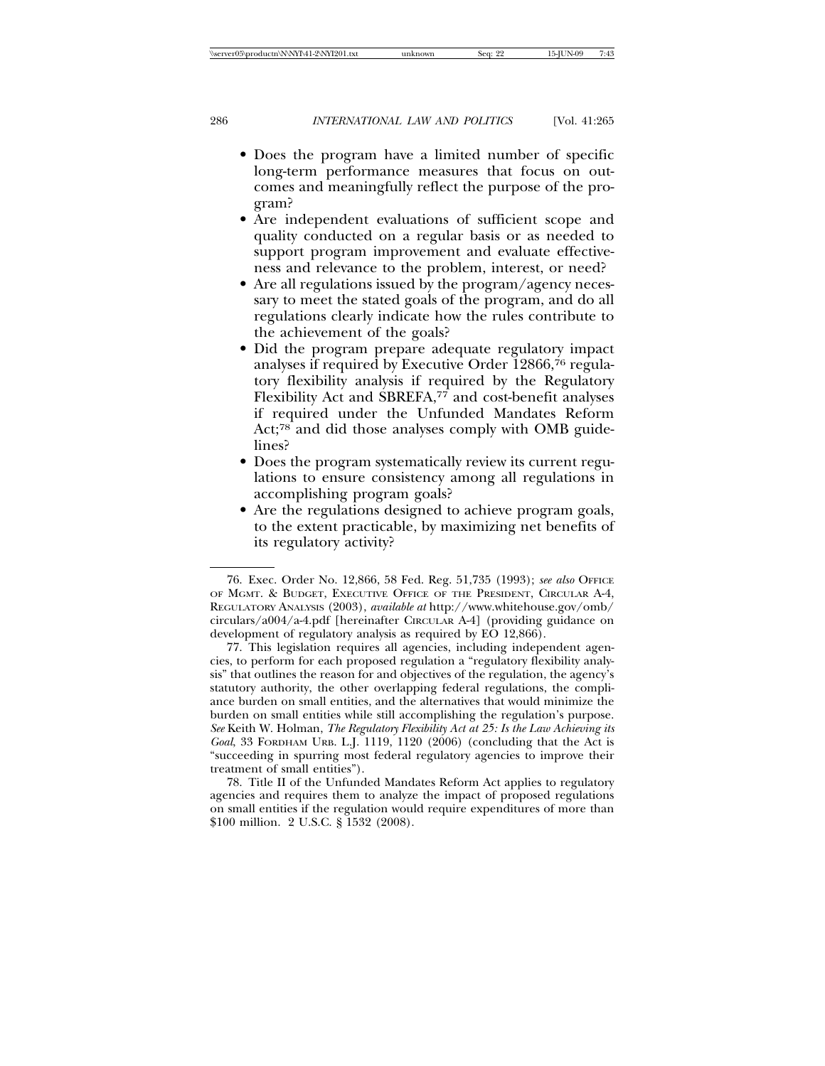- Does the program have a limited number of specific long-term performance measures that focus on outcomes and meaningfully reflect the purpose of the program?
- Are independent evaluations of sufficient scope and quality conducted on a regular basis or as needed to support program improvement and evaluate effectiveness and relevance to the problem, interest, or need?
- Are all regulations issued by the program/agency necessary to meet the stated goals of the program, and do all regulations clearly indicate how the rules contribute to the achievement of the goals?
- Did the program prepare adequate regulatory impact analyses if required by Executive Order 12866,76 regulatory flexibility analysis if required by the Regulatory Flexibility Act and SBREFA,<sup>77</sup> and cost-benefit analyses if required under the Unfunded Mandates Reform Act;78 and did those analyses comply with OMB guidelines?
- Does the program systematically review its current regulations to ensure consistency among all regulations in accomplishing program goals?
- Are the regulations designed to achieve program goals, to the extent practicable, by maximizing net benefits of its regulatory activity?

<sup>76.</sup> Exec. Order No. 12,866, 58 Fed. Reg. 51,735 (1993); *see also* OFFICE OF MGMT. & BUDGET, EXECUTIVE OFFICE OF THE PRESIDENT, CIRCULAR A-4, REGULATORY ANALYSIS (2003), *available at* http://www.whitehouse.gov/omb/ circulars/a004/a-4.pdf [hereinafter CIRCULAR A-4] (providing guidance on development of regulatory analysis as required by EO 12,866).

<sup>77.</sup> This legislation requires all agencies, including independent agencies, to perform for each proposed regulation a "regulatory flexibility analysis" that outlines the reason for and objectives of the regulation, the agency's statutory authority, the other overlapping federal regulations, the compliance burden on small entities, and the alternatives that would minimize the burden on small entities while still accomplishing the regulation's purpose. *See* Keith W. Holman, *The Regulatory Flexibility Act at 25: Is the Law Achieving its Goal*, 33 FORDHAM URB. L.J. 1119, 1120 (2006) (concluding that the Act is "succeeding in spurring most federal regulatory agencies to improve their treatment of small entities").

<sup>78.</sup> Title II of the Unfunded Mandates Reform Act applies to regulatory agencies and requires them to analyze the impact of proposed regulations on small entities if the regulation would require expenditures of more than \$100 million. 2 U.S.C. § 1532 (2008).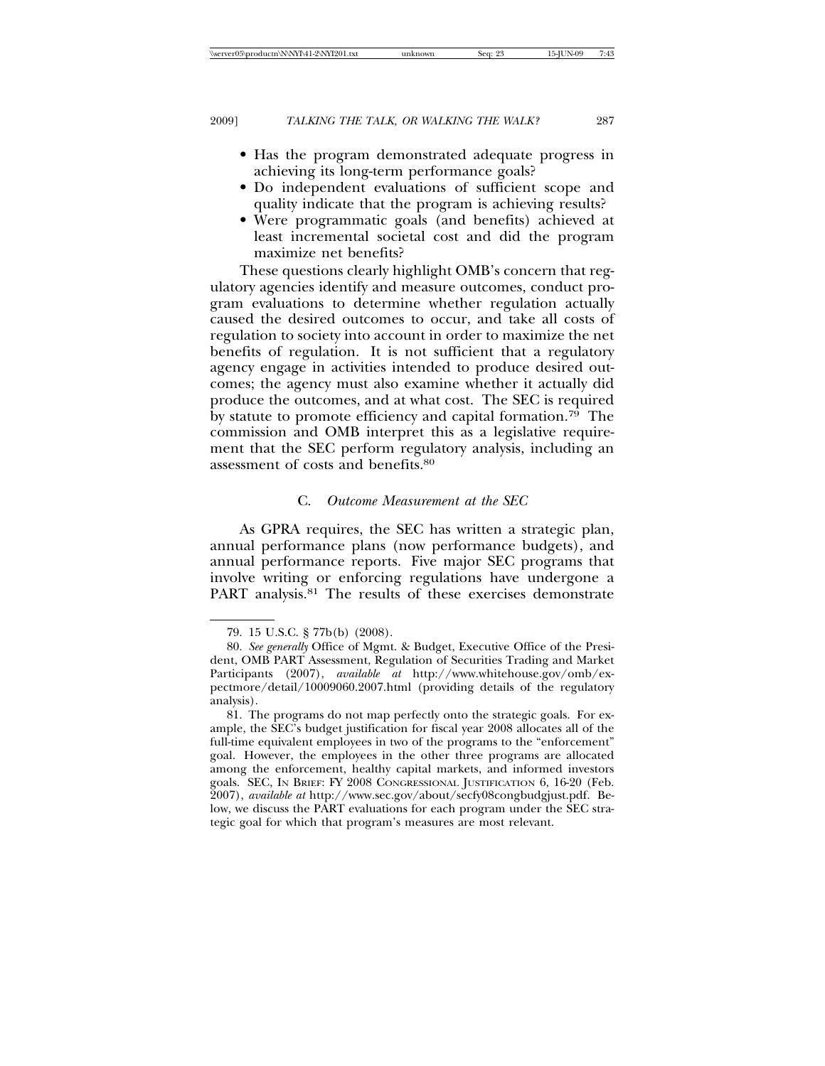- Has the program demonstrated adequate progress in achieving its long-term performance goals?
- Do independent evaluations of sufficient scope and quality indicate that the program is achieving results?
- Were programmatic goals (and benefits) achieved at least incremental societal cost and did the program maximize net benefits?

These questions clearly highlight OMB's concern that regulatory agencies identify and measure outcomes, conduct program evaluations to determine whether regulation actually caused the desired outcomes to occur, and take all costs of regulation to society into account in order to maximize the net benefits of regulation. It is not sufficient that a regulatory agency engage in activities intended to produce desired outcomes; the agency must also examine whether it actually did produce the outcomes, and at what cost. The SEC is required by statute to promote efficiency and capital formation.<sup>79</sup> The commission and OMB interpret this as a legislative requirement that the SEC perform regulatory analysis, including an assessment of costs and benefits.80

# C. *Outcome Measurement at the SEC*

As GPRA requires, the SEC has written a strategic plan, annual performance plans (now performance budgets), and annual performance reports. Five major SEC programs that involve writing or enforcing regulations have undergone a PART analysis.<sup>81</sup> The results of these exercises demonstrate

<sup>79. 15</sup> U.S.C. § 77b(b) (2008).

<sup>80.</sup> *See generally* Office of Mgmt. & Budget, Executive Office of the President, OMB PART Assessment, Regulation of Securities Trading and Market Participants (2007), *available at* http://www.whitehouse.gov/omb/expectmore/detail/10009060.2007.html (providing details of the regulatory analysis).

<sup>81.</sup> The programs do not map perfectly onto the strategic goals. For example, the SEC's budget justification for fiscal year 2008 allocates all of the full-time equivalent employees in two of the programs to the "enforcement" goal. However, the employees in the other three programs are allocated among the enforcement, healthy capital markets, and informed investors goals. SEC, IN BRIEF: FY 2008 CONGRESSIONAL JUSTIFICATION 6, 16-20 (Feb. 2007), *available at* http://www.sec.gov/about/secfy08congbudgjust.pdf. Below, we discuss the PART evaluations for each program under the SEC strategic goal for which that program's measures are most relevant.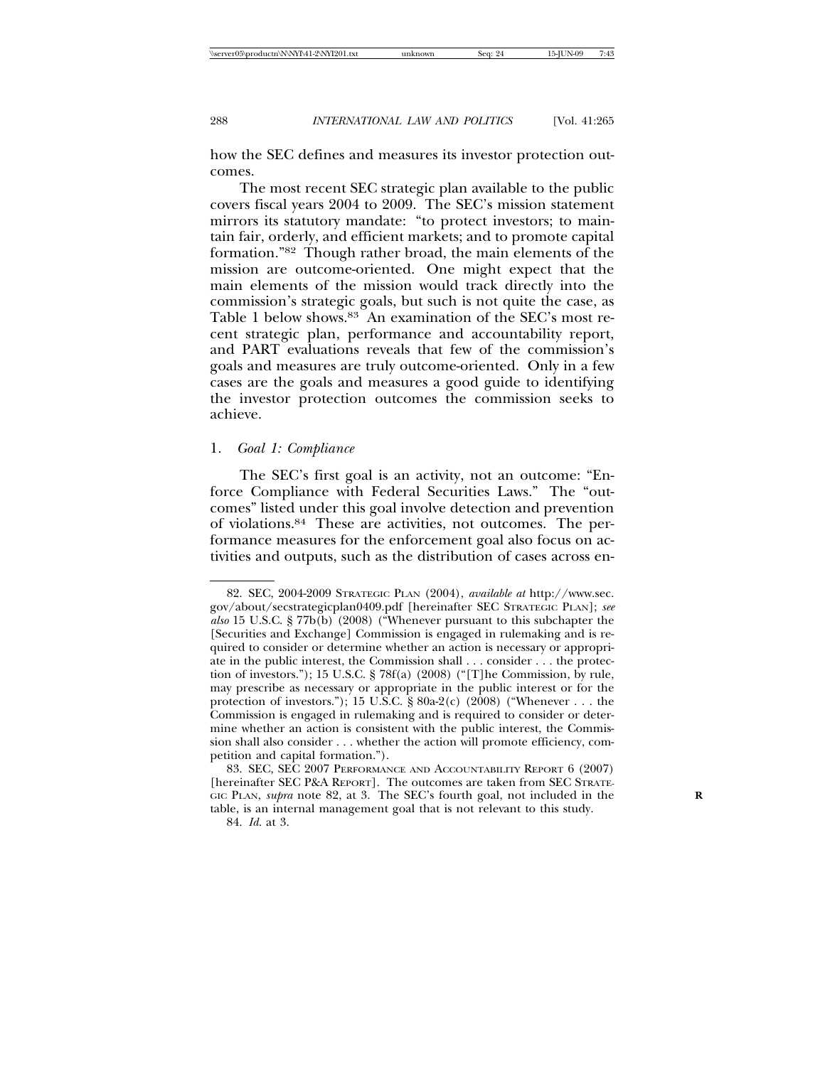how the SEC defines and measures its investor protection outcomes.

The most recent SEC strategic plan available to the public covers fiscal years 2004 to 2009. The SEC's mission statement mirrors its statutory mandate: "to protect investors; to maintain fair, orderly, and efficient markets; and to promote capital formation."82 Though rather broad, the main elements of the mission are outcome-oriented. One might expect that the main elements of the mission would track directly into the commission's strategic goals, but such is not quite the case, as Table 1 below shows.<sup>83</sup> An examination of the SEC's most recent strategic plan, performance and accountability report, and PART evaluations reveals that few of the commission's goals and measures are truly outcome-oriented. Only in a few cases are the goals and measures a good guide to identifying the investor protection outcomes the commission seeks to achieve.

#### 1. *Goal 1: Compliance*

The SEC's first goal is an activity, not an outcome: "Enforce Compliance with Federal Securities Laws." The "outcomes" listed under this goal involve detection and prevention of violations.84 These are activities, not outcomes. The performance measures for the enforcement goal also focus on activities and outputs, such as the distribution of cases across en-

<sup>82.</sup> SEC, 2004-2009 STRATEGIC PLAN (2004), *available at* http://www.sec. gov/about/secstrategicplan0409.pdf [hereinafter SEC STRATEGIC PLAN]; *see also* 15 U.S.C. § 77b(b) (2008) ("Whenever pursuant to this subchapter the [Securities and Exchange] Commission is engaged in rulemaking and is required to consider or determine whether an action is necessary or appropriate in the public interest, the Commission shall . . . consider . . . the protection of investors."); 15 U.S.C. § 78f(a) (2008) ("[T]he Commission, by rule, may prescribe as necessary or appropriate in the public interest or for the protection of investors."); 15 U.S.C. § 80a-2(c) (2008) ("Whenever . . . the Commission is engaged in rulemaking and is required to consider or determine whether an action is consistent with the public interest, the Commission shall also consider . . . whether the action will promote efficiency, competition and capital formation.").

<sup>83.</sup> SEC, SEC 2007 PERFORMANCE AND ACCOUNTABILITY REPORT 6 (2007) [hereinafter SEC P&A REPORT]. The outcomes are taken from SEC STRATE-GIC PLAN, *supra* note 82, at 3. The SEC's fourth goal, not included in the table, is an internal management goal that is not relevant to this study.

<sup>84.</sup> *Id*. at 3.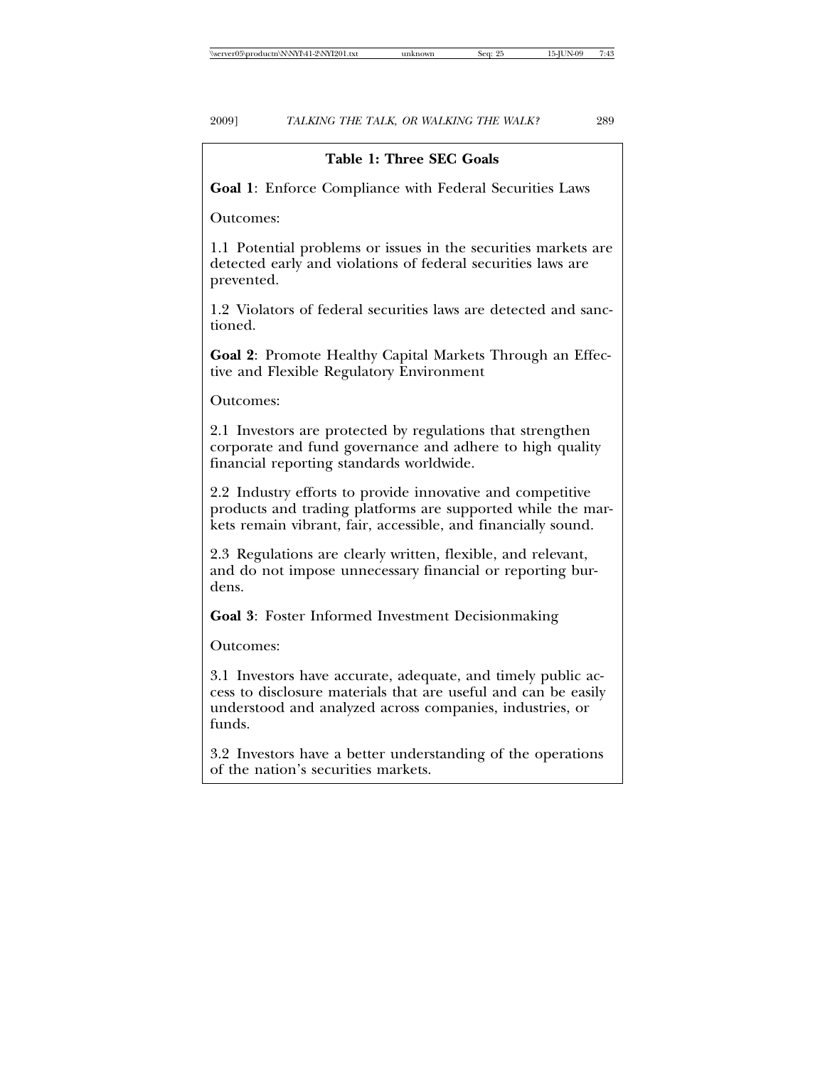# **Table 1: Three SEC Goals**

**Goal 1**: Enforce Compliance with Federal Securities Laws

Outcomes:

1.1 Potential problems or issues in the securities markets are detected early and violations of federal securities laws are prevented.

1.2 Violators of federal securities laws are detected and sanctioned.

**Goal 2**: Promote Healthy Capital Markets Through an Effective and Flexible Regulatory Environment

Outcomes:

2.1 Investors are protected by regulations that strengthen corporate and fund governance and adhere to high quality financial reporting standards worldwide.

2.2 Industry efforts to provide innovative and competitive products and trading platforms are supported while the markets remain vibrant, fair, accessible, and financially sound.

2.3 Regulations are clearly written, flexible, and relevant, and do not impose unnecessary financial or reporting burdens.

**Goal 3**: Foster Informed Investment Decisionmaking

Outcomes:

3.1 Investors have accurate, adequate, and timely public access to disclosure materials that are useful and can be easily understood and analyzed across companies, industries, or funds.

3.2 Investors have a better understanding of the operations of the nation's securities markets.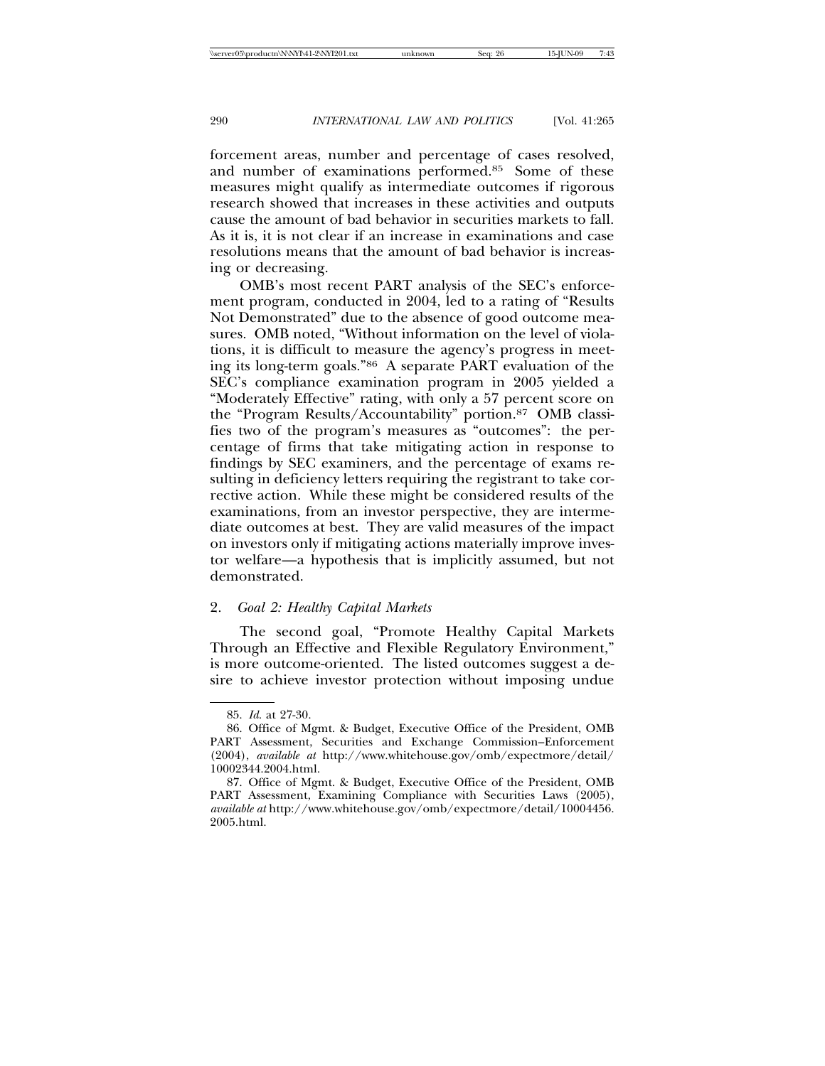forcement areas, number and percentage of cases resolved, and number of examinations performed.85 Some of these measures might qualify as intermediate outcomes if rigorous research showed that increases in these activities and outputs cause the amount of bad behavior in securities markets to fall. As it is, it is not clear if an increase in examinations and case resolutions means that the amount of bad behavior is increasing or decreasing.

OMB's most recent PART analysis of the SEC's enforcement program, conducted in 2004, led to a rating of "Results Not Demonstrated" due to the absence of good outcome measures. OMB noted, "Without information on the level of violations, it is difficult to measure the agency's progress in meeting its long-term goals."86 A separate PART evaluation of the SEC's compliance examination program in 2005 yielded a "Moderately Effective" rating, with only a 57 percent score on the "Program Results/Accountability" portion.87 OMB classifies two of the program's measures as "outcomes": the percentage of firms that take mitigating action in response to findings by SEC examiners, and the percentage of exams resulting in deficiency letters requiring the registrant to take corrective action. While these might be considered results of the examinations, from an investor perspective, they are intermediate outcomes at best. They are valid measures of the impact on investors only if mitigating actions materially improve investor welfare—a hypothesis that is implicitly assumed, but not demonstrated.

#### 2. *Goal 2: Healthy Capital Markets*

The second goal, "Promote Healthy Capital Markets Through an Effective and Flexible Regulatory Environment," is more outcome-oriented. The listed outcomes suggest a desire to achieve investor protection without imposing undue

<sup>85.</sup> *Id*. at 27-30.

<sup>86.</sup> Office of Mgmt. & Budget, Executive Office of the President, OMB PART Assessment, Securities and Exchange Commission–Enforcement (2004), *available at* http://www.whitehouse.gov/omb/expectmore/detail/ 10002344.2004.html.

<sup>87.</sup> Office of Mgmt. & Budget, Executive Office of the President, OMB PART Assessment, Examining Compliance with Securities Laws (2005), *available at* http://www.whitehouse.gov/omb/expectmore/detail/10004456. 2005.html.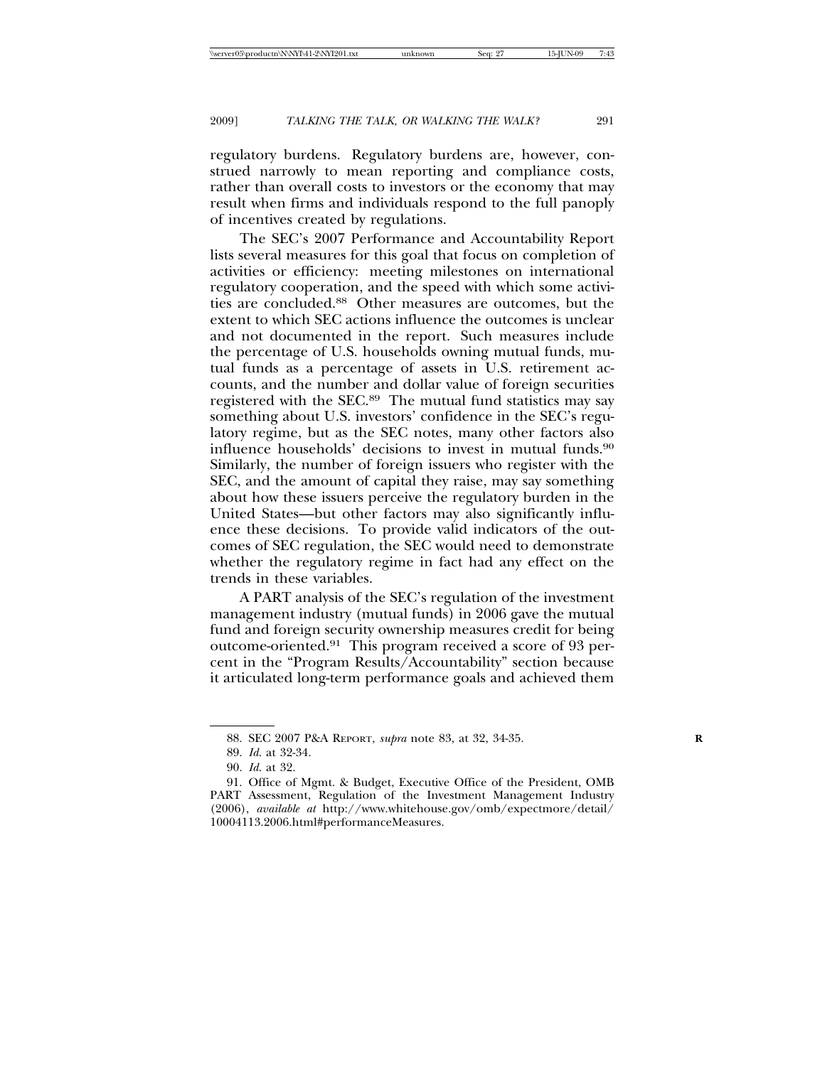regulatory burdens. Regulatory burdens are, however, construed narrowly to mean reporting and compliance costs, rather than overall costs to investors or the economy that may result when firms and individuals respond to the full panoply of incentives created by regulations.

The SEC's 2007 Performance and Accountability Report lists several measures for this goal that focus on completion of activities or efficiency: meeting milestones on international regulatory cooperation, and the speed with which some activities are concluded.88 Other measures are outcomes, but the extent to which SEC actions influence the outcomes is unclear and not documented in the report. Such measures include the percentage of U.S. households owning mutual funds, mutual funds as a percentage of assets in U.S. retirement accounts, and the number and dollar value of foreign securities registered with the SEC.89 The mutual fund statistics may say something about U.S. investors' confidence in the SEC's regulatory regime, but as the SEC notes, many other factors also influence households' decisions to invest in mutual funds.90 Similarly, the number of foreign issuers who register with the SEC, and the amount of capital they raise, may say something about how these issuers perceive the regulatory burden in the United States—but other factors may also significantly influence these decisions. To provide valid indicators of the outcomes of SEC regulation, the SEC would need to demonstrate whether the regulatory regime in fact had any effect on the trends in these variables.

A PART analysis of the SEC's regulation of the investment management industry (mutual funds) in 2006 gave the mutual fund and foreign security ownership measures credit for being outcome-oriented.91 This program received a score of 93 percent in the "Program Results/Accountability" section because it articulated long-term performance goals and achieved them

<sup>88.</sup> SEC 2007 P&A REPORT, *supra* note 83, at 32, 34-35. **R**

<sup>89.</sup> *Id*. at 32-34.

<sup>90.</sup> *Id*. at 32.

<sup>91.</sup> Office of Mgmt. & Budget, Executive Office of the President, OMB PART Assessment, Regulation of the Investment Management Industry (2006), *available at* http://www.whitehouse.gov/omb/expectmore/detail/ 10004113.2006.html#performanceMeasures.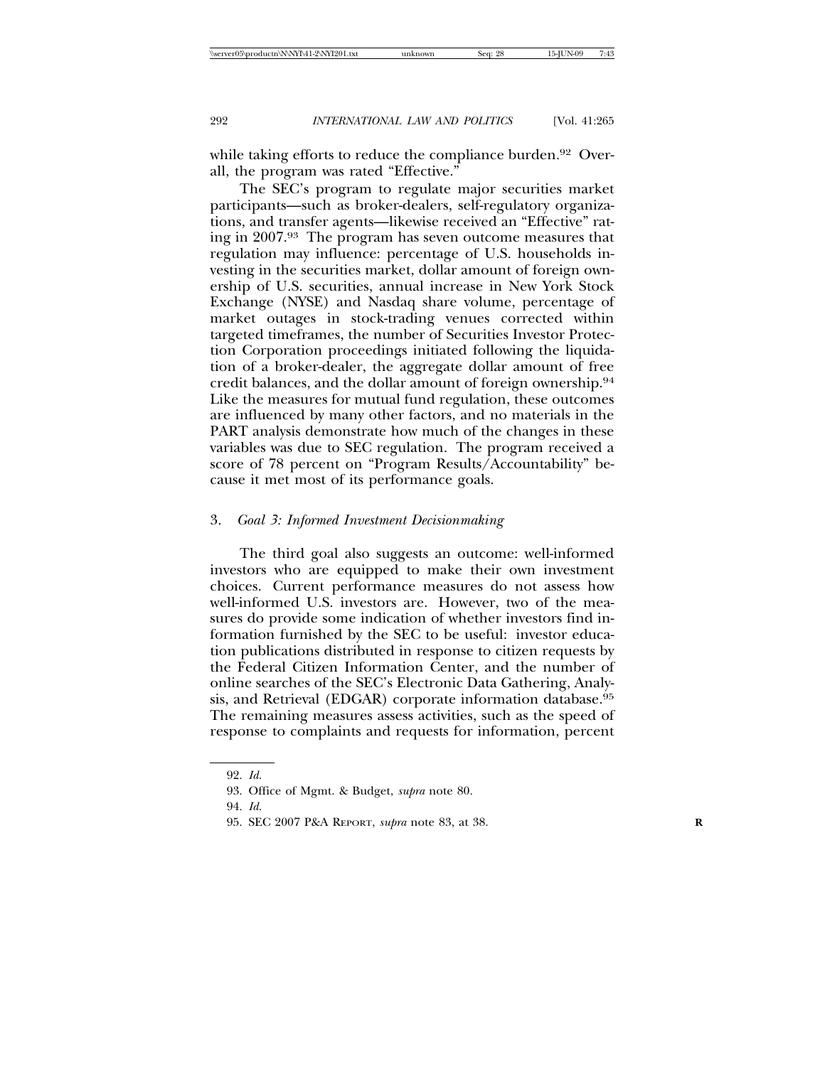while taking efforts to reduce the compliance burden.<sup>92</sup> Overall, the program was rated "Effective."

The SEC's program to regulate major securities market participants—such as broker-dealers, self-regulatory organizations, and transfer agents—likewise received an "Effective" rating in 2007.93 The program has seven outcome measures that regulation may influence: percentage of U.S. households investing in the securities market, dollar amount of foreign ownership of U.S. securities, annual increase in New York Stock Exchange (NYSE) and Nasdaq share volume, percentage of market outages in stock-trading venues corrected within targeted timeframes, the number of Securities Investor Protection Corporation proceedings initiated following the liquidation of a broker-dealer, the aggregate dollar amount of free credit balances, and the dollar amount of foreign ownership.94 Like the measures for mutual fund regulation, these outcomes are influenced by many other factors, and no materials in the PART analysis demonstrate how much of the changes in these variables was due to SEC regulation. The program received a score of 78 percent on "Program Results/Accountability" because it met most of its performance goals.

#### 3. *Goal 3: Informed Investment Decisionmaking*

The third goal also suggests an outcome: well-informed investors who are equipped to make their own investment choices. Current performance measures do not assess how well-informed U.S. investors are. However, two of the measures do provide some indication of whether investors find information furnished by the SEC to be useful: investor education publications distributed in response to citizen requests by the Federal Citizen Information Center, and the number of online searches of the SEC's Electronic Data Gathering, Analysis, and Retrieval (EDGAR) corporate information database.95 The remaining measures assess activities, such as the speed of response to complaints and requests for information, percent

<sup>92.</sup> *Id*.

<sup>93.</sup> Office of Mgmt. & Budget, *supra* note 80.

<sup>94.</sup> *Id*.

<sup>95.</sup> SEC 2007 P&A REPORT, *supra* note 83, at 38. **R**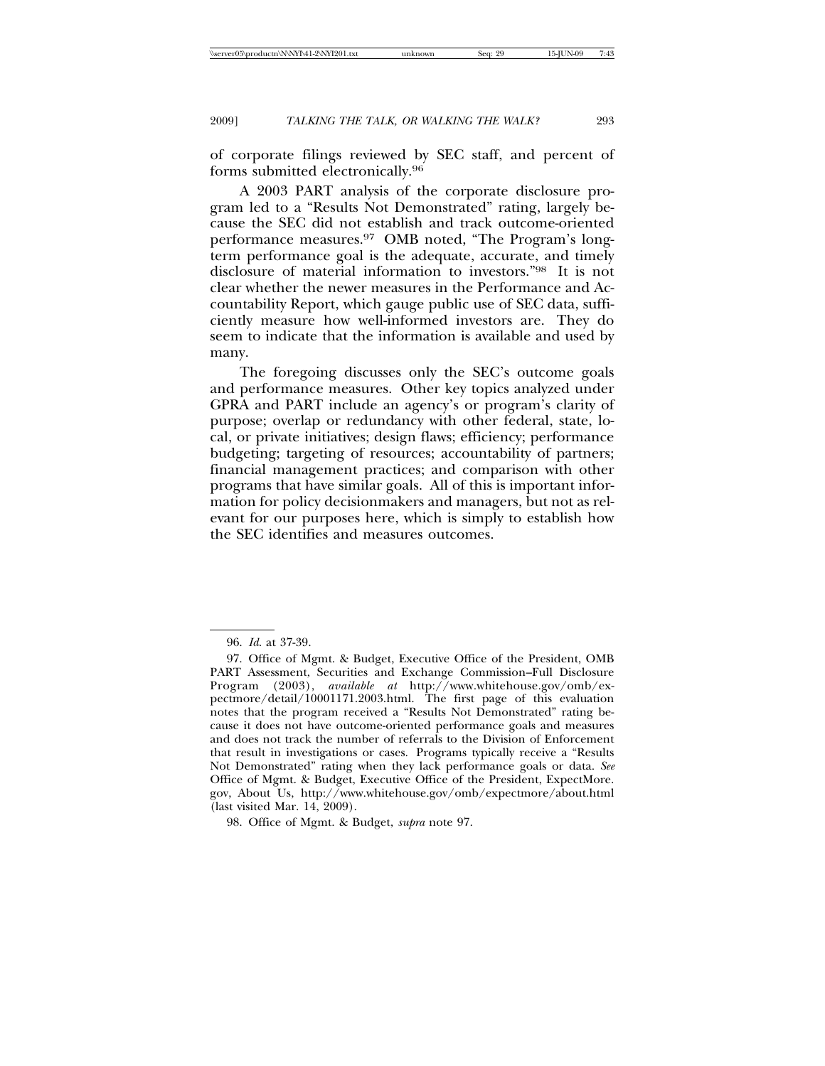of corporate filings reviewed by SEC staff, and percent of forms submitted electronically.96

A 2003 PART analysis of the corporate disclosure program led to a "Results Not Demonstrated" rating, largely because the SEC did not establish and track outcome-oriented performance measures.97 OMB noted, "The Program's longterm performance goal is the adequate, accurate, and timely disclosure of material information to investors."98 It is not clear whether the newer measures in the Performance and Accountability Report, which gauge public use of SEC data, sufficiently measure how well-informed investors are. They do seem to indicate that the information is available and used by many.

The foregoing discusses only the SEC's outcome goals and performance measures. Other key topics analyzed under GPRA and PART include an agency's or program's clarity of purpose; overlap or redundancy with other federal, state, local, or private initiatives; design flaws; efficiency; performance budgeting; targeting of resources; accountability of partners; financial management practices; and comparison with other programs that have similar goals. All of this is important information for policy decisionmakers and managers, but not as relevant for our purposes here, which is simply to establish how the SEC identifies and measures outcomes.

98. Office of Mgmt. & Budget, *supra* note 97.

<sup>96.</sup> *Id*. at 37-39.

<sup>97.</sup> Office of Mgmt. & Budget, Executive Office of the President, OMB PART Assessment, Securities and Exchange Commission–Full Disclosure Program (2003), *available at* http://www.whitehouse.gov/omb/expectmore/detail/10001171.2003.html. The first page of this evaluation notes that the program received a "Results Not Demonstrated" rating because it does not have outcome-oriented performance goals and measures and does not track the number of referrals to the Division of Enforcement that result in investigations or cases. Programs typically receive a "Results Not Demonstrated" rating when they lack performance goals or data. *See* Office of Mgmt. & Budget, Executive Office of the President, ExpectMore. gov, About Us, http://www.whitehouse.gov/omb/expectmore/about.html (last visited Mar. 14, 2009).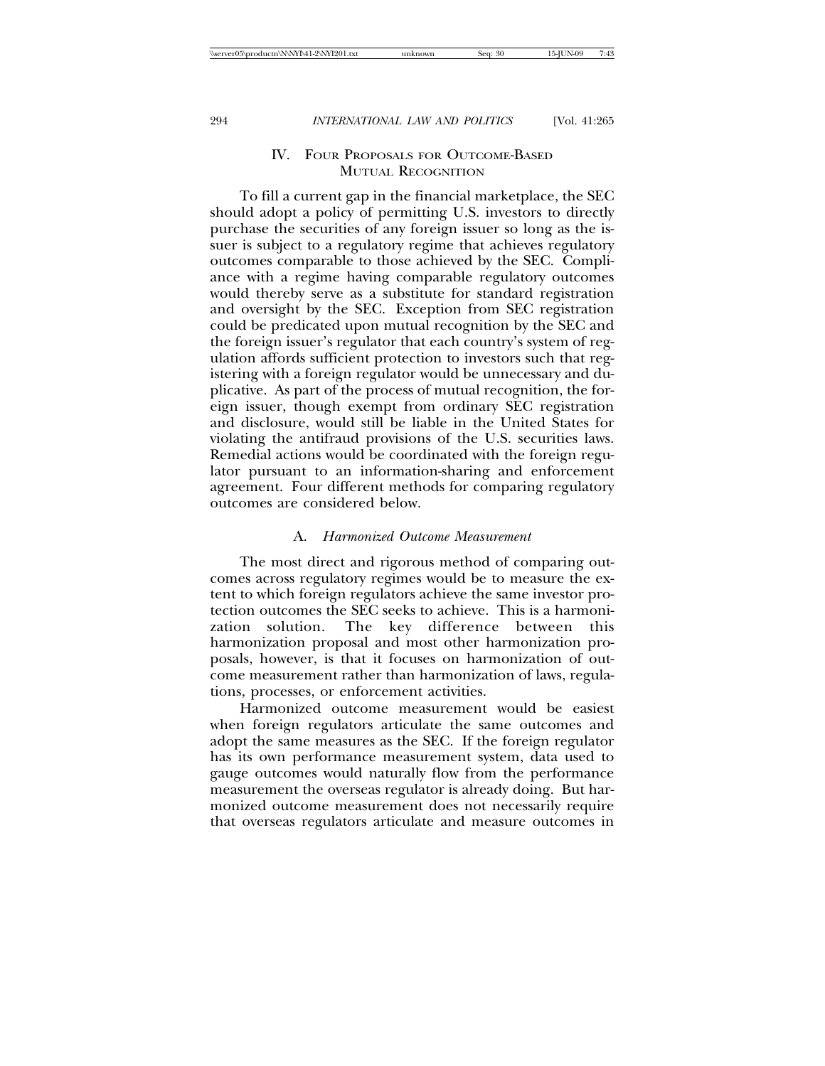## IV. FOUR PROPOSALS FOR OUTCOME-BASED MUTUAL RECOGNITION

To fill a current gap in the financial marketplace, the SEC should adopt a policy of permitting U.S. investors to directly purchase the securities of any foreign issuer so long as the issuer is subject to a regulatory regime that achieves regulatory outcomes comparable to those achieved by the SEC. Compliance with a regime having comparable regulatory outcomes would thereby serve as a substitute for standard registration and oversight by the SEC. Exception from SEC registration could be predicated upon mutual recognition by the SEC and the foreign issuer's regulator that each country's system of regulation affords sufficient protection to investors such that registering with a foreign regulator would be unnecessary and duplicative. As part of the process of mutual recognition, the foreign issuer, though exempt from ordinary SEC registration and disclosure, would still be liable in the United States for violating the antifraud provisions of the U.S. securities laws. Remedial actions would be coordinated with the foreign regulator pursuant to an information-sharing and enforcement agreement. Four different methods for comparing regulatory outcomes are considered below.

#### A. *Harmonized Outcome Measurement*

The most direct and rigorous method of comparing outcomes across regulatory regimes would be to measure the extent to which foreign regulators achieve the same investor protection outcomes the SEC seeks to achieve. This is a harmonization solution. The key difference between this harmonization proposal and most other harmonization proposals, however, is that it focuses on harmonization of outcome measurement rather than harmonization of laws, regulations, processes, or enforcement activities.

Harmonized outcome measurement would be easiest when foreign regulators articulate the same outcomes and adopt the same measures as the SEC. If the foreign regulator has its own performance measurement system, data used to gauge outcomes would naturally flow from the performance measurement the overseas regulator is already doing. But harmonized outcome measurement does not necessarily require that overseas regulators articulate and measure outcomes in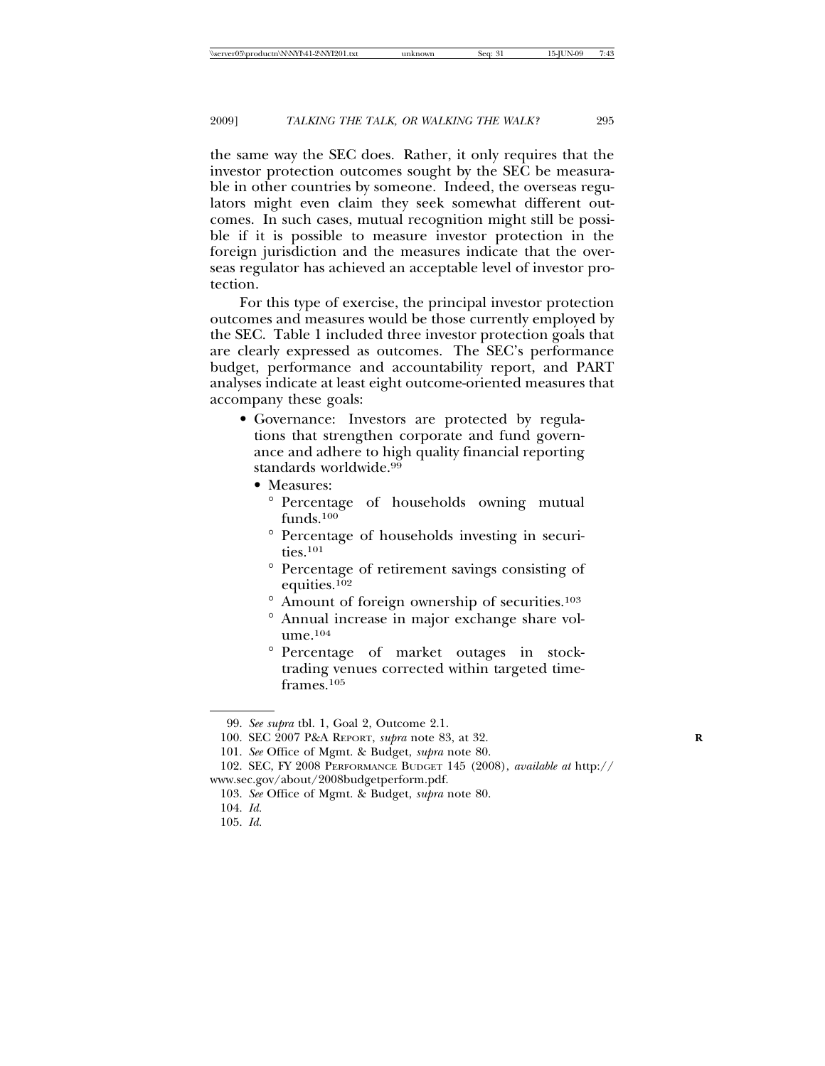the same way the SEC does. Rather, it only requires that the investor protection outcomes sought by the SEC be measurable in other countries by someone. Indeed, the overseas regulators might even claim they seek somewhat different outcomes. In such cases, mutual recognition might still be possible if it is possible to measure investor protection in the foreign jurisdiction and the measures indicate that the overseas regulator has achieved an acceptable level of investor protection.

For this type of exercise, the principal investor protection outcomes and measures would be those currently employed by the SEC. Table 1 included three investor protection goals that are clearly expressed as outcomes. The SEC's performance budget, performance and accountability report, and PART analyses indicate at least eight outcome-oriented measures that accompany these goals:

- Governance: Investors are protected by regulations that strengthen corporate and fund governance and adhere to high quality financial reporting standards worldwide.<sup>99</sup>
	- Measures:
		- ° Percentage of households owning mutual funds.100
		- ° Percentage of households investing in securities.101
		- ° Percentage of retirement savings consisting of equities.102
		- ° Amount of foreign ownership of securities.103
		- ° Annual increase in major exchange share volume.104
		- ° Percentage of market outages in stocktrading venues corrected within targeted timeframes.105

<sup>99.</sup> *See supra* tbl. 1, Goal 2, Outcome 2.1.

<sup>100.</sup> SEC 2007 P&A REPORT, *supra* note 83, at 32. **R**

<sup>101.</sup> *See* Office of Mgmt. & Budget, *supra* note 80.

<sup>102.</sup> SEC, FY 2008 PERFORMANCE BUDGET 145 (2008), *available at* http:// www.sec.gov/about/2008budgetperform.pdf.

<sup>103.</sup> *See* Office of Mgmt. & Budget, *supra* note 80.

<sup>104.</sup> *Id.*

<sup>105.</sup> *Id.*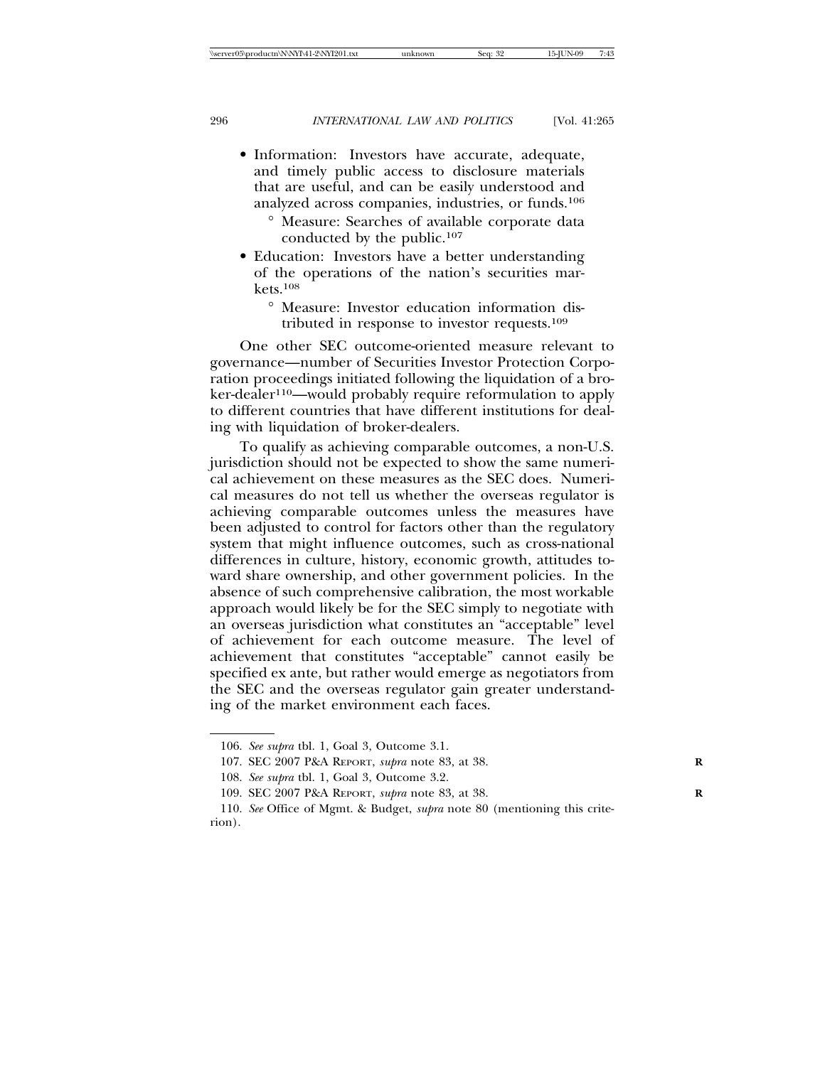- Information: Investors have accurate, adequate, and timely public access to disclosure materials that are useful, and can be easily understood and analyzed across companies, industries, or funds.106
	- ° Measure: Searches of available corporate data conducted by the public.107
- Education: Investors have a better understanding of the operations of the nation's securities markets.108
	- ° Measure: Investor education information distributed in response to investor requests.109

One other SEC outcome-oriented measure relevant to governance—number of Securities Investor Protection Corporation proceedings initiated following the liquidation of a broker-dealer<sup>110</sup>—would probably require reformulation to apply to different countries that have different institutions for dealing with liquidation of broker-dealers.

To qualify as achieving comparable outcomes, a non-U.S. jurisdiction should not be expected to show the same numerical achievement on these measures as the SEC does. Numerical measures do not tell us whether the overseas regulator is achieving comparable outcomes unless the measures have been adjusted to control for factors other than the regulatory system that might influence outcomes, such as cross-national differences in culture, history, economic growth, attitudes toward share ownership, and other government policies. In the absence of such comprehensive calibration, the most workable approach would likely be for the SEC simply to negotiate with an overseas jurisdiction what constitutes an "acceptable" level of achievement for each outcome measure. The level of achievement that constitutes "acceptable" cannot easily be specified ex ante, but rather would emerge as negotiators from the SEC and the overseas regulator gain greater understanding of the market environment each faces.

<sup>106.</sup> *See supra* tbl. 1, Goal 3, Outcome 3.1.

<sup>107.</sup> SEC 2007 P&A REPORT, *supra* note 83, at 38. **R**

<sup>108.</sup> *See supra* tbl. 1, Goal 3, Outcome 3.2.

<sup>109.</sup> SEC 2007 P&A REPORT, *supra* note 83, at 38. **R**

<sup>110.</sup> *See* Office of Mgmt. & Budget, *supra* note 80 (mentioning this criterion).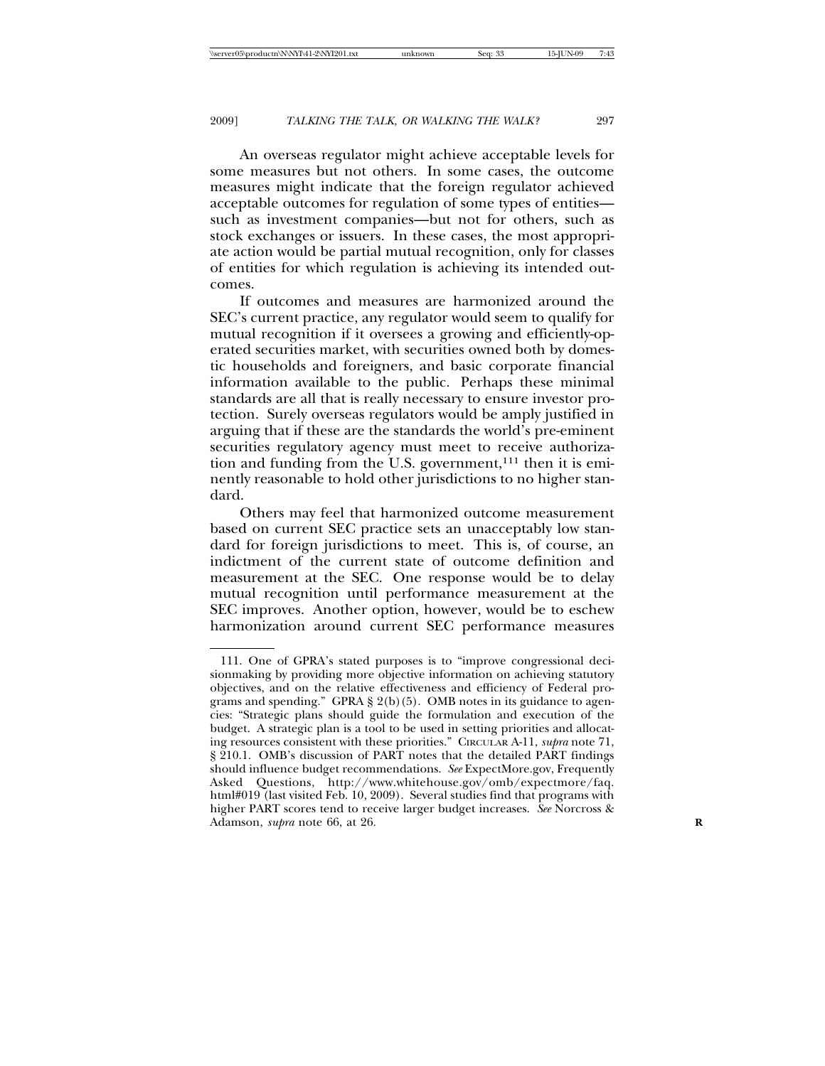An overseas regulator might achieve acceptable levels for some measures but not others. In some cases, the outcome measures might indicate that the foreign regulator achieved acceptable outcomes for regulation of some types of entities such as investment companies—but not for others, such as stock exchanges or issuers. In these cases, the most appropriate action would be partial mutual recognition, only for classes of entities for which regulation is achieving its intended outcomes.

If outcomes and measures are harmonized around the SEC's current practice, any regulator would seem to qualify for mutual recognition if it oversees a growing and efficiently-operated securities market, with securities owned both by domestic households and foreigners, and basic corporate financial information available to the public. Perhaps these minimal standards are all that is really necessary to ensure investor protection. Surely overseas regulators would be amply justified in arguing that if these are the standards the world's pre-eminent securities regulatory agency must meet to receive authorization and funding from the U.S. government,<sup>111</sup> then it is eminently reasonable to hold other jurisdictions to no higher standard.

Others may feel that harmonized outcome measurement based on current SEC practice sets an unacceptably low standard for foreign jurisdictions to meet. This is, of course, an indictment of the current state of outcome definition and measurement at the SEC. One response would be to delay mutual recognition until performance measurement at the SEC improves. Another option, however, would be to eschew harmonization around current SEC performance measures

<sup>111.</sup> One of GPRA's stated purposes is to "improve congressional decisionmaking by providing more objective information on achieving statutory objectives, and on the relative effectiveness and efficiency of Federal programs and spending." GPRA § 2(b)(5). OMB notes in its guidance to agencies: "Strategic plans should guide the formulation and execution of the budget. A strategic plan is a tool to be used in setting priorities and allocating resources consistent with these priorities." CIRCULAR A-11, *supra* note 71, § 210.1. OMB's discussion of PART notes that the detailed PART findings should influence budget recommendations. *See* ExpectMore.gov, Frequently Asked Questions, http://www.whitehouse.gov/omb/expectmore/faq. html#019 (last visited Feb. 10, 2009). Several studies find that programs with higher PART scores tend to receive larger budget increases. *See* Norcross & Adamson, *supra* note 66, at 26. **R**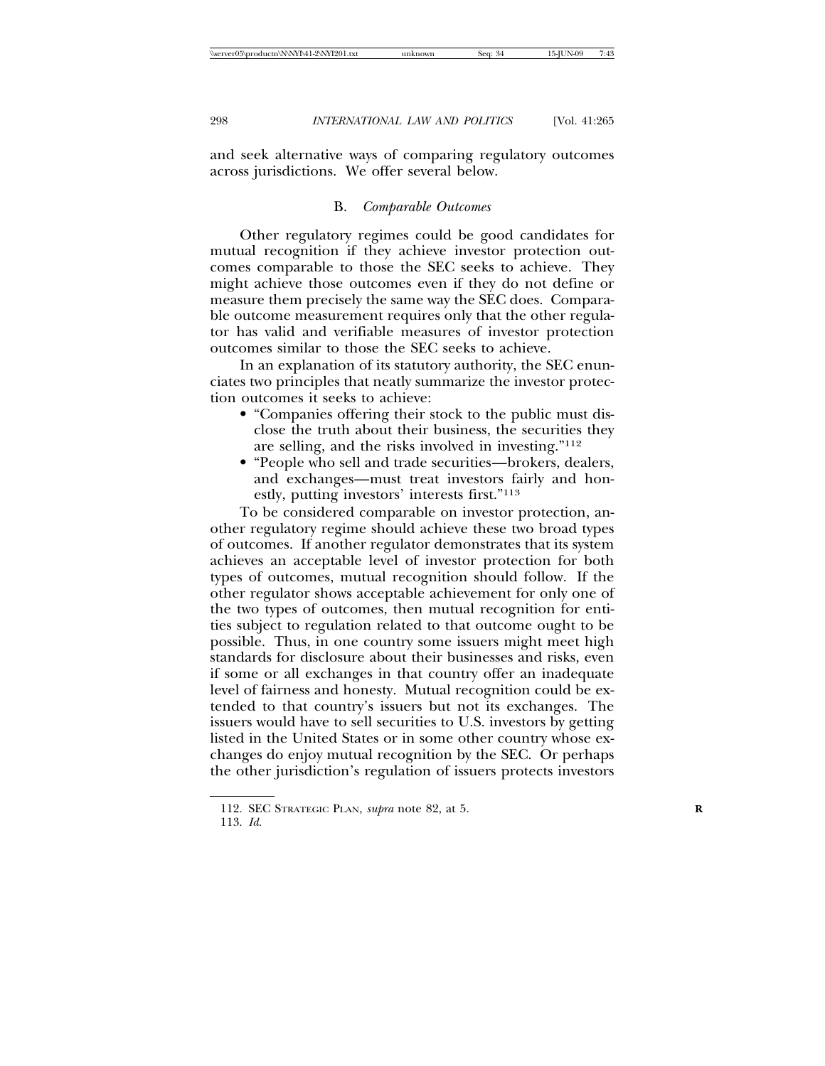and seek alternative ways of comparing regulatory outcomes across jurisdictions. We offer several below.

#### B. *Comparable Outcomes*

Other regulatory regimes could be good candidates for mutual recognition if they achieve investor protection outcomes comparable to those the SEC seeks to achieve. They might achieve those outcomes even if they do not define or measure them precisely the same way the SEC does. Comparable outcome measurement requires only that the other regulator has valid and verifiable measures of investor protection outcomes similar to those the SEC seeks to achieve.

In an explanation of its statutory authority, the SEC enunciates two principles that neatly summarize the investor protection outcomes it seeks to achieve:

- "Companies offering their stock to the public must disclose the truth about their business, the securities they are selling, and the risks involved in investing."112
- "People who sell and trade securities—brokers, dealers, and exchanges—must treat investors fairly and honestly, putting investors' interests first."113

To be considered comparable on investor protection, another regulatory regime should achieve these two broad types of outcomes. If another regulator demonstrates that its system achieves an acceptable level of investor protection for both types of outcomes, mutual recognition should follow. If the other regulator shows acceptable achievement for only one of the two types of outcomes, then mutual recognition for entities subject to regulation related to that outcome ought to be possible. Thus, in one country some issuers might meet high standards for disclosure about their businesses and risks, even if some or all exchanges in that country offer an inadequate level of fairness and honesty. Mutual recognition could be extended to that country's issuers but not its exchanges. The issuers would have to sell securities to U.S. investors by getting listed in the United States or in some other country whose exchanges do enjoy mutual recognition by the SEC. Or perhaps the other jurisdiction's regulation of issuers protects investors

<sup>112.</sup> SEC STRATEGIC PLAN, *supra* note 82, at 5. **R**

<sup>113.</sup> *Id*.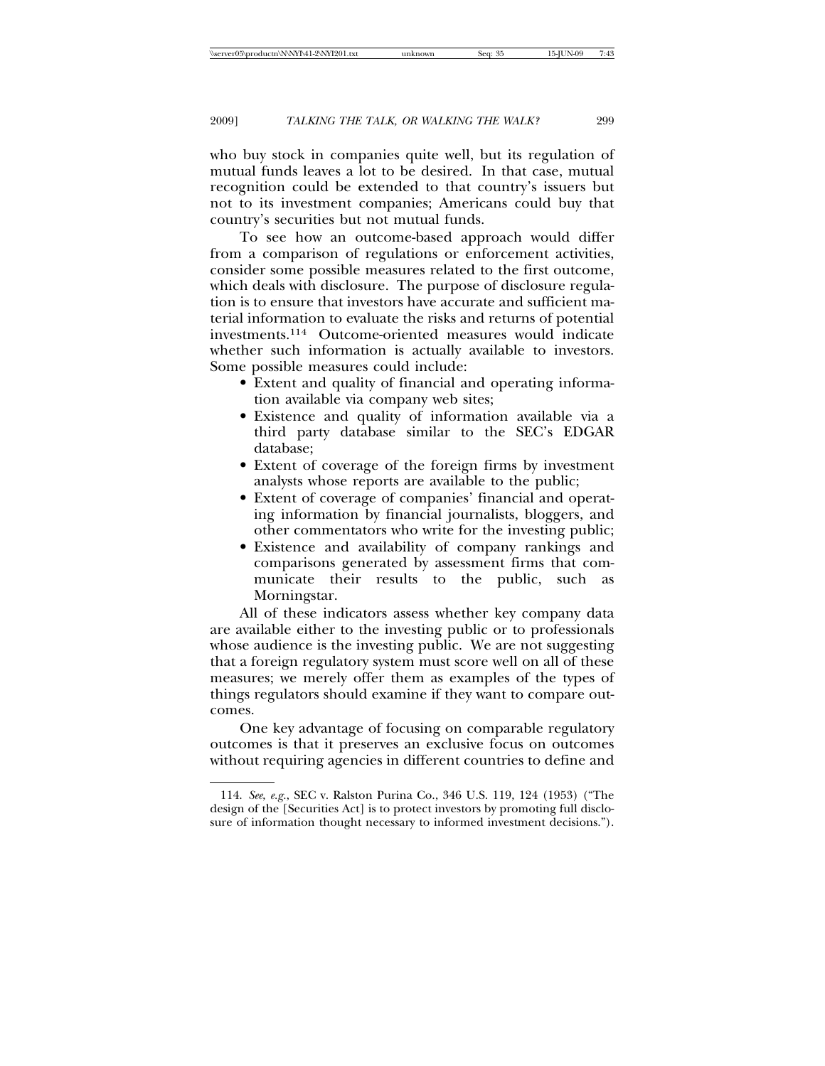who buy stock in companies quite well, but its regulation of mutual funds leaves a lot to be desired. In that case, mutual recognition could be extended to that country's issuers but not to its investment companies; Americans could buy that country's securities but not mutual funds.

To see how an outcome-based approach would differ from a comparison of regulations or enforcement activities, consider some possible measures related to the first outcome, which deals with disclosure. The purpose of disclosure regulation is to ensure that investors have accurate and sufficient material information to evaluate the risks and returns of potential investments.114 Outcome-oriented measures would indicate whether such information is actually available to investors. Some possible measures could include:

- Extent and quality of financial and operating information available via company web sites;
- Existence and quality of information available via a third party database similar to the SEC's EDGAR database;
- Extent of coverage of the foreign firms by investment analysts whose reports are available to the public;
- Extent of coverage of companies' financial and operating information by financial journalists, bloggers, and other commentators who write for the investing public;
- Existence and availability of company rankings and comparisons generated by assessment firms that communicate their results to the public, such as Morningstar.

All of these indicators assess whether key company data are available either to the investing public or to professionals whose audience is the investing public. We are not suggesting that a foreign regulatory system must score well on all of these measures; we merely offer them as examples of the types of things regulators should examine if they want to compare outcomes.

One key advantage of focusing on comparable regulatory outcomes is that it preserves an exclusive focus on outcomes without requiring agencies in different countries to define and

<sup>114.</sup> *See*, *e.g.*, SEC v. Ralston Purina Co., 346 U.S. 119, 124 (1953) ("The design of the [Securities Act] is to protect investors by promoting full disclosure of information thought necessary to informed investment decisions.").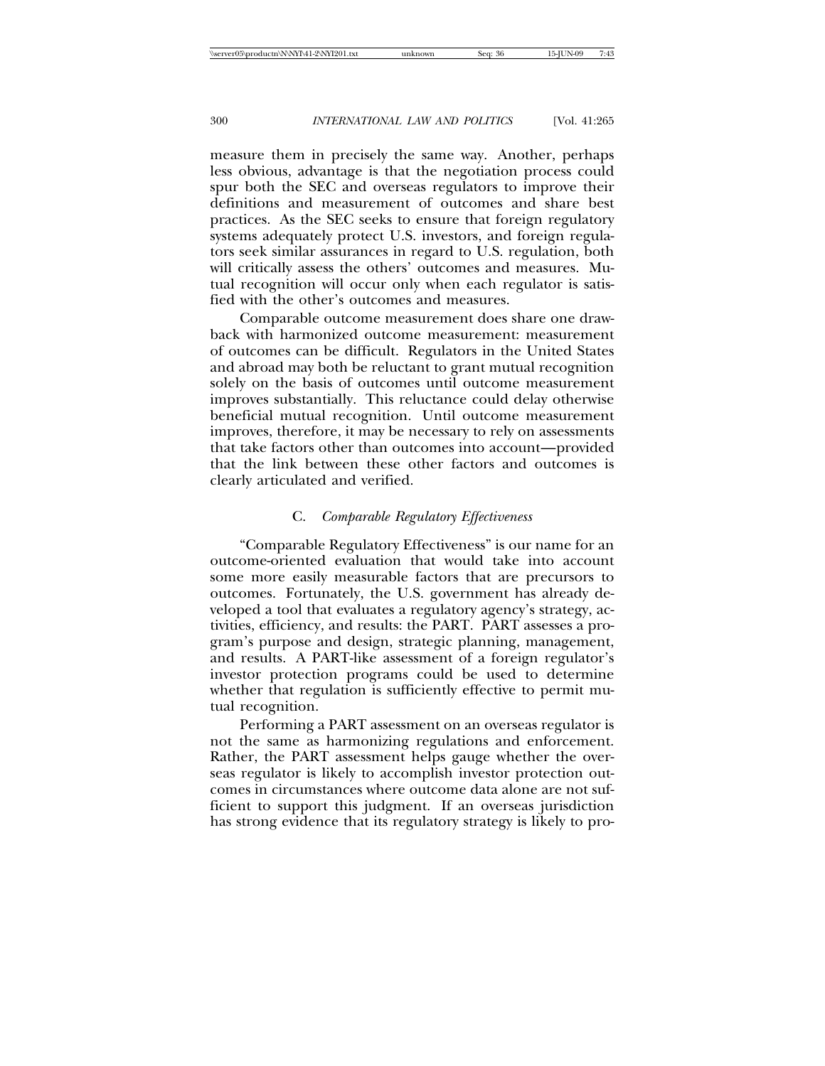measure them in precisely the same way. Another, perhaps less obvious, advantage is that the negotiation process could spur both the SEC and overseas regulators to improve their definitions and measurement of outcomes and share best practices. As the SEC seeks to ensure that foreign regulatory systems adequately protect U.S. investors, and foreign regulators seek similar assurances in regard to U.S. regulation, both will critically assess the others' outcomes and measures. Mutual recognition will occur only when each regulator is satisfied with the other's outcomes and measures.

Comparable outcome measurement does share one drawback with harmonized outcome measurement: measurement of outcomes can be difficult. Regulators in the United States and abroad may both be reluctant to grant mutual recognition solely on the basis of outcomes until outcome measurement improves substantially. This reluctance could delay otherwise beneficial mutual recognition. Until outcome measurement improves, therefore, it may be necessary to rely on assessments that take factors other than outcomes into account—provided that the link between these other factors and outcomes is clearly articulated and verified.

# C. *Comparable Regulatory Effectiveness*

"Comparable Regulatory Effectiveness" is our name for an outcome-oriented evaluation that would take into account some more easily measurable factors that are precursors to outcomes. Fortunately, the U.S. government has already developed a tool that evaluates a regulatory agency's strategy, activities, efficiency, and results: the PART. PART assesses a program's purpose and design, strategic planning, management, and results. A PART-like assessment of a foreign regulator's investor protection programs could be used to determine whether that regulation is sufficiently effective to permit mutual recognition.

Performing a PART assessment on an overseas regulator is not the same as harmonizing regulations and enforcement. Rather, the PART assessment helps gauge whether the overseas regulator is likely to accomplish investor protection outcomes in circumstances where outcome data alone are not sufficient to support this judgment. If an overseas jurisdiction has strong evidence that its regulatory strategy is likely to pro-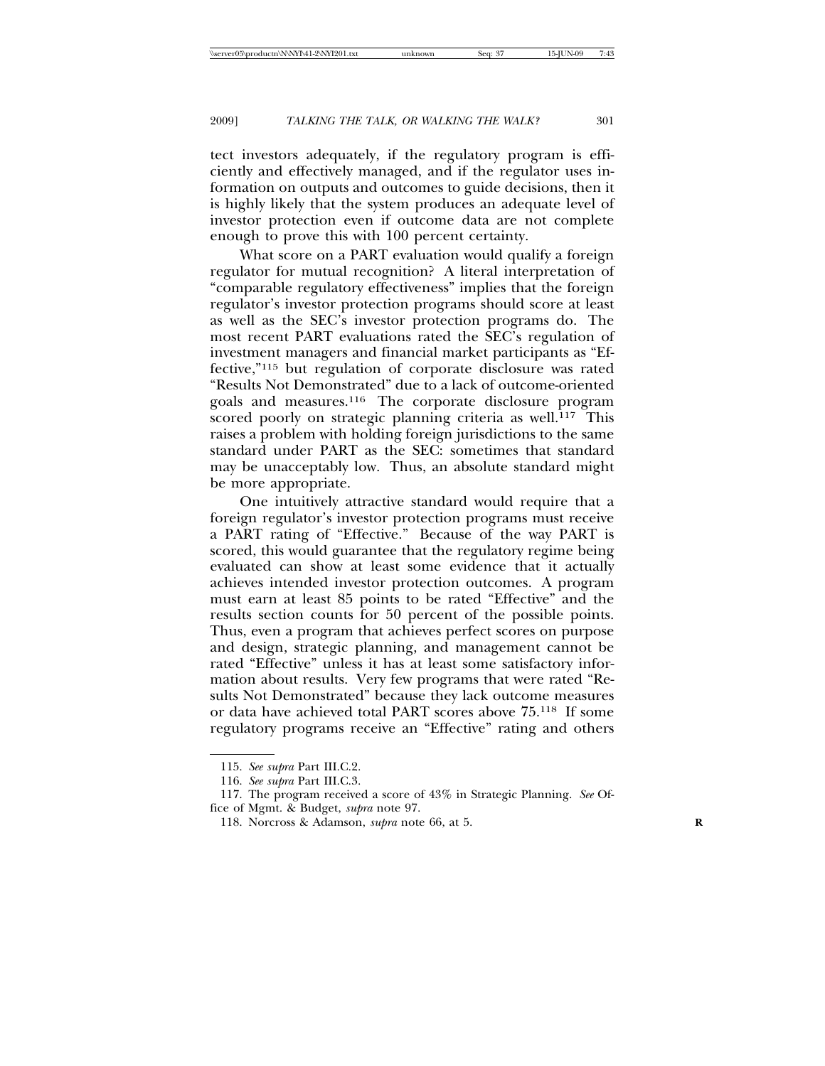tect investors adequately, if the regulatory program is efficiently and effectively managed, and if the regulator uses information on outputs and outcomes to guide decisions, then it is highly likely that the system produces an adequate level of investor protection even if outcome data are not complete enough to prove this with 100 percent certainty.

What score on a PART evaluation would qualify a foreign regulator for mutual recognition? A literal interpretation of "comparable regulatory effectiveness" implies that the foreign regulator's investor protection programs should score at least as well as the SEC's investor protection programs do. The most recent PART evaluations rated the SEC's regulation of investment managers and financial market participants as "Effective,"115 but regulation of corporate disclosure was rated "Results Not Demonstrated" due to a lack of outcome-oriented goals and measures.116 The corporate disclosure program scored poorly on strategic planning criteria as well.<sup>117</sup> This raises a problem with holding foreign jurisdictions to the same standard under PART as the SEC: sometimes that standard may be unacceptably low. Thus, an absolute standard might be more appropriate.

One intuitively attractive standard would require that a foreign regulator's investor protection programs must receive a PART rating of "Effective." Because of the way PART is scored, this would guarantee that the regulatory regime being evaluated can show at least some evidence that it actually achieves intended investor protection outcomes. A program must earn at least 85 points to be rated "Effective" and the results section counts for 50 percent of the possible points. Thus, even a program that achieves perfect scores on purpose and design, strategic planning, and management cannot be rated "Effective" unless it has at least some satisfactory information about results. Very few programs that were rated "Results Not Demonstrated" because they lack outcome measures or data have achieved total PART scores above 75.118 If some regulatory programs receive an "Effective" rating and others

<sup>115.</sup> *See supra* Part III.C.2.

<sup>116.</sup> *See supra* Part III.C.3.

<sup>117.</sup> The program received a score of 43% in Strategic Planning. *See* Office of Mgmt. & Budget, *supra* note 97.

<sup>118.</sup> Norcross & Adamson, *supra* note 66, at 5. **R**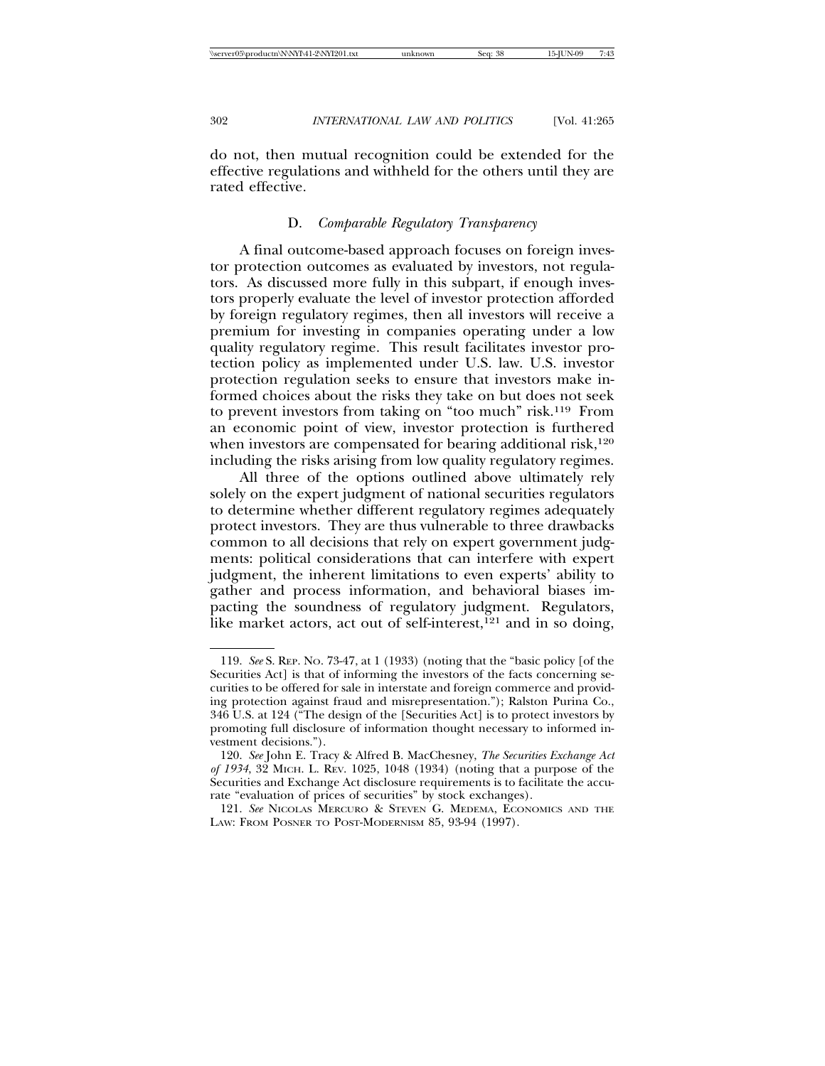do not, then mutual recognition could be extended for the effective regulations and withheld for the others until they are rated effective.

#### D. *Comparable Regulatory Transparency*

A final outcome-based approach focuses on foreign investor protection outcomes as evaluated by investors, not regulators. As discussed more fully in this subpart, if enough investors properly evaluate the level of investor protection afforded by foreign regulatory regimes, then all investors will receive a premium for investing in companies operating under a low quality regulatory regime. This result facilitates investor protection policy as implemented under U.S. law. U.S. investor protection regulation seeks to ensure that investors make informed choices about the risks they take on but does not seek to prevent investors from taking on "too much" risk.119 From an economic point of view, investor protection is furthered when investors are compensated for bearing additional risk,<sup>120</sup> including the risks arising from low quality regulatory regimes.

All three of the options outlined above ultimately rely solely on the expert judgment of national securities regulators to determine whether different regulatory regimes adequately protect investors. They are thus vulnerable to three drawbacks common to all decisions that rely on expert government judgments: political considerations that can interfere with expert judgment, the inherent limitations to even experts' ability to gather and process information, and behavioral biases impacting the soundness of regulatory judgment. Regulators, like market actors, act out of self-interest, $^{121}$  and in so doing,

<sup>119.</sup> *See* S. REP. NO. 73-47, at 1 (1933) (noting that the "basic policy [of the Securities Act] is that of informing the investors of the facts concerning securities to be offered for sale in interstate and foreign commerce and providing protection against fraud and misrepresentation."); Ralston Purina Co., 346 U.S. at 124 ("The design of the [Securities Act] is to protect investors by promoting full disclosure of information thought necessary to informed investment decisions.").

<sup>120.</sup> *See* John E. Tracy & Alfred B. MacChesney, *The Securities Exchange Act of 1934*, 32 MICH. L. REV. 1025, 1048 (1934) (noting that a purpose of the Securities and Exchange Act disclosure requirements is to facilitate the accurate "evaluation of prices of securities" by stock exchanges).

<sup>121.</sup> *See* NICOLAS MERCURO & STEVEN G. MEDEMA, ECONOMICS AND THE LAW: FROM POSNER TO POST-MODERNISM 85, 93-94 (1997).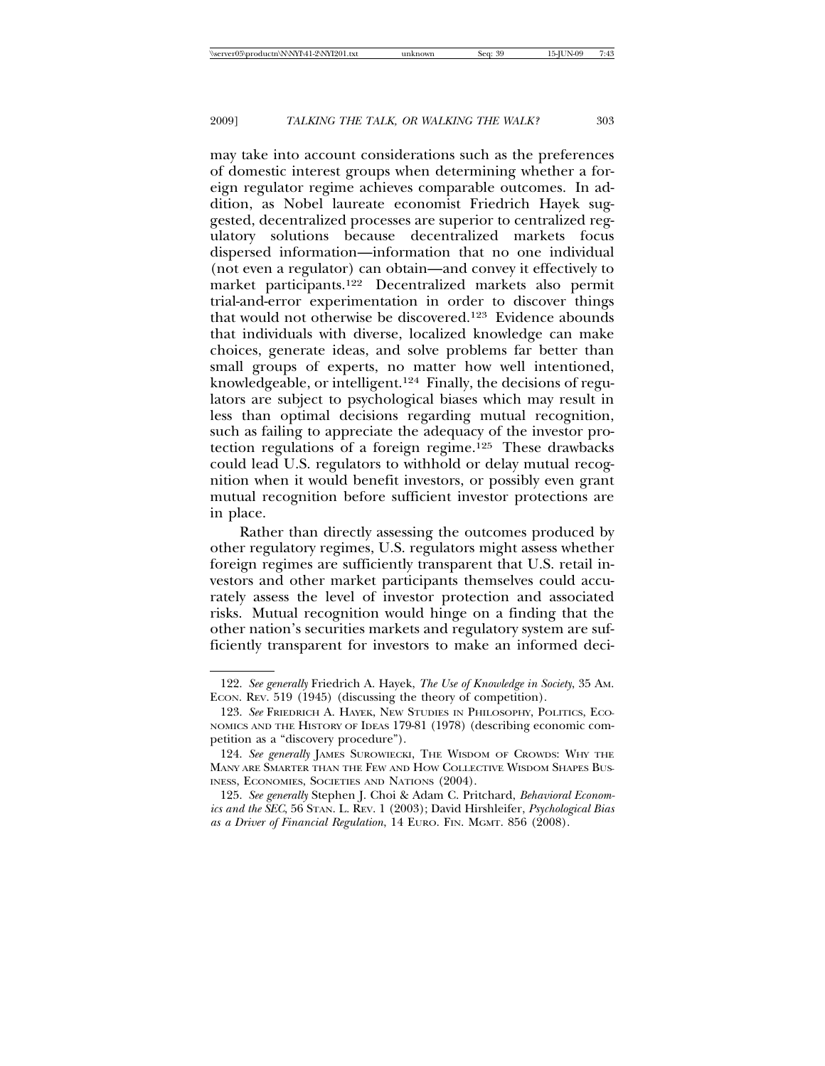may take into account considerations such as the preferences of domestic interest groups when determining whether a foreign regulator regime achieves comparable outcomes. In addition, as Nobel laureate economist Friedrich Hayek suggested, decentralized processes are superior to centralized regulatory solutions because decentralized markets focus dispersed information—information that no one individual (not even a regulator) can obtain—and convey it effectively to market participants.122 Decentralized markets also permit trial-and-error experimentation in order to discover things that would not otherwise be discovered.123 Evidence abounds that individuals with diverse, localized knowledge can make choices, generate ideas, and solve problems far better than small groups of experts, no matter how well intentioned, knowledgeable, or intelligent.124 Finally, the decisions of regulators are subject to psychological biases which may result in less than optimal decisions regarding mutual recognition, such as failing to appreciate the adequacy of the investor protection regulations of a foreign regime.125 These drawbacks could lead U.S. regulators to withhold or delay mutual recognition when it would benefit investors, or possibly even grant mutual recognition before sufficient investor protections are in place.

Rather than directly assessing the outcomes produced by other regulatory regimes, U.S. regulators might assess whether foreign regimes are sufficiently transparent that U.S. retail investors and other market participants themselves could accurately assess the level of investor protection and associated risks. Mutual recognition would hinge on a finding that the other nation's securities markets and regulatory system are sufficiently transparent for investors to make an informed deci-

<sup>122.</sup> *See generally* Friedrich A. Hayek, *The Use of Knowledge in Society*, 35 AM. ECON. REV. 519 (1945) (discussing the theory of competition).

<sup>123.</sup> *See* FRIEDRICH A. HAYEK, NEW STUDIES IN PHILOSOPHY, POLITICS, ECO-NOMICS AND THE HISTORY OF IDEAS 179-81 (1978) (describing economic competition as a "discovery procedure").

<sup>124.</sup> *See generally* JAMES SUROWIECKI, THE WISDOM OF CROWDS: WHY THE MANY ARE SMARTER THAN THE FEW AND HOW COLLECTIVE WISDOM SHAPES BUS-INESS, ECONOMIES, SOCIETIES AND NATIONS (2004).

<sup>125.</sup> *See generally* Stephen J. Choi & Adam C. Pritchard, *Behavioral Economics and the SEC*, 56 STAN. L. REV. 1 (2003); David Hirshleifer, *Psychological Bias as a Driver of Financial Regulation*, 14 EURO. FIN. MGMT. 856 (2008).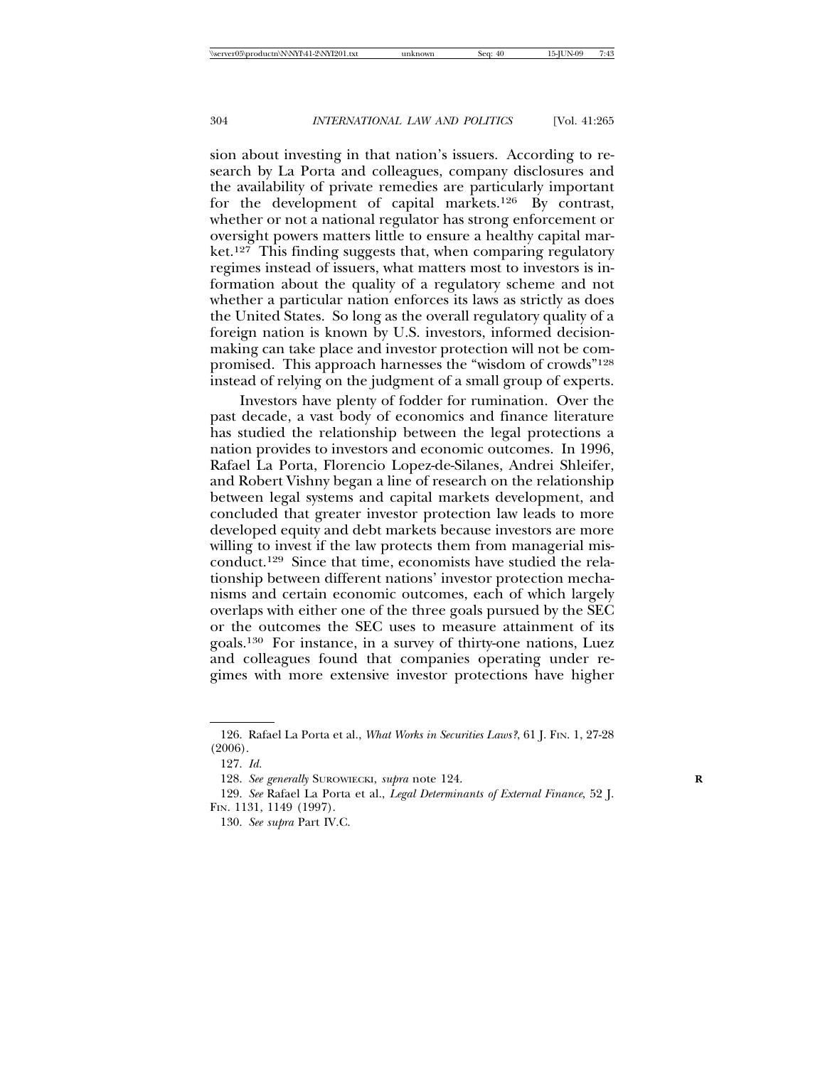sion about investing in that nation's issuers. According to research by La Porta and colleagues, company disclosures and the availability of private remedies are particularly important for the development of capital markets.126 By contrast, whether or not a national regulator has strong enforcement or oversight powers matters little to ensure a healthy capital market.<sup>127</sup> This finding suggests that, when comparing regulatory regimes instead of issuers, what matters most to investors is information about the quality of a regulatory scheme and not whether a particular nation enforces its laws as strictly as does the United States. So long as the overall regulatory quality of a foreign nation is known by U.S. investors, informed decisionmaking can take place and investor protection will not be compromised. This approach harnesses the "wisdom of crowds"128 instead of relying on the judgment of a small group of experts.

Investors have plenty of fodder for rumination. Over the past decade, a vast body of economics and finance literature has studied the relationship between the legal protections a nation provides to investors and economic outcomes. In 1996, Rafael La Porta, Florencio Lopez-de-Silanes, Andrei Shleifer, and Robert Vishny began a line of research on the relationship between legal systems and capital markets development, and concluded that greater investor protection law leads to more developed equity and debt markets because investors are more willing to invest if the law protects them from managerial misconduct.129 Since that time, economists have studied the relationship between different nations' investor protection mechanisms and certain economic outcomes, each of which largely overlaps with either one of the three goals pursued by the SEC or the outcomes the SEC uses to measure attainment of its goals.130 For instance, in a survey of thirty-one nations, Luez and colleagues found that companies operating under regimes with more extensive investor protections have higher

<sup>126.</sup> Rafael La Porta et al., *What Works in Securities Laws?*, 61 J. FIN. 1, 27-28 (2006).

<sup>127.</sup> *Id.*

<sup>128.</sup> *See generally* SUROWIECKI, *supra* note 124. **R**

<sup>129.</sup> *See* Rafael La Porta et al., *Legal Determinants of External Finance*, 52 J. FIN. 1131, 1149 (1997).

<sup>130.</sup> *See supra* Part IV.C.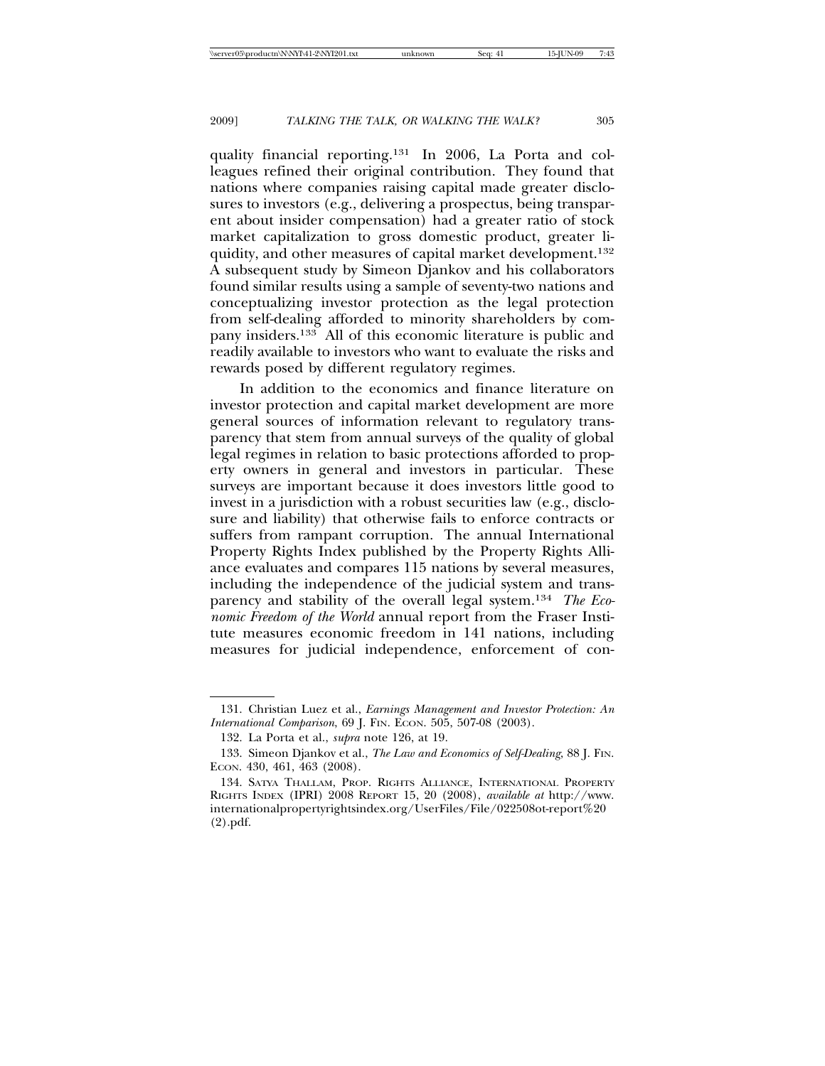quality financial reporting.131 In 2006, La Porta and colleagues refined their original contribution. They found that nations where companies raising capital made greater disclosures to investors (e.g., delivering a prospectus, being transparent about insider compensation) had a greater ratio of stock market capitalization to gross domestic product, greater liquidity, and other measures of capital market development.132 A subsequent study by Simeon Djankov and his collaborators found similar results using a sample of seventy-two nations and conceptualizing investor protection as the legal protection from self-dealing afforded to minority shareholders by company insiders.133 All of this economic literature is public and readily available to investors who want to evaluate the risks and rewards posed by different regulatory regimes.

In addition to the economics and finance literature on investor protection and capital market development are more general sources of information relevant to regulatory transparency that stem from annual surveys of the quality of global legal regimes in relation to basic protections afforded to property owners in general and investors in particular. These surveys are important because it does investors little good to invest in a jurisdiction with a robust securities law (e.g., disclosure and liability) that otherwise fails to enforce contracts or suffers from rampant corruption. The annual International Property Rights Index published by the Property Rights Alliance evaluates and compares 115 nations by several measures, including the independence of the judicial system and transparency and stability of the overall legal system.134 *The Economic Freedom of the World* annual report from the Fraser Institute measures economic freedom in 141 nations, including measures for judicial independence, enforcement of con-

<sup>131.</sup> Christian Luez et al., *Earnings Management and Investor Protection: An International Comparison*, 69 J. FIN. ECON. 505, 507-08 (2003).

<sup>132.</sup> La Porta et al., *supra* note 126, at 19.

<sup>133.</sup> Simeon Djankov et al., *The Law and Economics of Self-Dealing*, 88 J. FIN. ECON. 430, 461, 463 (2008).

<sup>134.</sup> SATYA THALLAM, PROP. RIGHTS ALLIANCE, INTERNATIONAL PROPERTY RIGHTS INDEX (IPRI) 2008 REPORT 15, 20 (2008), *available at* http://www. internationalpropertyrightsindex.org/UserFiles/File/022508ot-report%20 (2).pdf.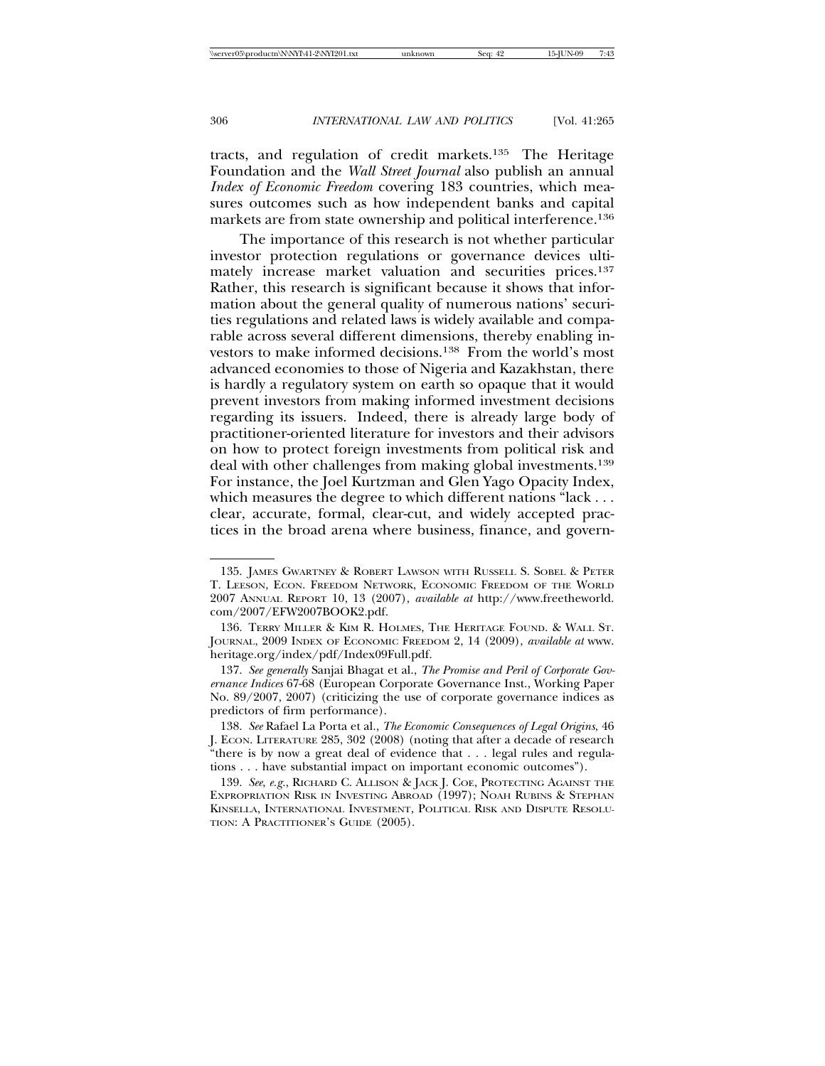tracts, and regulation of credit markets.135 The Heritage Foundation and the *Wall Street Journal* also publish an annual *Index of Economic Freedom* covering 183 countries, which measures outcomes such as how independent banks and capital markets are from state ownership and political interference.136

The importance of this research is not whether particular investor protection regulations or governance devices ultimately increase market valuation and securities prices.137 Rather, this research is significant because it shows that information about the general quality of numerous nations' securities regulations and related laws is widely available and comparable across several different dimensions, thereby enabling investors to make informed decisions.138 From the world's most advanced economies to those of Nigeria and Kazakhstan, there is hardly a regulatory system on earth so opaque that it would prevent investors from making informed investment decisions regarding its issuers. Indeed, there is already large body of practitioner-oriented literature for investors and their advisors on how to protect foreign investments from political risk and deal with other challenges from making global investments.139 For instance, the Joel Kurtzman and Glen Yago Opacity Index, which measures the degree to which different nations "lack . . . clear, accurate, formal, clear-cut, and widely accepted practices in the broad arena where business, finance, and govern-

<sup>135.</sup> JAMES GWARTNEY & ROBERT LAWSON WITH RUSSELL S. SOBEL & PETER T. LEESON, ECON. FREEDOM NETWORK, ECONOMIC FREEDOM OF THE WORLD 2007 ANNUAL REPORT 10, 13 (2007), *available at* http://www.freetheworld. com/2007/EFW2007BOOK2.pdf.

<sup>136.</sup> TERRY MILLER & KIM R. HOLMES, THE HERITAGE FOUND. & WALL ST. JOURNAL, 2009 INDEX OF ECONOMIC FREEDOM 2, 14 (2009), *available at* www. heritage.org/index/pdf/Index09Full.pdf.

<sup>137.</sup> *See generally* Sanjai Bhagat et al., *The Promise and Peril of Corporate Governance Indices* 67-68 (European Corporate Governance Inst., Working Paper No. 89/2007, 2007) (criticizing the use of corporate governance indices as predictors of firm performance).

<sup>138.</sup> *See* Rafael La Porta et al., *The Economic Consequences of Legal Origins*, 46 J. ECON. LITERATURE 285, 302 (2008) (noting that after a decade of research "there is by now a great deal of evidence that . . . legal rules and regulations . . . have substantial impact on important economic outcomes").

<sup>139.</sup> *See*, *e.g.*, RICHARD C. ALLISON & JACK J. COE, PROTECTING AGAINST THE EXPROPRIATION RISK IN INVESTING ABROAD (1997); NOAH RUBINS & STEPHAN KINSELLA, INTERNATIONAL INVESTMENT, POLITICAL RISK AND DISPUTE RESOLU-TION: A PRACTITIONER'S GUIDE (2005).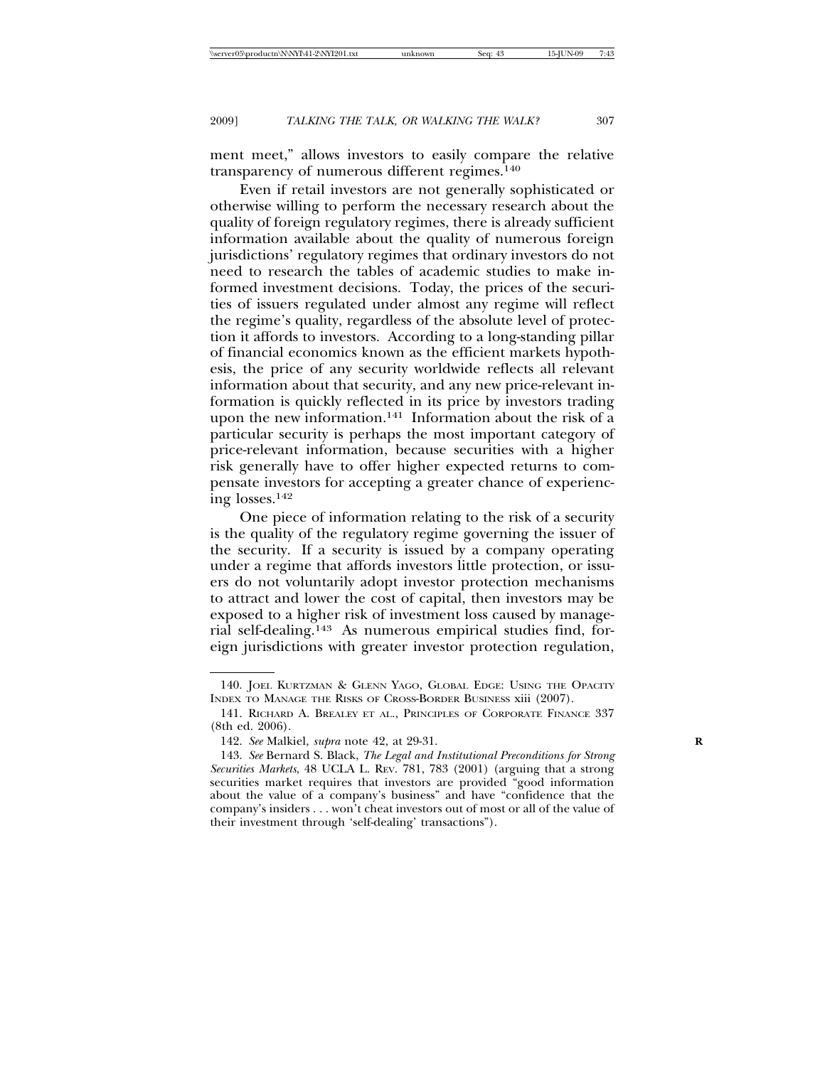ment meet," allows investors to easily compare the relative transparency of numerous different regimes.140

Even if retail investors are not generally sophisticated or otherwise willing to perform the necessary research about the quality of foreign regulatory regimes, there is already sufficient information available about the quality of numerous foreign jurisdictions' regulatory regimes that ordinary investors do not need to research the tables of academic studies to make informed investment decisions. Today, the prices of the securities of issuers regulated under almost any regime will reflect the regime's quality, regardless of the absolute level of protection it affords to investors. According to a long-standing pillar of financial economics known as the efficient markets hypothesis, the price of any security worldwide reflects all relevant information about that security, and any new price-relevant information is quickly reflected in its price by investors trading upon the new information.<sup>141</sup> Information about the risk of  $a$ particular security is perhaps the most important category of price-relevant information, because securities with a higher risk generally have to offer higher expected returns to compensate investors for accepting a greater chance of experiencing losses.142

One piece of information relating to the risk of a security is the quality of the regulatory regime governing the issuer of the security. If a security is issued by a company operating under a regime that affords investors little protection, or issuers do not voluntarily adopt investor protection mechanisms to attract and lower the cost of capital, then investors may be exposed to a higher risk of investment loss caused by managerial self-dealing.143 As numerous empirical studies find, foreign jurisdictions with greater investor protection regulation,

<sup>140.</sup> JOEL KURTZMAN & GLENN YAGO, GLOBAL EDGE: USING THE OPACITY INDEX TO MANAGE THE RISKS OF CROSS-BORDER BUSINESS xiii (2007).

<sup>141.</sup> RICHARD A. BREALEY ET AL., PRINCIPLES OF CORPORATE FINANCE 337 (8th ed. 2006).

<sup>142.</sup> *See* Malkiel, *supra* note 42, at 29-31. **R**

<sup>143.</sup> *See* Bernard S. Black, *The Legal and Institutional Preconditions for Strong Securities Markets*, 48 UCLA L. REV. 781, 783 (2001) (arguing that a strong securities market requires that investors are provided "good information about the value of a company's business" and have "confidence that the company's insiders . . . won't cheat investors out of most or all of the value of their investment through 'self-dealing' transactions").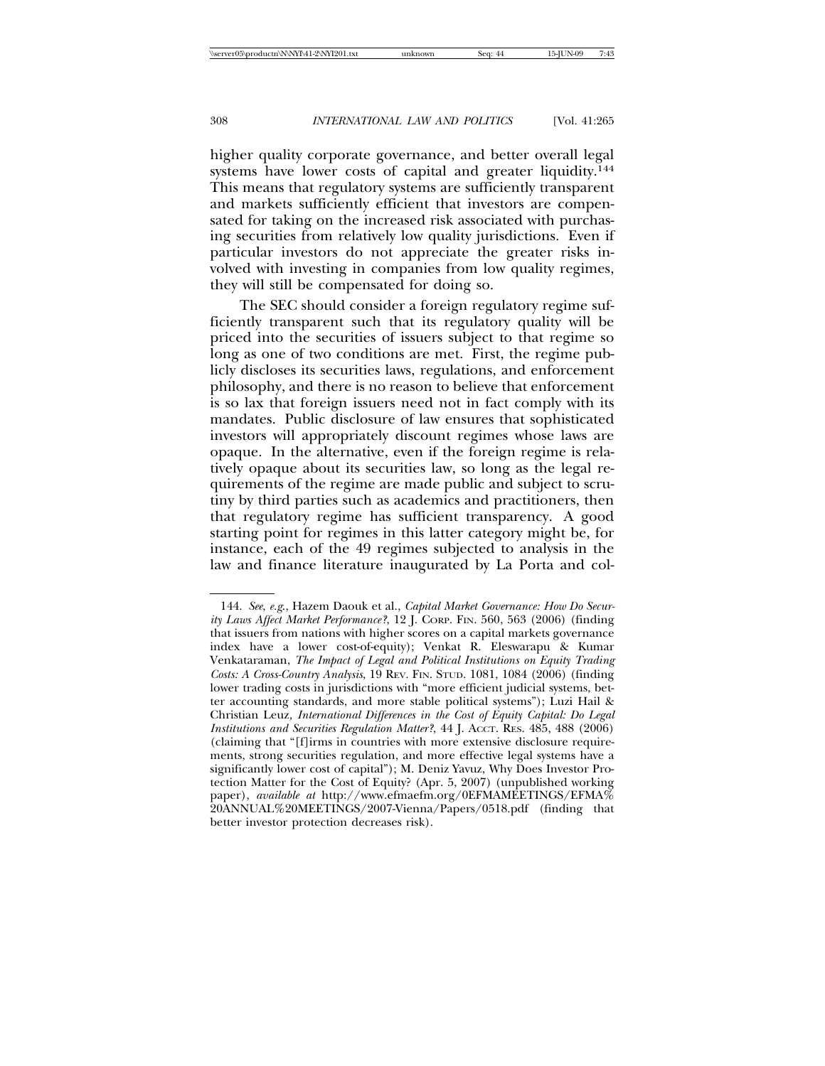higher quality corporate governance, and better overall legal systems have lower costs of capital and greater liquidity.<sup>144</sup> This means that regulatory systems are sufficiently transparent and markets sufficiently efficient that investors are compensated for taking on the increased risk associated with purchasing securities from relatively low quality jurisdictions. Even if particular investors do not appreciate the greater risks involved with investing in companies from low quality regimes, they will still be compensated for doing so.

The SEC should consider a foreign regulatory regime sufficiently transparent such that its regulatory quality will be priced into the securities of issuers subject to that regime so long as one of two conditions are met. First, the regime publicly discloses its securities laws, regulations, and enforcement philosophy, and there is no reason to believe that enforcement is so lax that foreign issuers need not in fact comply with its mandates. Public disclosure of law ensures that sophisticated investors will appropriately discount regimes whose laws are opaque. In the alternative, even if the foreign regime is relatively opaque about its securities law, so long as the legal requirements of the regime are made public and subject to scrutiny by third parties such as academics and practitioners, then that regulatory regime has sufficient transparency. A good starting point for regimes in this latter category might be, for instance, each of the 49 regimes subjected to analysis in the law and finance literature inaugurated by La Porta and col-

<sup>144.</sup> *See*, *e.g*., Hazem Daouk et al., *Capital Market Governance: How Do Security Laws Affect Market Performance?*, 12 J. CORP. FIN. 560, 563 (2006) (finding that issuers from nations with higher scores on a capital markets governance index have a lower cost-of-equity); Venkat R. Eleswarapu & Kumar Venkataraman, *The Impact of Legal and Political Institutions on Equity Trading Costs: A Cross-Country Analysis*, 19 REV. FIN. STUD. 1081, 1084 (2006) (finding lower trading costs in jurisdictions with "more efficient judicial systems, better accounting standards, and more stable political systems"); Luzi Hail & Christian Leuz*, International Differences in the Cost of Equity Capital: Do Legal Institutions and Securities Regulation Matter?*, 44 J. ACCT. RES. 485, 488 (2006) (claiming that "[f]irms in countries with more extensive disclosure requirements, strong securities regulation, and more effective legal systems have a significantly lower cost of capital"); M. Deniz Yavuz, Why Does Investor Protection Matter for the Cost of Equity? (Apr. 5, 2007) (unpublished working paper), *available at* http://www.efmaefm.org/0EFMAMEETINGS/EFMA% 20ANNUAL%20MEETINGS/2007-Vienna/Papers/0518.pdf (finding that better investor protection decreases risk).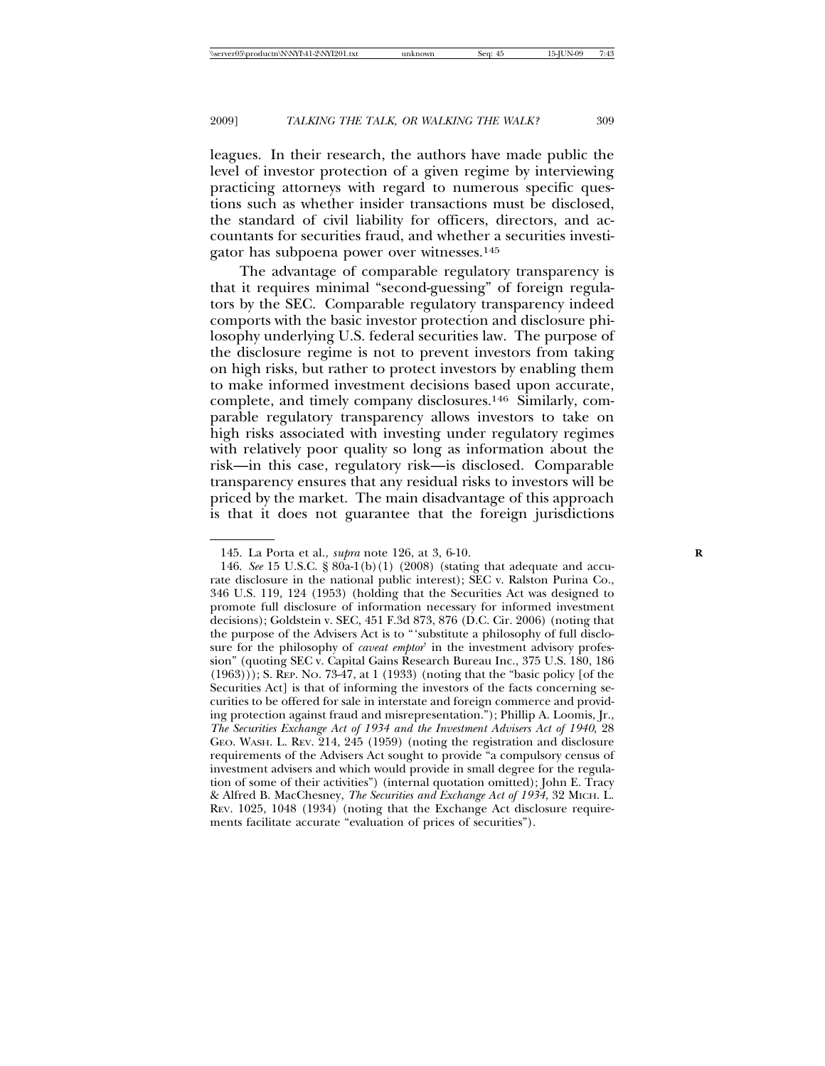leagues. In their research, the authors have made public the level of investor protection of a given regime by interviewing practicing attorneys with regard to numerous specific questions such as whether insider transactions must be disclosed, the standard of civil liability for officers, directors, and accountants for securities fraud, and whether a securities investigator has subpoena power over witnesses.145

The advantage of comparable regulatory transparency is that it requires minimal "second-guessing" of foreign regulators by the SEC. Comparable regulatory transparency indeed comports with the basic investor protection and disclosure philosophy underlying U.S. federal securities law. The purpose of the disclosure regime is not to prevent investors from taking on high risks, but rather to protect investors by enabling them to make informed investment decisions based upon accurate, complete, and timely company disclosures.146 Similarly, comparable regulatory transparency allows investors to take on high risks associated with investing under regulatory regimes with relatively poor quality so long as information about the risk—in this case, regulatory risk—is disclosed. Comparable transparency ensures that any residual risks to investors will be priced by the market. The main disadvantage of this approach is that it does not guarantee that the foreign jurisdictions

<sup>145.</sup> La Porta et al., *supra* note 126, at 3, 6-10. **R**

<sup>146.</sup> *See* 15 U.S.C. § 80a-1(b)(1) (2008) (stating that adequate and accurate disclosure in the national public interest); SEC v. Ralston Purina Co., 346 U.S. 119, 124 (1953) (holding that the Securities Act was designed to promote full disclosure of information necessary for informed investment decisions); Goldstein v. SEC, 451 F.3d 873, 876 (D.C. Cir. 2006) (noting that the purpose of the Advisers Act is to "'substitute a philosophy of full disclosure for the philosophy of *caveat emptor*' in the investment advisory profession" (quoting SEC v. Capital Gains Research Bureau Inc., 375 U.S. 180, 186 (1963))); S. REP. NO. 73-47, at 1 (1933) (noting that the "basic policy [of the Securities Act] is that of informing the investors of the facts concerning securities to be offered for sale in interstate and foreign commerce and providing protection against fraud and misrepresentation."); Phillip A. Loomis, Jr., *The Securities Exchange Act of 1934 and the Investment Advisers Act of 1940*, 28 GEO. WASH. L. REV. 214, 245 (1959) (noting the registration and disclosure requirements of the Advisers Act sought to provide "a compulsory census of investment advisers and which would provide in small degree for the regulation of some of their activities") (internal quotation omitted); John E. Tracy & Alfred B. MacChesney, *The Securities and Exchange Act of 1934*, 32 MICH. L. REV. 1025, 1048 (1934) (noting that the Exchange Act disclosure requirements facilitate accurate "evaluation of prices of securities").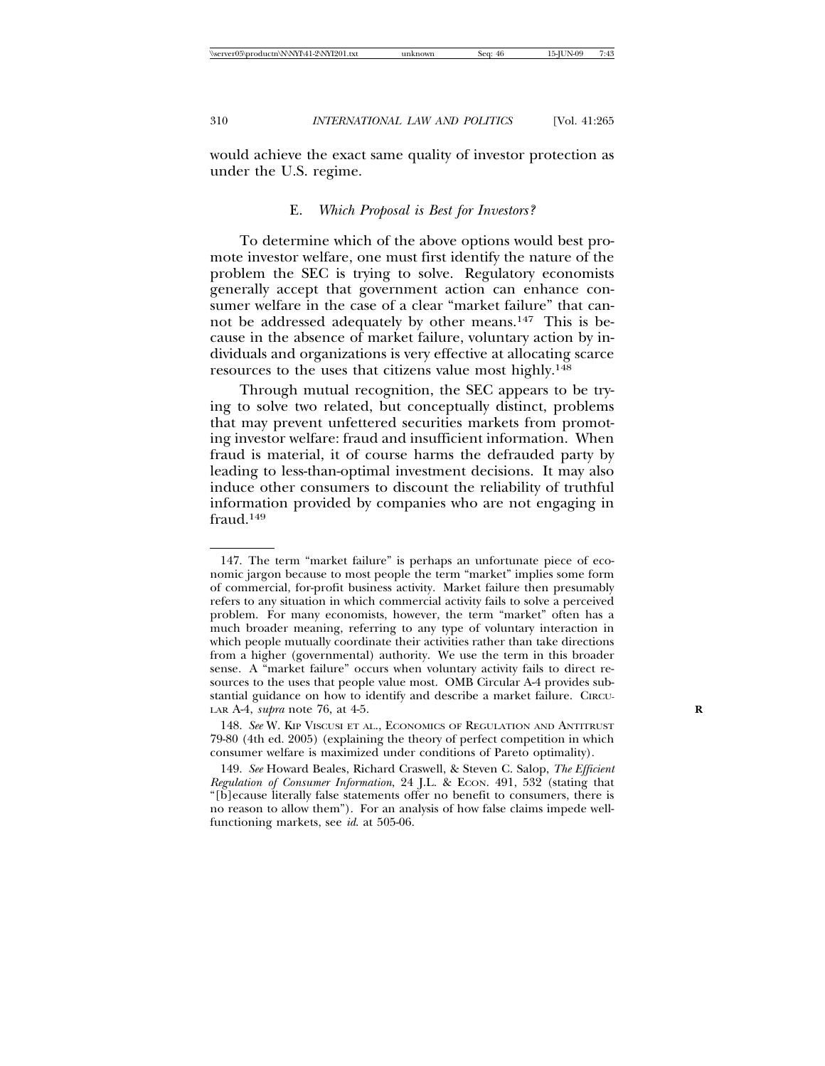would achieve the exact same quality of investor protection as under the U.S. regime.

#### E. *Which Proposal is Best for Investors?*

To determine which of the above options would best promote investor welfare, one must first identify the nature of the problem the SEC is trying to solve. Regulatory economists generally accept that government action can enhance consumer welfare in the case of a clear "market failure" that cannot be addressed adequately by other means.147 This is because in the absence of market failure, voluntary action by individuals and organizations is very effective at allocating scarce resources to the uses that citizens value most highly.148

Through mutual recognition, the SEC appears to be trying to solve two related, but conceptually distinct, problems that may prevent unfettered securities markets from promoting investor welfare: fraud and insufficient information. When fraud is material, it of course harms the defrauded party by leading to less-than-optimal investment decisions. It may also induce other consumers to discount the reliability of truthful information provided by companies who are not engaging in fraud<sup>149</sup>

<sup>147.</sup> The term "market failure" is perhaps an unfortunate piece of economic jargon because to most people the term "market" implies some form of commercial, for-profit business activity. Market failure then presumably refers to any situation in which commercial activity fails to solve a perceived problem. For many economists, however, the term "market" often has a much broader meaning, referring to any type of voluntary interaction in which people mutually coordinate their activities rather than take directions from a higher (governmental) authority. We use the term in this broader sense. A "market failure" occurs when voluntary activity fails to direct resources to the uses that people value most. OMB Circular A-4 provides substantial guidance on how to identify and describe a market failure. CIRCU-LAR A-4, *supra* note 76, at 4-5. **R**

<sup>148.</sup> *See* W. KIP VISCUSI ET AL., ECONOMICS OF REGULATION AND ANTITRUST 79-80 (4th ed. 2005) (explaining the theory of perfect competition in which consumer welfare is maximized under conditions of Pareto optimality).

<sup>149.</sup> *See* Howard Beales, Richard Craswell, & Steven C. Salop, *The Efficient Regulation of Consumer Information*, 24 J.L. & ECON. 491, 532 (stating that "[b]ecause literally false statements offer no benefit to consumers, there is no reason to allow them"). For an analysis of how false claims impede wellfunctioning markets, see *id*. at 505-06.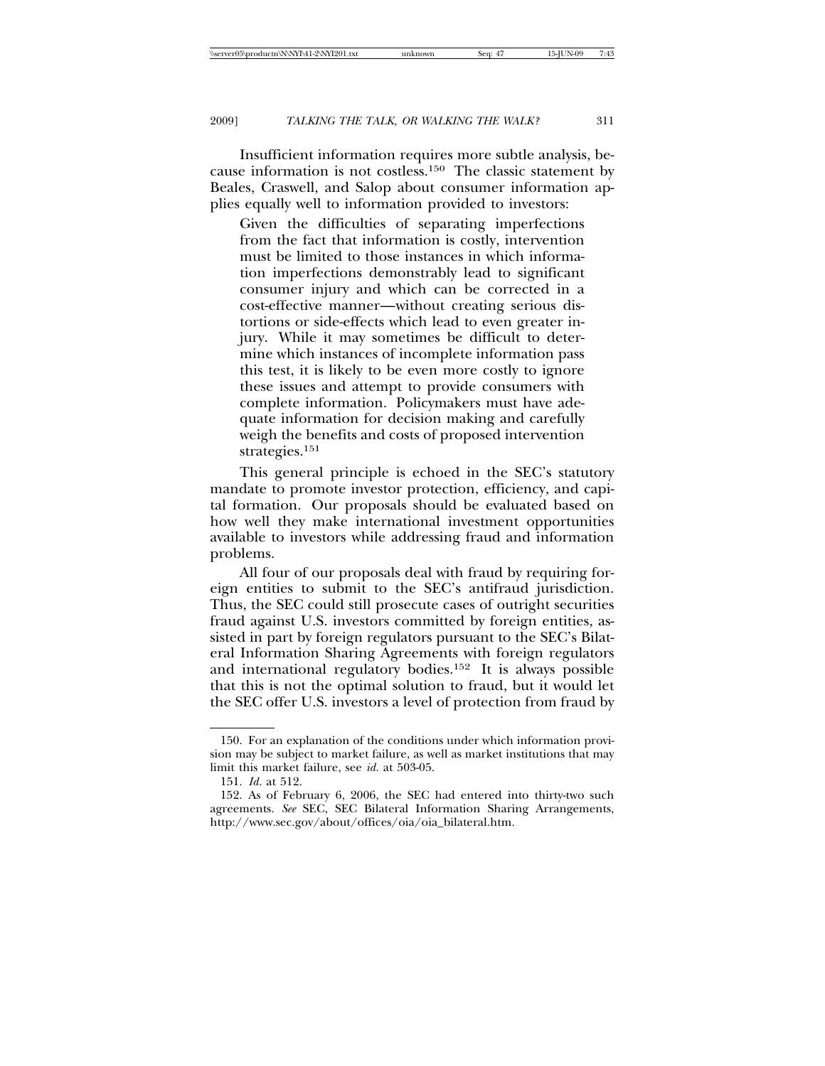Insufficient information requires more subtle analysis, because information is not costless.150 The classic statement by Beales, Craswell, and Salop about consumer information applies equally well to information provided to investors:

Given the difficulties of separating imperfections from the fact that information is costly, intervention must be limited to those instances in which information imperfections demonstrably lead to significant consumer injury and which can be corrected in a cost-effective manner—without creating serious distortions or side-effects which lead to even greater injury. While it may sometimes be difficult to determine which instances of incomplete information pass this test, it is likely to be even more costly to ignore these issues and attempt to provide consumers with complete information. Policymakers must have adequate information for decision making and carefully weigh the benefits and costs of proposed intervention strategies.151

This general principle is echoed in the SEC's statutory mandate to promote investor protection, efficiency, and capital formation. Our proposals should be evaluated based on how well they make international investment opportunities available to investors while addressing fraud and information problems.

All four of our proposals deal with fraud by requiring foreign entities to submit to the SEC's antifraud jurisdiction. Thus, the SEC could still prosecute cases of outright securities fraud against U.S. investors committed by foreign entities, assisted in part by foreign regulators pursuant to the SEC's Bilateral Information Sharing Agreements with foreign regulators and international regulatory bodies.152 It is always possible that this is not the optimal solution to fraud, but it would let the SEC offer U.S. investors a level of protection from fraud by

<sup>150.</sup> For an explanation of the conditions under which information provision may be subject to market failure, as well as market institutions that may limit this market failure, see *id.* at 503-05.

<sup>151.</sup> *Id.* at 512.

<sup>152.</sup> As of February 6, 2006, the SEC had entered into thirty-two such agreements. *See* SEC, SEC Bilateral Information Sharing Arrangements, http://www.sec.gov/about/offices/oia/oia\_bilateral.htm.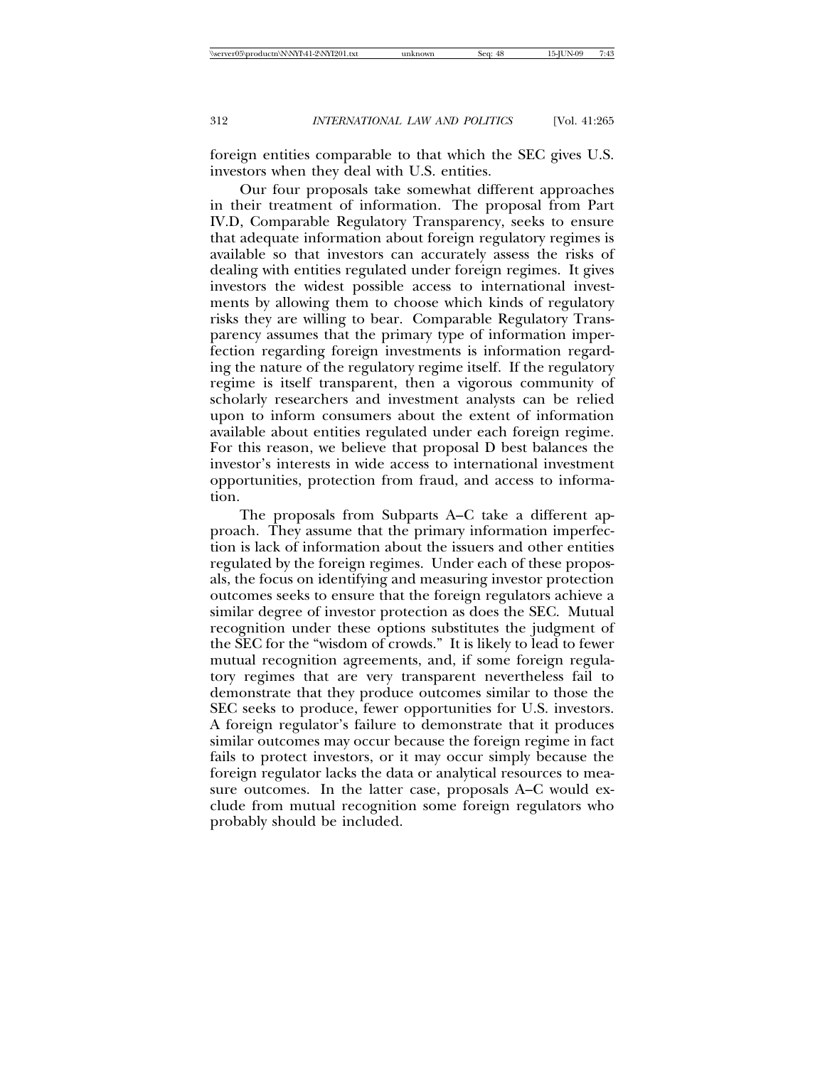foreign entities comparable to that which the SEC gives U.S. investors when they deal with U.S. entities.

Our four proposals take somewhat different approaches in their treatment of information. The proposal from Part IV.D, Comparable Regulatory Transparency, seeks to ensure that adequate information about foreign regulatory regimes is available so that investors can accurately assess the risks of dealing with entities regulated under foreign regimes. It gives investors the widest possible access to international investments by allowing them to choose which kinds of regulatory risks they are willing to bear. Comparable Regulatory Transparency assumes that the primary type of information imperfection regarding foreign investments is information regarding the nature of the regulatory regime itself. If the regulatory regime is itself transparent, then a vigorous community of scholarly researchers and investment analysts can be relied upon to inform consumers about the extent of information available about entities regulated under each foreign regime. For this reason, we believe that proposal D best balances the investor's interests in wide access to international investment opportunities, protection from fraud, and access to information.

The proposals from Subparts A–C take a different approach. They assume that the primary information imperfection is lack of information about the issuers and other entities regulated by the foreign regimes. Under each of these proposals, the focus on identifying and measuring investor protection outcomes seeks to ensure that the foreign regulators achieve a similar degree of investor protection as does the SEC. Mutual recognition under these options substitutes the judgment of the SEC for the "wisdom of crowds." It is likely to lead to fewer mutual recognition agreements, and, if some foreign regulatory regimes that are very transparent nevertheless fail to demonstrate that they produce outcomes similar to those the SEC seeks to produce, fewer opportunities for U.S. investors. A foreign regulator's failure to demonstrate that it produces similar outcomes may occur because the foreign regime in fact fails to protect investors, or it may occur simply because the foreign regulator lacks the data or analytical resources to measure outcomes. In the latter case, proposals A–C would exclude from mutual recognition some foreign regulators who probably should be included.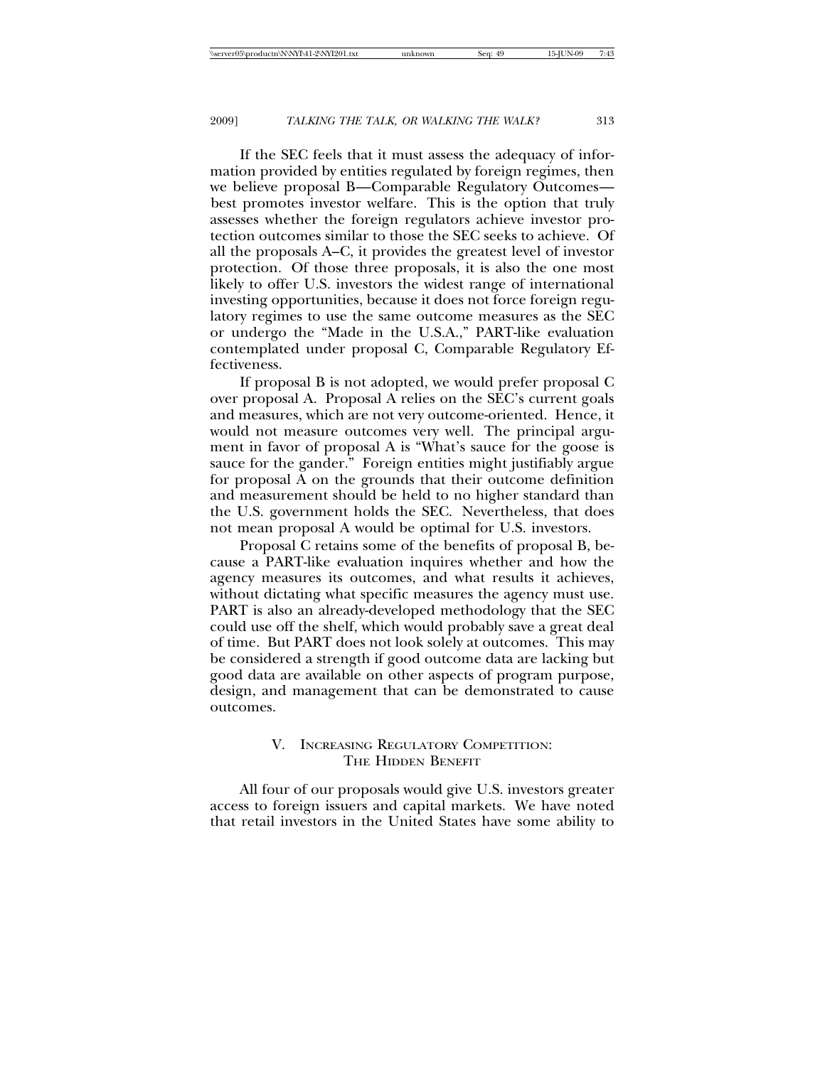If the SEC feels that it must assess the adequacy of information provided by entities regulated by foreign regimes, then we believe proposal B—Comparable Regulatory Outcomes best promotes investor welfare. This is the option that truly assesses whether the foreign regulators achieve investor protection outcomes similar to those the SEC seeks to achieve. Of all the proposals A–C, it provides the greatest level of investor protection. Of those three proposals, it is also the one most likely to offer U.S. investors the widest range of international investing opportunities, because it does not force foreign regulatory regimes to use the same outcome measures as the SEC or undergo the "Made in the U.S.A.," PART-like evaluation contemplated under proposal C, Comparable Regulatory Effectiveness.

If proposal B is not adopted, we would prefer proposal C over proposal A. Proposal A relies on the SEC's current goals and measures, which are not very outcome-oriented. Hence, it would not measure outcomes very well. The principal argument in favor of proposal A is "What's sauce for the goose is sauce for the gander." Foreign entities might justifiably argue for proposal A on the grounds that their outcome definition and measurement should be held to no higher standard than the U.S. government holds the SEC. Nevertheless, that does not mean proposal A would be optimal for U.S. investors.

Proposal C retains some of the benefits of proposal B, because a PART-like evaluation inquires whether and how the agency measures its outcomes, and what results it achieves, without dictating what specific measures the agency must use. PART is also an already-developed methodology that the SEC could use off the shelf, which would probably save a great deal of time. But PART does not look solely at outcomes. This may be considered a strength if good outcome data are lacking but good data are available on other aspects of program purpose, design, and management that can be demonstrated to cause outcomes.

## V. INCREASING REGULATORY COMPETITION: THE HIDDEN BENEFIT

All four of our proposals would give U.S. investors greater access to foreign issuers and capital markets. We have noted that retail investors in the United States have some ability to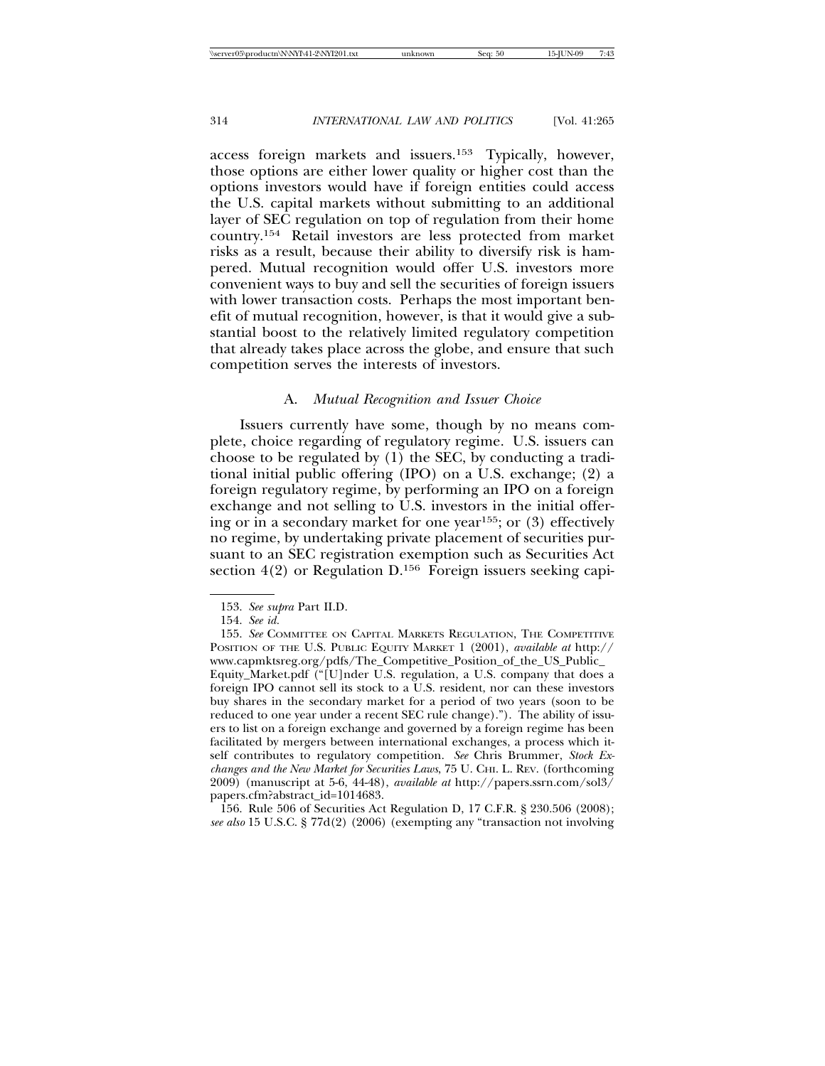access foreign markets and issuers.153 Typically, however, those options are either lower quality or higher cost than the options investors would have if foreign entities could access the U.S. capital markets without submitting to an additional layer of SEC regulation on top of regulation from their home country.154 Retail investors are less protected from market risks as a result, because their ability to diversify risk is hampered. Mutual recognition would offer U.S. investors more convenient ways to buy and sell the securities of foreign issuers with lower transaction costs. Perhaps the most important benefit of mutual recognition, however, is that it would give a substantial boost to the relatively limited regulatory competition that already takes place across the globe, and ensure that such competition serves the interests of investors.

### A. *Mutual Recognition and Issuer Choice*

Issuers currently have some, though by no means complete, choice regarding of regulatory regime. U.S. issuers can choose to be regulated by  $(1)$  the SEC, by conducting a traditional initial public offering (IPO) on a U.S. exchange; (2) a foreign regulatory regime, by performing an IPO on a foreign exchange and not selling to U.S. investors in the initial offering or in a secondary market for one year<sup>155</sup>; or  $(3)$  effectively no regime, by undertaking private placement of securities pursuant to an SEC registration exemption such as Securities Act section 4(2) or Regulation D.<sup>156</sup> Foreign issuers seeking capi-

156. Rule 506 of Securities Act Regulation D, 17 C.F.R. § 230.506 (2008); *see also* 15 U.S.C. § 77d(2) (2006) (exempting any "transaction not involving

<sup>153.</sup> *See supra* Part II.D.

<sup>154.</sup> *See id.*

<sup>155.</sup> *See* COMMITTEE ON CAPITAL MARKETS REGULATION, THE COMPETITIVE POSITION OF THE U.S. PUBLIC EQUITY MARKET 1 (2001), *available at* http:// www.capmktsreg.org/pdfs/The\_Competitive\_Position\_of\_the\_US\_Public\_ Equity\_Market.pdf ("[U]nder U.S. regulation, a U.S. company that does a foreign IPO cannot sell its stock to a U.S. resident, nor can these investors buy shares in the secondary market for a period of two years (soon to be reduced to one year under a recent SEC rule change)."). The ability of issuers to list on a foreign exchange and governed by a foreign regime has been facilitated by mergers between international exchanges, a process which itself contributes to regulatory competition. *See* Chris Brummer, *Stock Exchanges and the New Market for Securities Laws*, 75 U. CHI. L. REV. (forthcoming 2009) (manuscript at 5-6, 44-48), *available at* http://papers.ssrn.com/sol3/ papers.cfm?abstract\_id=1014683.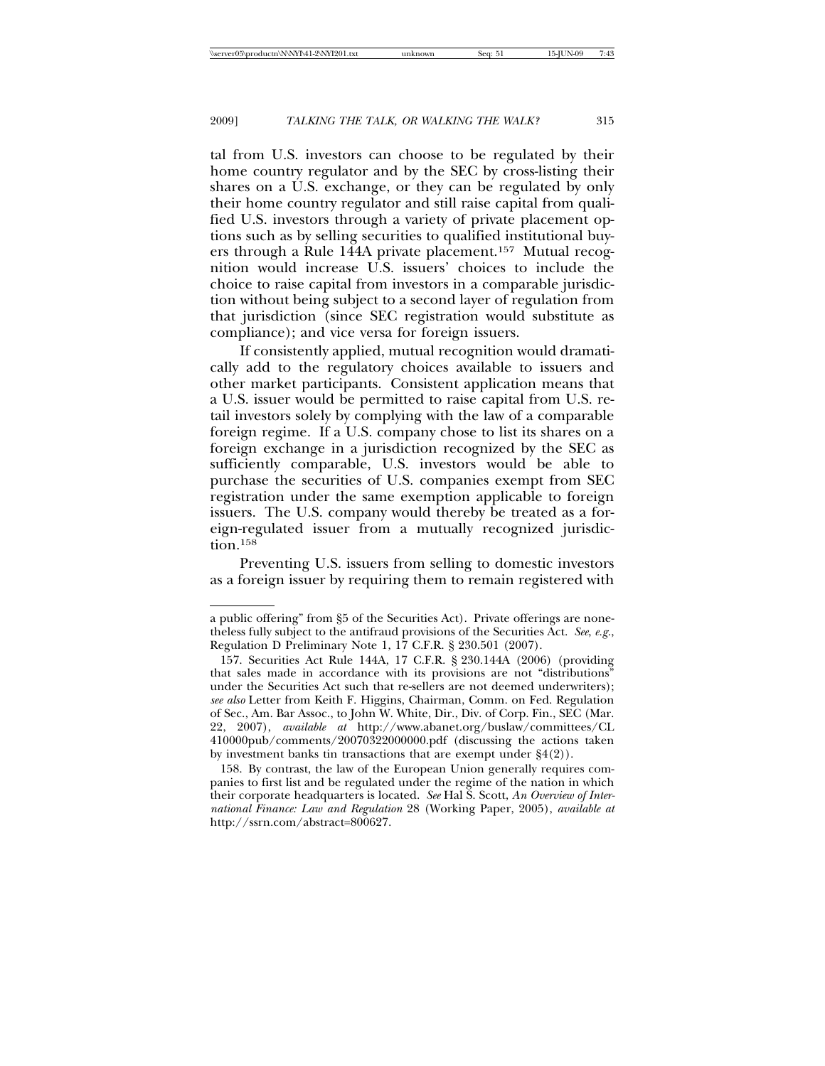tal from U.S. investors can choose to be regulated by their home country regulator and by the SEC by cross-listing their shares on a U.S. exchange, or they can be regulated by only their home country regulator and still raise capital from qualified U.S. investors through a variety of private placement options such as by selling securities to qualified institutional buyers through a Rule 144A private placement.157 Mutual recognition would increase U.S. issuers' choices to include the choice to raise capital from investors in a comparable jurisdiction without being subject to a second layer of regulation from that jurisdiction (since SEC registration would substitute as compliance); and vice versa for foreign issuers.

If consistently applied, mutual recognition would dramatically add to the regulatory choices available to issuers and other market participants. Consistent application means that a U.S. issuer would be permitted to raise capital from U.S. retail investors solely by complying with the law of a comparable foreign regime. If a U.S. company chose to list its shares on a foreign exchange in a jurisdiction recognized by the SEC as sufficiently comparable, U.S. investors would be able to purchase the securities of U.S. companies exempt from SEC registration under the same exemption applicable to foreign issuers. The U.S. company would thereby be treated as a foreign-regulated issuer from a mutually recognized jurisdic $tion.$ <sup>158</sup>

Preventing U.S. issuers from selling to domestic investors as a foreign issuer by requiring them to remain registered with

a public offering" from §5 of the Securities Act). Private offerings are nonetheless fully subject to the antifraud provisions of the Securities Act. *See*, *e.g.*, Regulation D Preliminary Note 1, 17 C.F.R. § 230.501 (2007).

<sup>157.</sup> Securities Act Rule 144A, 17 C.F.R. § 230.144A (2006) (providing that sales made in accordance with its provisions are not "distributions" under the Securities Act such that re-sellers are not deemed underwriters); *see also* Letter from Keith F. Higgins, Chairman, Comm. on Fed. Regulation of Sec., Am. Bar Assoc., to John W. White, Dir., Div. of Corp. Fin., SEC (Mar. 22, 2007), *available at* http://www.abanet.org/buslaw/committees/CL 410000pub/comments/20070322000000.pdf (discussing the actions taken by investment banks tin transactions that are exempt under §4(2)).

<sup>158.</sup> By contrast, the law of the European Union generally requires companies to first list and be regulated under the regime of the nation in which their corporate headquarters is located. *See* Hal S. Scott, *An Overview of International Finance: Law and Regulation* 28 (Working Paper, 2005), *available at* http://ssrn.com/abstract=800627.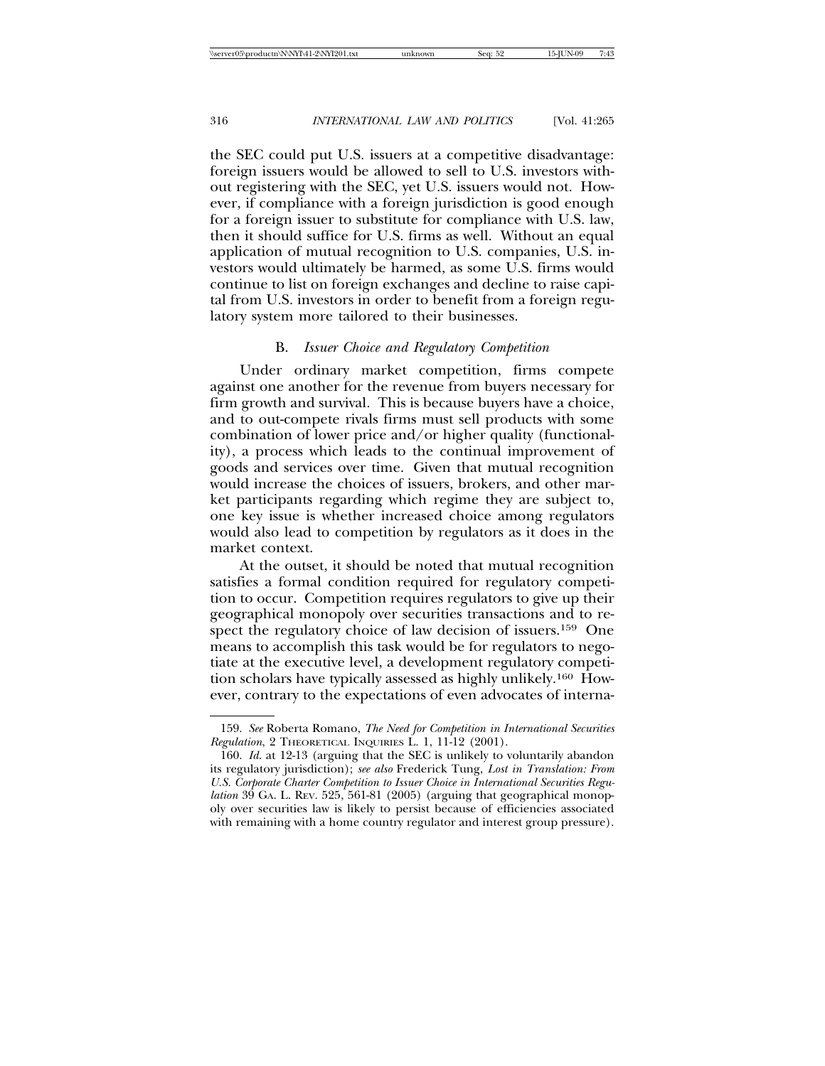the SEC could put U.S. issuers at a competitive disadvantage: foreign issuers would be allowed to sell to U.S. investors without registering with the SEC, yet U.S. issuers would not. However, if compliance with a foreign jurisdiction is good enough for a foreign issuer to substitute for compliance with U.S. law, then it should suffice for U.S. firms as well. Without an equal application of mutual recognition to U.S. companies, U.S. investors would ultimately be harmed, as some U.S. firms would continue to list on foreign exchanges and decline to raise capital from U.S. investors in order to benefit from a foreign regulatory system more tailored to their businesses.

## B. *Issuer Choice and Regulatory Competition*

Under ordinary market competition, firms compete against one another for the revenue from buyers necessary for firm growth and survival. This is because buyers have a choice, and to out-compete rivals firms must sell products with some combination of lower price and/or higher quality (functionality), a process which leads to the continual improvement of goods and services over time. Given that mutual recognition would increase the choices of issuers, brokers, and other market participants regarding which regime they are subject to, one key issue is whether increased choice among regulators would also lead to competition by regulators as it does in the market context.

At the outset, it should be noted that mutual recognition satisfies a formal condition required for regulatory competition to occur. Competition requires regulators to give up their geographical monopoly over securities transactions and to respect the regulatory choice of law decision of issuers.<sup>159</sup> One means to accomplish this task would be for regulators to negotiate at the executive level, a development regulatory competition scholars have typically assessed as highly unlikely.160 However, contrary to the expectations of even advocates of interna-

<sup>159.</sup> *See* Roberta Romano, *The Need for Competition in International Securities Regulation*, 2 THEORETICAL INQUIRIES L. 1, 11-12 (2001).

<sup>160.</sup> *Id*. at 12-13 (arguing that the SEC is unlikely to voluntarily abandon its regulatory jurisdiction); *see also* Frederick Tung, *Lost in Translation: From U.S. Corporate Charter Competition to Issuer Choice in International Securities Regulation* 39 GA. L. REV. 525, 561-81 (2005) (arguing that geographical monopoly over securities law is likely to persist because of efficiencies associated with remaining with a home country regulator and interest group pressure).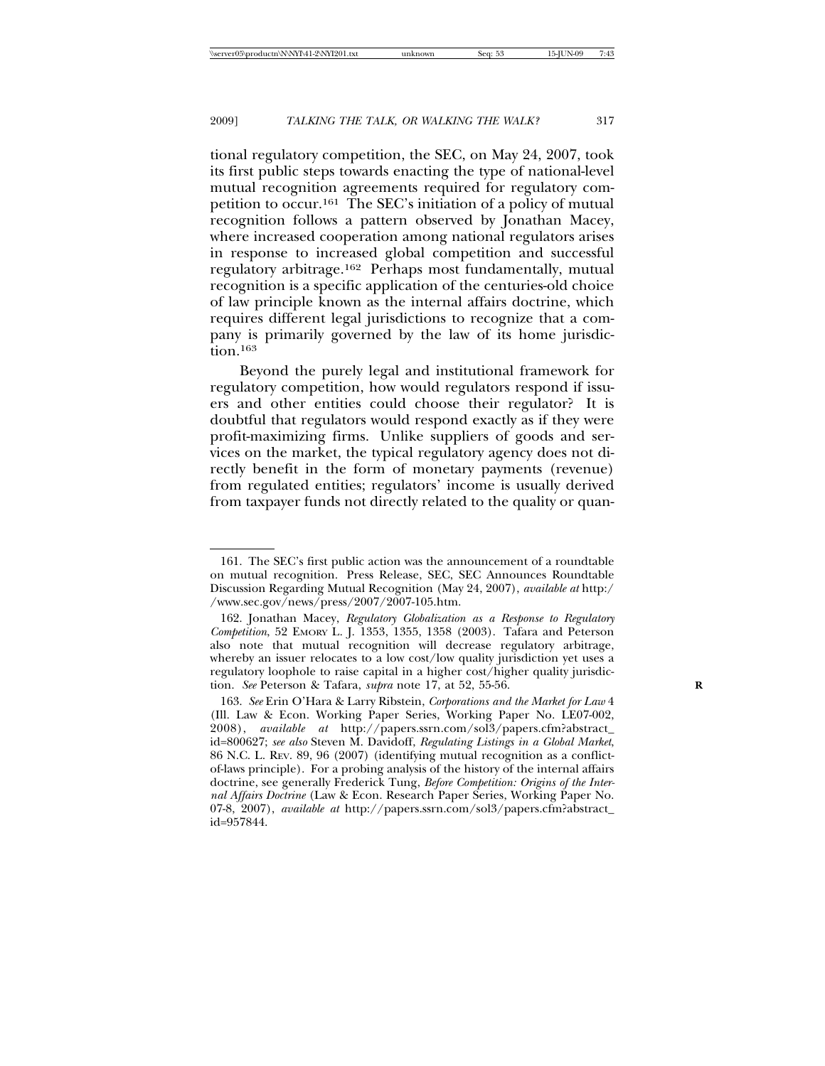tional regulatory competition, the SEC, on May 24, 2007, took its first public steps towards enacting the type of national-level mutual recognition agreements required for regulatory competition to occur.161 The SEC's initiation of a policy of mutual recognition follows a pattern observed by Jonathan Macey, where increased cooperation among national regulators arises in response to increased global competition and successful regulatory arbitrage.162 Perhaps most fundamentally, mutual recognition is a specific application of the centuries-old choice of law principle known as the internal affairs doctrine, which requires different legal jurisdictions to recognize that a company is primarily governed by the law of its home jurisdiction.163

Beyond the purely legal and institutional framework for regulatory competition, how would regulators respond if issuers and other entities could choose their regulator? It is doubtful that regulators would respond exactly as if they were profit-maximizing firms. Unlike suppliers of goods and services on the market, the typical regulatory agency does not directly benefit in the form of monetary payments (revenue) from regulated entities; regulators' income is usually derived from taxpayer funds not directly related to the quality or quan-

<sup>161.</sup> The SEC's first public action was the announcement of a roundtable on mutual recognition. Press Release, SEC, SEC Announces Roundtable Discussion Regarding Mutual Recognition (May 24, 2007), *available at* http:/ /www.sec.gov/news/press/2007/2007-105.htm.

<sup>162.</sup> Jonathan Macey, *Regulatory Globalization as a Response to Regulatory Competition*, 52 EMORY L. J. 1353, 1355, 1358 (2003). Tafara and Peterson also note that mutual recognition will decrease regulatory arbitrage, whereby an issuer relocates to a low cost/low quality jurisdiction yet uses a regulatory loophole to raise capital in a higher cost/higher quality jurisdiction. *See* Peterson & Tafara, *supra* note 17, at 52, 55-56. **R**

<sup>163.</sup> *See* Erin O'Hara & Larry Ribstein, *Corporations and the Market for Law* 4 (Ill. Law & Econ. Working Paper Series, Working Paper No. LE07-002, 2008), *available at* http://papers.ssrn.com/sol3/papers.cfm?abstract\_ id=800627; *see also* Steven M. Davidoff, *Regulating Listings in a Global Market*, 86 N.C. L. REV. 89, 96 (2007) (identifying mutual recognition as a conflictof-laws principle). For a probing analysis of the history of the internal affairs doctrine, see generally Frederick Tung, *Before Competition: Origins of the Internal Affairs Doctrine* (Law & Econ. Research Paper Series, Working Paper No. 07-8, 2007), *available at* http://papers.ssrn.com/sol3/papers.cfm?abstract\_ id=957844.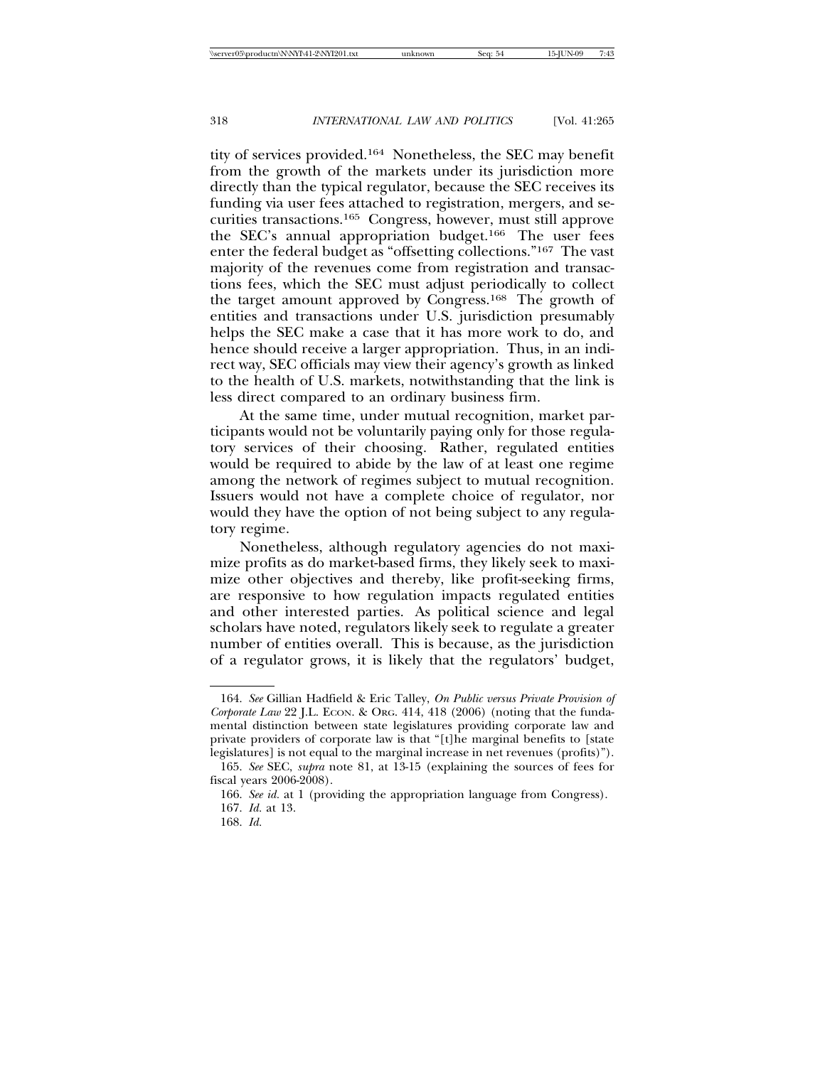tity of services provided.164 Nonetheless, the SEC may benefit from the growth of the markets under its jurisdiction more directly than the typical regulator, because the SEC receives its funding via user fees attached to registration, mergers, and securities transactions.165 Congress, however, must still approve the SEC's annual appropriation budget.166 The user fees enter the federal budget as "offsetting collections."167 The vast majority of the revenues come from registration and transactions fees, which the SEC must adjust periodically to collect the target amount approved by Congress.168 The growth of entities and transactions under U.S. jurisdiction presumably helps the SEC make a case that it has more work to do, and hence should receive a larger appropriation. Thus, in an indirect way, SEC officials may view their agency's growth as linked to the health of U.S. markets, notwithstanding that the link is less direct compared to an ordinary business firm.

At the same time, under mutual recognition, market participants would not be voluntarily paying only for those regulatory services of their choosing. Rather, regulated entities would be required to abide by the law of at least one regime among the network of regimes subject to mutual recognition. Issuers would not have a complete choice of regulator, nor would they have the option of not being subject to any regulatory regime.

Nonetheless, although regulatory agencies do not maximize profits as do market-based firms, they likely seek to maximize other objectives and thereby, like profit-seeking firms, are responsive to how regulation impacts regulated entities and other interested parties. As political science and legal scholars have noted, regulators likely seek to regulate a greater number of entities overall. This is because, as the jurisdiction of a regulator grows, it is likely that the regulators' budget,

<sup>164.</sup> *See* Gillian Hadfield & Eric Talley, *On Public versus Private Provision of Corporate Law* 22 J.L. ECON. & ORG. 414, 418 (2006) (noting that the fundamental distinction between state legislatures providing corporate law and private providers of corporate law is that "[t]he marginal benefits to [state legislatures] is not equal to the marginal increase in net revenues (profits)").

<sup>165.</sup> *See* SEC, *supra* note 81, at 13-15 (explaining the sources of fees for fiscal years 2006-2008).

<sup>166.</sup> *See id.* at 1 (providing the appropriation language from Congress).

<sup>167.</sup> *Id.* at 13.

<sup>168.</sup> *Id.*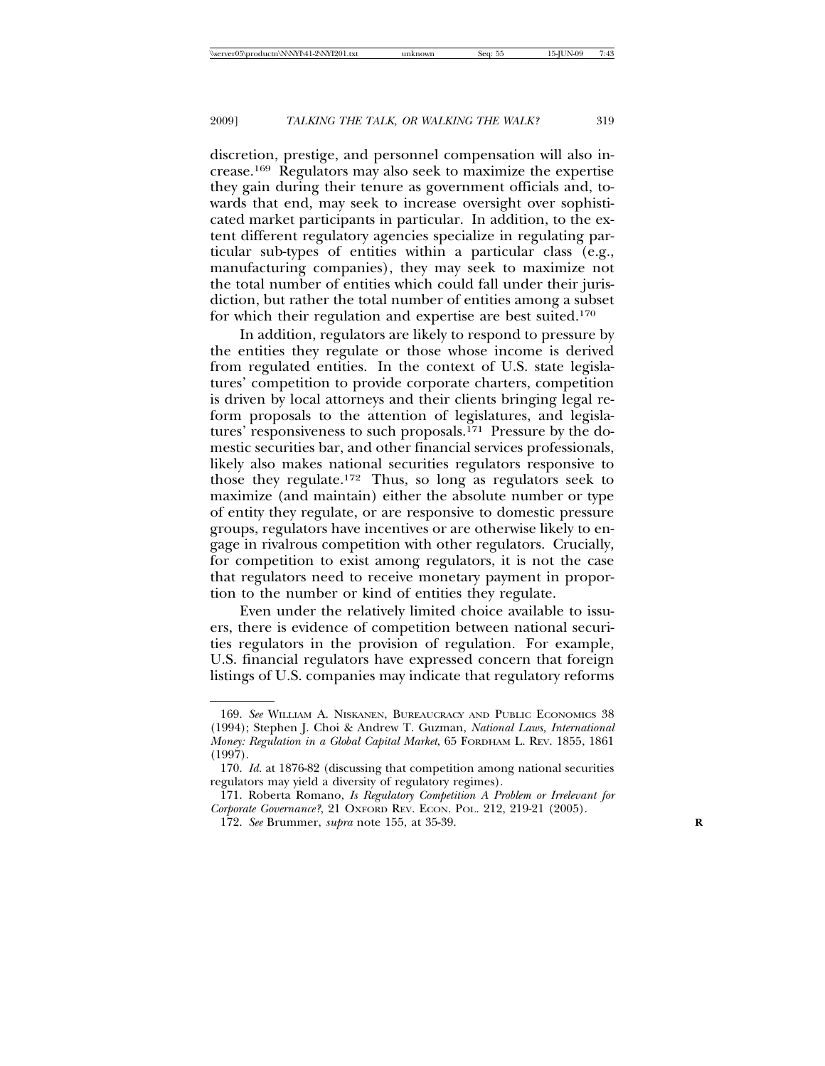discretion, prestige, and personnel compensation will also increase.169 Regulators may also seek to maximize the expertise they gain during their tenure as government officials and, towards that end, may seek to increase oversight over sophisticated market participants in particular. In addition, to the extent different regulatory agencies specialize in regulating particular sub-types of entities within a particular class (e.g., manufacturing companies), they may seek to maximize not the total number of entities which could fall under their jurisdiction, but rather the total number of entities among a subset for which their regulation and expertise are best suited.170

In addition, regulators are likely to respond to pressure by the entities they regulate or those whose income is derived from regulated entities. In the context of U.S. state legislatures' competition to provide corporate charters, competition is driven by local attorneys and their clients bringing legal reform proposals to the attention of legislatures, and legislatures' responsiveness to such proposals.<sup>171</sup> Pressure by the domestic securities bar, and other financial services professionals, likely also makes national securities regulators responsive to those they regulate.172 Thus, so long as regulators seek to maximize (and maintain) either the absolute number or type of entity they regulate, or are responsive to domestic pressure groups, regulators have incentives or are otherwise likely to engage in rivalrous competition with other regulators. Crucially, for competition to exist among regulators, it is not the case that regulators need to receive monetary payment in proportion to the number or kind of entities they regulate.

Even under the relatively limited choice available to issuers, there is evidence of competition between national securities regulators in the provision of regulation. For example, U.S. financial regulators have expressed concern that foreign listings of U.S. companies may indicate that regulatory reforms

<sup>169.</sup> *See* WILLIAM A. NISKANEN, BUREAUCRACY AND PUBLIC ECONOMICS 38 (1994); Stephen J. Choi & Andrew T. Guzman, *National Laws, International Money: Regulation in a Global Capital Market*, 65 FORDHAM L. REV. 1855, 1861 (1997).

<sup>170.</sup> *Id.* at 1876-82 (discussing that competition among national securities regulators may yield a diversity of regulatory regimes).

<sup>171.</sup> Roberta Romano, *Is Regulatory Competition A Problem or Irrelevant for Corporate Governance?*, 21 OXFORD REV. ECON. POL. 212, 219-21 (2005).

<sup>172.</sup> *See* Brummer, *supra* note 155, at 35-39. **R**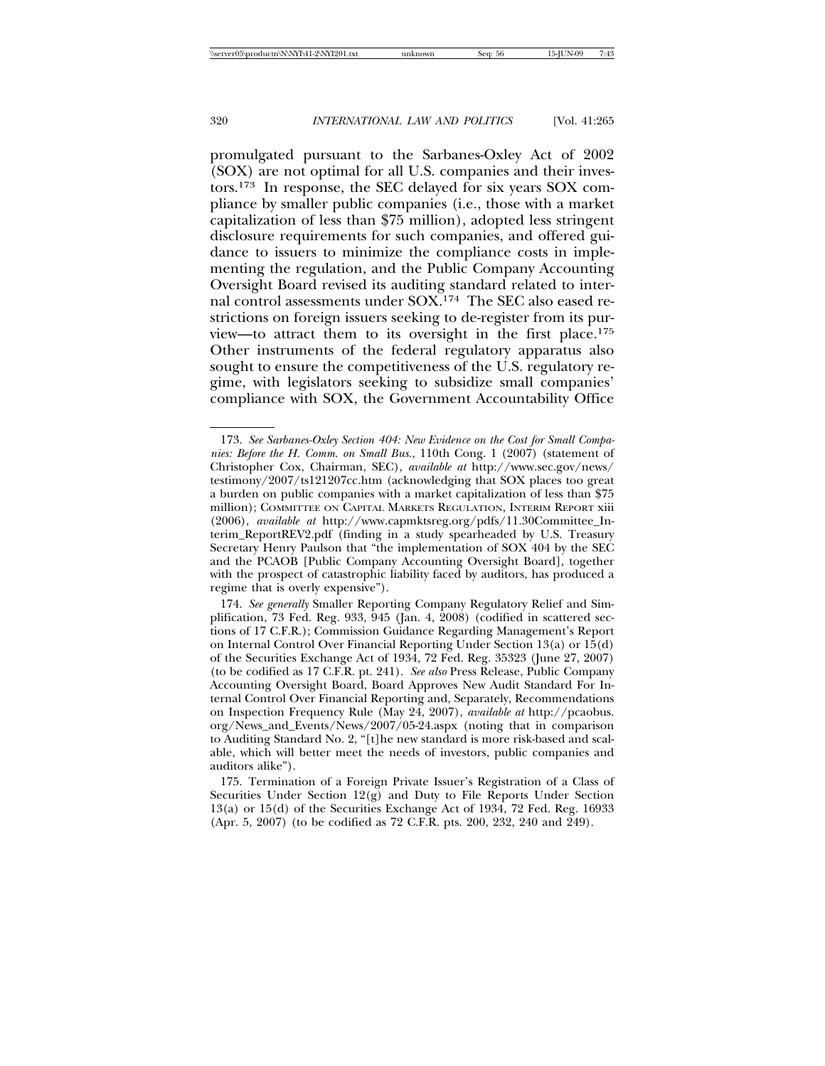promulgated pursuant to the Sarbanes-Oxley Act of 2002 (SOX) are not optimal for all U.S. companies and their investors.173 In response, the SEC delayed for six years SOX compliance by smaller public companies (i.e., those with a market capitalization of less than \$75 million), adopted less stringent disclosure requirements for such companies, and offered guidance to issuers to minimize the compliance costs in implementing the regulation, and the Public Company Accounting Oversight Board revised its auditing standard related to internal control assessments under SOX.174 The SEC also eased restrictions on foreign issuers seeking to de-register from its purview—to attract them to its oversight in the first place.175 Other instruments of the federal regulatory apparatus also sought to ensure the competitiveness of the U.S. regulatory regime, with legislators seeking to subsidize small companies' compliance with SOX, the Government Accountability Office

<sup>173.</sup> *See Sarbanes-Oxley Section 404: New Evidence on the Cost for Small Companies: Before the H. Comm. on Small Bus.*, 110th Cong. 1 (2007) (statement of Christopher Cox, Chairman, SEC), *available at* http://www.sec.gov/news/ testimony/2007/ts121207cc.htm (acknowledging that SOX places too great a burden on public companies with a market capitalization of less than \$75 million); COMMITTEE ON CAPITAL MARKETS REGULATION, INTERIM REPORT xiii (2006), *available at* http://www.capmktsreg.org/pdfs/11.30Committee\_Interim\_ReportREV2.pdf (finding in a study spearheaded by U.S. Treasury Secretary Henry Paulson that "the implementation of SOX 404 by the SEC and the PCAOB [Public Company Accounting Oversight Board], together with the prospect of catastrophic liability faced by auditors, has produced a regime that is overly expensive").

<sup>174.</sup> *See generally* Smaller Reporting Company Regulatory Relief and Simplification, 73 Fed. Reg. 933, 945 (Jan. 4, 2008) (codified in scattered sections of 17 C.F.R.); Commission Guidance Regarding Management's Report on Internal Control Over Financial Reporting Under Section 13(a) or 15(d) of the Securities Exchange Act of 1934, 72 Fed. Reg. 35323 (June 27, 2007) (to be codified as 17 C.F.R. pt. 241). *See also* Press Release, Public Company Accounting Oversight Board, Board Approves New Audit Standard For Internal Control Over Financial Reporting and, Separately, Recommendations on Inspection Frequency Rule (May 24, 2007), *available at* http://pcaobus. org/News\_and\_Events/News/2007/05-24.aspx (noting that in comparison to Auditing Standard No. 2, "[t]he new standard is more risk-based and scalable, which will better meet the needs of investors, public companies and auditors alike").

<sup>175.</sup> Termination of a Foreign Private Issuer's Registration of a Class of Securities Under Section  $12(g)$  and Duty to File Reports Under Section 13(a) or 15(d) of the Securities Exchange Act of 1934, 72 Fed. Reg. 16933 (Apr. 5, 2007) (to be codified as 72 C.F.R. pts. 200, 232, 240 and 249).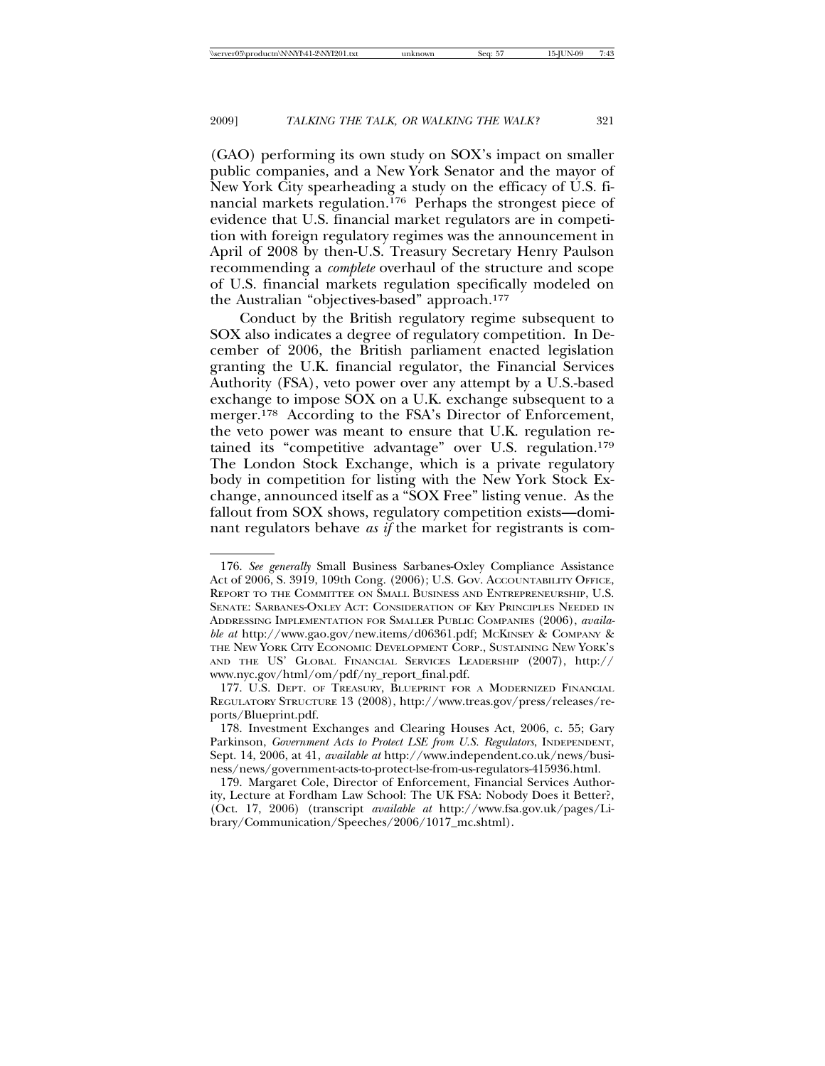(GAO) performing its own study on SOX's impact on smaller public companies, and a New York Senator and the mayor of New York City spearheading a study on the efficacy of U.S. financial markets regulation.176 Perhaps the strongest piece of evidence that U.S. financial market regulators are in competition with foreign regulatory regimes was the announcement in April of 2008 by then-U.S. Treasury Secretary Henry Paulson recommending a *complete* overhaul of the structure and scope of U.S. financial markets regulation specifically modeled on the Australian "objectives-based" approach.177

Conduct by the British regulatory regime subsequent to SOX also indicates a degree of regulatory competition. In December of 2006, the British parliament enacted legislation granting the U.K. financial regulator, the Financial Services Authority (FSA), veto power over any attempt by a U.S.-based exchange to impose SOX on a U.K. exchange subsequent to a merger.178 According to the FSA's Director of Enforcement, the veto power was meant to ensure that U.K. regulation retained its "competitive advantage" over U.S. regulation.179 The London Stock Exchange, which is a private regulatory body in competition for listing with the New York Stock Exchange, announced itself as a "SOX Free" listing venue. As the fallout from SOX shows, regulatory competition exists—dominant regulators behave *as if* the market for registrants is com-

<sup>176.</sup> *See generally* Small Business Sarbanes-Oxley Compliance Assistance Act of 2006, S. 3919, 109th Cong. (2006); U.S. GOV. ACCOUNTABILITY OFFICE, REPORT TO THE COMMITTEE ON SMALL BUSINESS AND ENTREPRENEURSHIP, U.S. SENATE: SARBANES-OXLEY ACT: CONSIDERATION OF KEY PRINCIPLES NEEDED IN ADDRESSING IMPLEMENTATION FOR SMALLER PUBLIC COMPANIES (2006), *available at* http://www.gao.gov/new.items/d06361.pdf; MCKINSEY & COMPANY & THE NEW YORK CITY ECONOMIC DEVELOPMENT CORP., SUSTAINING NEW YORK'S AND THE US' GLOBAL FINANCIAL SERVICES LEADERSHIP (2007), http:// www.nyc.gov/html/om/pdf/ny\_report\_final.pdf.

<sup>177.</sup> U.S. DEPT. OF TREASURY, BLUEPRINT FOR A MODERNIZED FINANCIAL REGULATORY STRUCTURE 13 (2008), http://www.treas.gov/press/releases/reports/Blueprint.pdf.

<sup>178.</sup> Investment Exchanges and Clearing Houses Act, 2006, c. 55; Gary Parkinson, *Government Acts to Protect LSE from U.S. Regulators*, INDEPENDENT, Sept. 14, 2006, at 41, *available at* http://www.independent.co.uk/news/business/news/government-acts-to-protect-lse-from-us-regulators-415936.html.

<sup>179.</sup> Margaret Cole, Director of Enforcement, Financial Services Authority, Lecture at Fordham Law School: The UK FSA: Nobody Does it Better?, (Oct. 17, 2006) (transcript *available at* http://www.fsa.gov.uk/pages/Library/Communication/Speeches/2006/1017\_mc.shtml).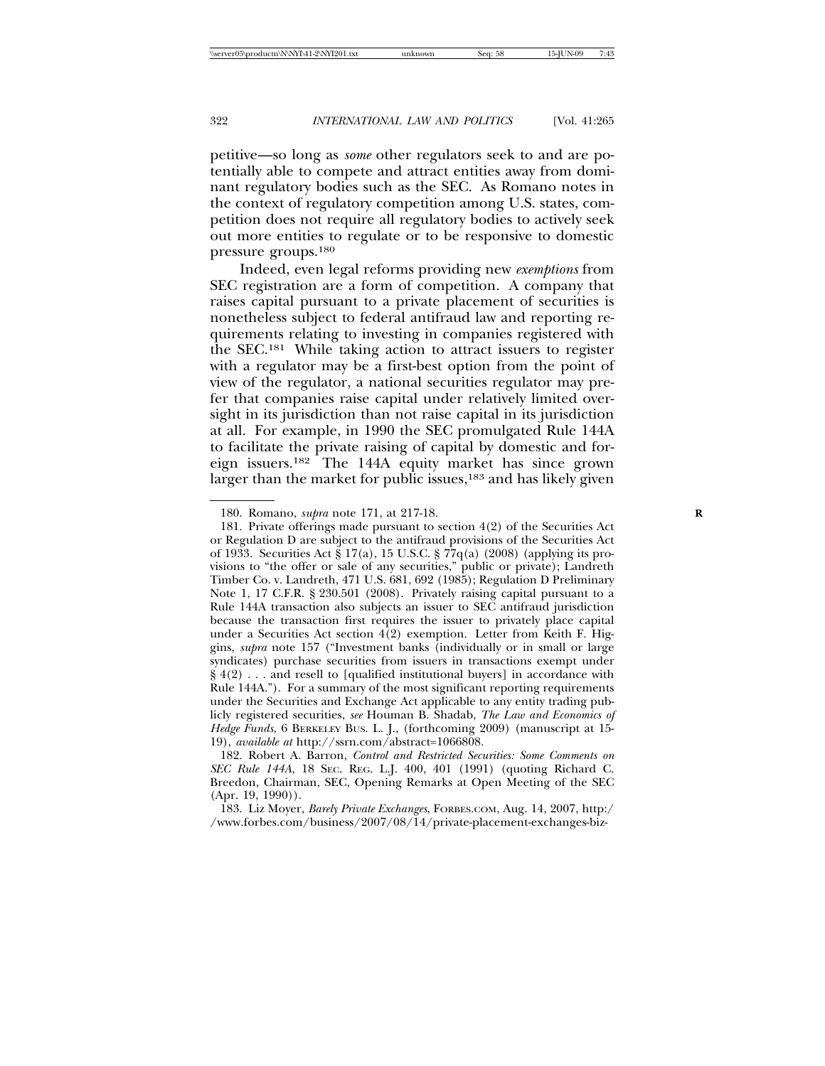petitive—so long as *some* other regulators seek to and are potentially able to compete and attract entities away from dominant regulatory bodies such as the SEC. As Romano notes in the context of regulatory competition among U.S. states, competition does not require all regulatory bodies to actively seek out more entities to regulate or to be responsive to domestic pressure groups.180

Indeed, even legal reforms providing new *exemptions* from SEC registration are a form of competition. A company that raises capital pursuant to a private placement of securities is nonetheless subject to federal antifraud law and reporting requirements relating to investing in companies registered with the SEC.181 While taking action to attract issuers to register with a regulator may be a first-best option from the point of view of the regulator, a national securities regulator may prefer that companies raise capital under relatively limited oversight in its jurisdiction than not raise capital in its jurisdiction at all. For example, in 1990 the SEC promulgated Rule 144A to facilitate the private raising of capital by domestic and foreign issuers.182 The 144A equity market has since grown larger than the market for public issues,<sup>183</sup> and has likely given

<sup>180.</sup> Romano, *supra* note 171, at 217-18. **R**

<sup>181.</sup> Private offerings made pursuant to section 4(2) of the Securities Act or Regulation D are subject to the antifraud provisions of the Securities Act of 1933. Securities Act § 17(a), 15 U.S.C. § 77q(a) (2008) (applying its provisions to "the offer or sale of any securities," public or private); Landreth Timber Co. v. Landreth, 471 U.S. 681, 692 (1985); Regulation D Preliminary Note 1, 17 C.F.R. § 230.501 (2008). Privately raising capital pursuant to a Rule 144A transaction also subjects an issuer to SEC antifraud jurisdiction because the transaction first requires the issuer to privately place capital under a Securities Act section 4(2) exemption. Letter from Keith F. Higgins, *supra* note 157 ("Investment banks (individually or in small or large syndicates) purchase securities from issuers in transactions exempt under § 4(2) . . . and resell to [qualified institutional buyers] in accordance with Rule 144A."). For a summary of the most significant reporting requirements under the Securities and Exchange Act applicable to any entity trading publicly registered securities, *see* Houman B. Shadab, *The Law and Economics of Hedge Funds*, 6 BERKELEY BUS. L. J., (forthcoming 2009) (manuscript at 15- 19), *available at* http://ssrn.com/abstract=1066808.

<sup>182.</sup> Robert A. Barron, *Control and Restricted Securities: Some Comments on SEC Rule 144A*, 18 SEC. REG. L.J. 400, 401 (1991) (quoting Richard C. Breedon, Chairman, SEC, Opening Remarks at Open Meeting of the SEC (Apr. 19, 1990)).

<sup>183.</sup> Liz Moyer, *Barely Private Exchanges*, FORBES.COM, Aug. 14, 2007, http:/ /www.forbes.com/business/2007/08/14/private-placement-exchanges-biz-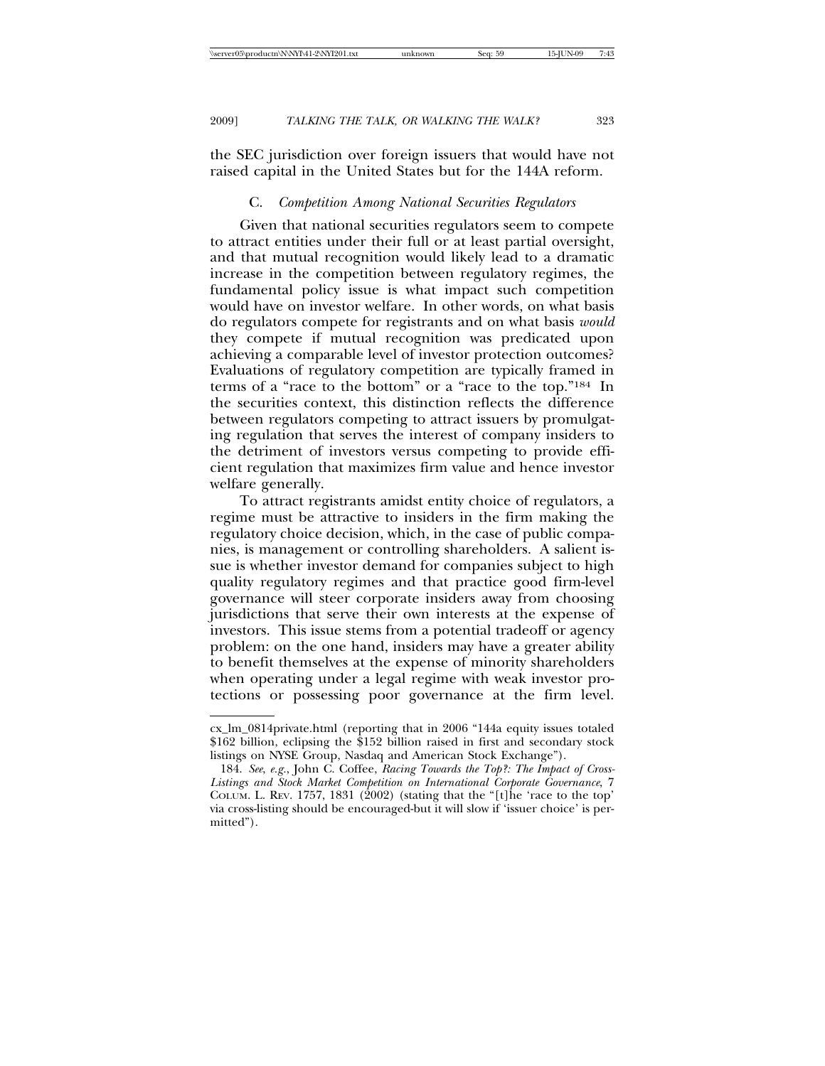the SEC jurisdiction over foreign issuers that would have not raised capital in the United States but for the 144A reform.

## C. *Competition Among National Securities Regulators*

Given that national securities regulators seem to compete to attract entities under their full or at least partial oversight, and that mutual recognition would likely lead to a dramatic increase in the competition between regulatory regimes, the fundamental policy issue is what impact such competition would have on investor welfare. In other words, on what basis do regulators compete for registrants and on what basis *would* they compete if mutual recognition was predicated upon achieving a comparable level of investor protection outcomes? Evaluations of regulatory competition are typically framed in terms of a "race to the bottom" or a "race to the top."184 In the securities context, this distinction reflects the difference between regulators competing to attract issuers by promulgating regulation that serves the interest of company insiders to the detriment of investors versus competing to provide efficient regulation that maximizes firm value and hence investor welfare generally.

To attract registrants amidst entity choice of regulators, a regime must be attractive to insiders in the firm making the regulatory choice decision, which, in the case of public companies, is management or controlling shareholders. A salient issue is whether investor demand for companies subject to high quality regulatory regimes and that practice good firm-level governance will steer corporate insiders away from choosing jurisdictions that serve their own interests at the expense of investors. This issue stems from a potential tradeoff or agency problem: on the one hand, insiders may have a greater ability to benefit themselves at the expense of minority shareholders when operating under a legal regime with weak investor protections or possessing poor governance at the firm level.

cx\_lm\_0814private.html (reporting that in 2006 "144a equity issues totaled \$162 billion, eclipsing the \$152 billion raised in first and secondary stock listings on NYSE Group, Nasdaq and American Stock Exchange").

<sup>184.</sup> *See*, *e.g.*, John C. Coffee, *Racing Towards the Top?: The Impact of Cross-Listings and Stock Market Competition on International Corporate Governance*, 7 COLUM. L. REV. 1757, 1831 (2002) (stating that the "[t]he 'race to the top' via cross-listing should be encouraged-but it will slow if 'issuer choice' is permitted").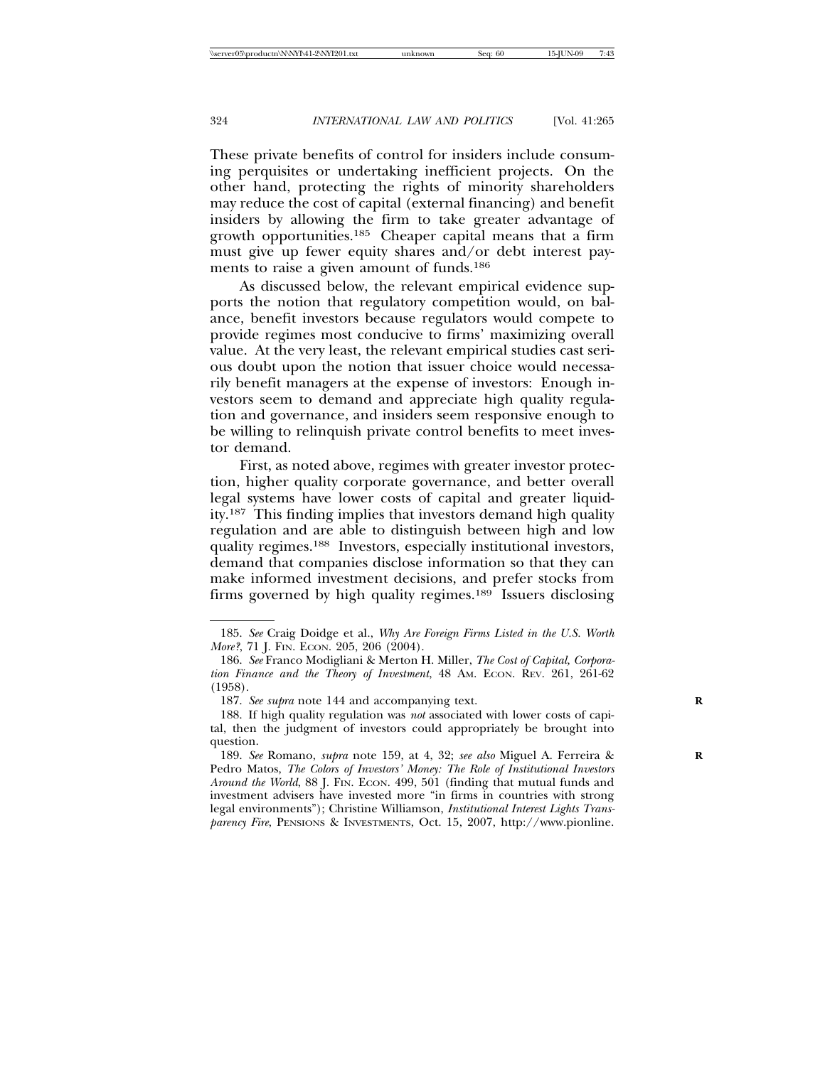These private benefits of control for insiders include consuming perquisites or undertaking inefficient projects. On the other hand, protecting the rights of minority shareholders may reduce the cost of capital (external financing) and benefit insiders by allowing the firm to take greater advantage of growth opportunities.185 Cheaper capital means that a firm must give up fewer equity shares and/or debt interest payments to raise a given amount of funds.186

As discussed below, the relevant empirical evidence supports the notion that regulatory competition would, on balance, benefit investors because regulators would compete to provide regimes most conducive to firms' maximizing overall value. At the very least, the relevant empirical studies cast serious doubt upon the notion that issuer choice would necessarily benefit managers at the expense of investors: Enough investors seem to demand and appreciate high quality regulation and governance, and insiders seem responsive enough to be willing to relinquish private control benefits to meet investor demand.

First, as noted above, regimes with greater investor protection, higher quality corporate governance, and better overall legal systems have lower costs of capital and greater liquidity.187 This finding implies that investors demand high quality regulation and are able to distinguish between high and low quality regimes.188 Investors, especially institutional investors, demand that companies disclose information so that they can make informed investment decisions, and prefer stocks from firms governed by high quality regimes.<sup>189</sup> Issuers disclosing

<sup>185.</sup> *See* Craig Doidge et al., *Why Are Foreign Firms Listed in the U.S. Worth More*?, 71 J. FIN. ECON. 205, 206 (2004).

<sup>186.</sup> *See* Franco Modigliani & Merton H. Miller, *The Cost of Capital, Corporation Finance and the Theory of Investment*, 48 AM. ECON. REV. 261, 261-62 (1958).

<sup>187.</sup> See supra note 144 and accompanying text.

<sup>188.</sup> If high quality regulation was *not* associated with lower costs of capital, then the judgment of investors could appropriately be brought into question.

<sup>189.</sup> *See* Romano, *supra* note 159, at 4, 32; *see also* Miguel A. Ferreira & **R** Pedro Matos, *The Colors of Investors' Money: The Role of Institutional Investors Around the World*, 88 J. FIN. ECON. 499, 501 (finding that mutual funds and investment advisers have invested more "in firms in countries with strong legal environments"); Christine Williamson, *Institutional Interest Lights Transparency Fire*, PENSIONS & INVESTMENTS, Oct. 15, 2007, http://www.pionline.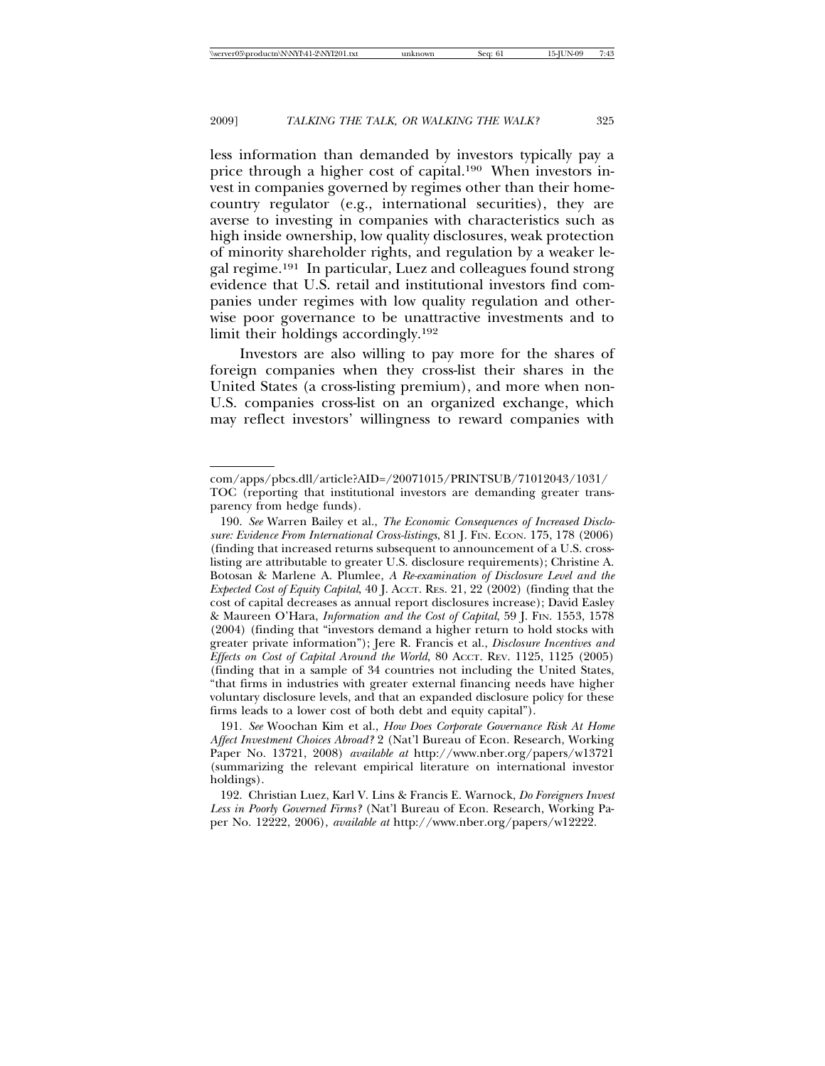less information than demanded by investors typically pay a price through a higher cost of capital.190 When investors invest in companies governed by regimes other than their homecountry regulator (e.g., international securities), they are averse to investing in companies with characteristics such as high inside ownership, low quality disclosures, weak protection of minority shareholder rights, and regulation by a weaker legal regime.191 In particular, Luez and colleagues found strong evidence that U.S. retail and institutional investors find companies under regimes with low quality regulation and otherwise poor governance to be unattractive investments and to limit their holdings accordingly.192

Investors are also willing to pay more for the shares of foreign companies when they cross-list their shares in the United States (a cross-listing premium), and more when non-U.S. companies cross-list on an organized exchange, which may reflect investors' willingness to reward companies with

190. *See* Warren Bailey et al., *The Economic Consequences of Increased Disclosure: Evidence From International Cross-listings*, 81 J. FIN. ECON. 175, 178 (2006) (finding that increased returns subsequent to announcement of a U.S. crosslisting are attributable to greater U.S. disclosure requirements); Christine A. Botosan & Marlene A. Plumlee, *A Re-examination of Disclosure Level and the Expected Cost of Equity Capital*, 40 J. ACCT. RES. 21, 22 (2002) (finding that the cost of capital decreases as annual report disclosures increase); David Easley & Maureen O'Hara, *Information and the Cost of Capital*, 59 J. FIN. 1553, 1578 (2004) (finding that "investors demand a higher return to hold stocks with greater private information"); Jere R. Francis et al., *Disclosure Incentives and Effects on Cost of Capital Around the World*, 80 ACCT. REV. 1125, 1125 (2005) (finding that in a sample of 34 countries not including the United States, "that firms in industries with greater external financing needs have higher voluntary disclosure levels, and that an expanded disclosure policy for these firms leads to a lower cost of both debt and equity capital").

191. *See* Woochan Kim et al., *How Does Corporate Governance Risk At Home Affect Investment Choices Abroad?* 2 (Nat'l Bureau of Econ. Research, Working Paper No. 13721, 2008) *available at* http://www.nber.org/papers/w13721 (summarizing the relevant empirical literature on international investor holdings).

com/apps/pbcs.dll/article?AID=/20071015/PRINTSUB/71012043/1031/ TOC (reporting that institutional investors are demanding greater transparency from hedge funds).

<sup>192.</sup> Christian Luez, Karl V. Lins & Francis E. Warnock, *Do Foreigners Invest Less in Poorly Governed Firms?* (Nat'l Bureau of Econ. Research, Working Paper No. 12222, 2006), *available at* http://www.nber.org/papers/w12222.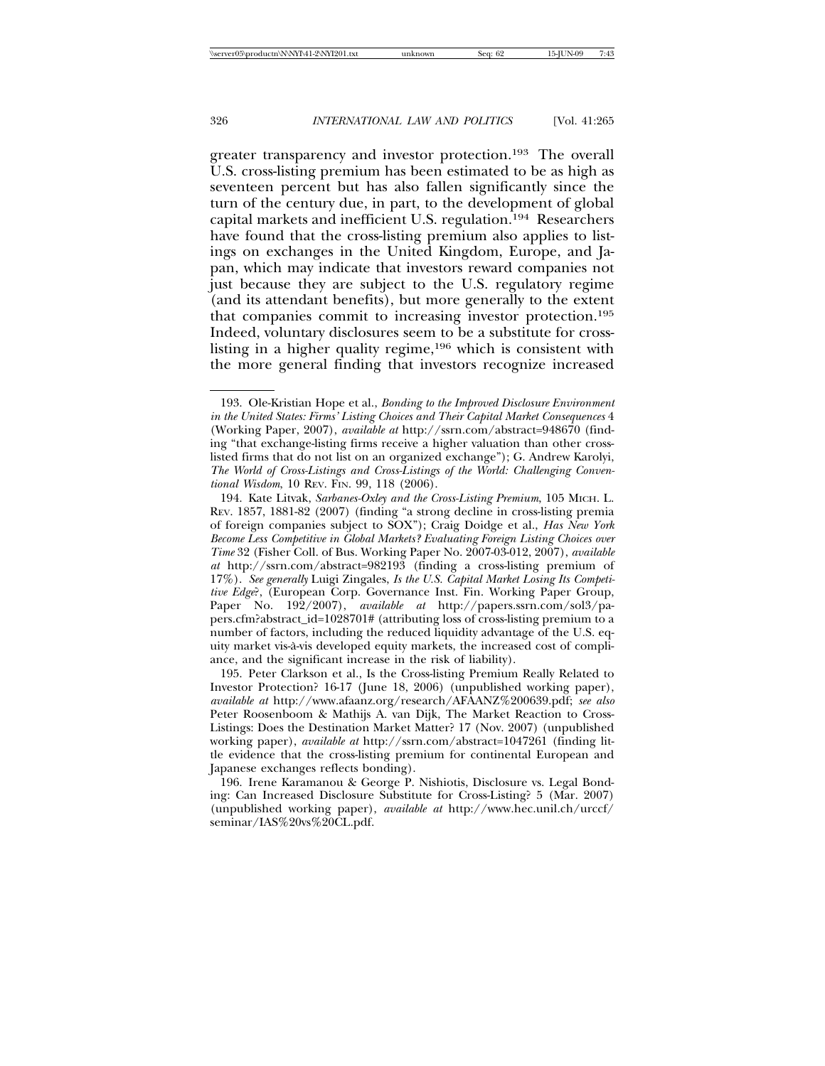greater transparency and investor protection.193 The overall U.S. cross-listing premium has been estimated to be as high as seventeen percent but has also fallen significantly since the turn of the century due, in part, to the development of global capital markets and inefficient U.S. regulation.194 Researchers have found that the cross-listing premium also applies to listings on exchanges in the United Kingdom, Europe, and Japan, which may indicate that investors reward companies not just because they are subject to the U.S. regulatory regime (and its attendant benefits), but more generally to the extent that companies commit to increasing investor protection.195 Indeed, voluntary disclosures seem to be a substitute for crosslisting in a higher quality regime,<sup>196</sup> which is consistent with the more general finding that investors recognize increased

<sup>193.</sup> Ole-Kristian Hope et al., *Bonding to the Improved Disclosure Environment in the United States: Firms' Listing Choices and Their Capital Market Consequences* 4 (Working Paper, 2007), *available at* http://ssrn.com/abstract=948670 (finding "that exchange-listing firms receive a higher valuation than other crosslisted firms that do not list on an organized exchange"); G. Andrew Karolyi, *The World of Cross-Listings and Cross-Listings of the World: Challenging Conventional Wisdom*, 10 REV. FIN. 99, 118 (2006).

<sup>194.</sup> Kate Litvak, *Sarbanes-Oxley and the Cross-Listing Premium*, 105 MICH. L. REV. 1857, 1881-82 (2007) (finding "a strong decline in cross-listing premia of foreign companies subject to SOX"); Craig Doidge et al., *Has New York Become Less Competitive in Global Markets? Evaluating Foreign Listing Choices over Time* 32 (Fisher Coll. of Bus. Working Paper No. 2007-03-012, 2007), *available at* http://ssrn.com/abstract=982193 (finding a cross-listing premium of 17%). *See generally* Luigi Zingales, *Is the U.S. Capital Market Losing Its Competitive Edge*?, (European Corp. Governance Inst. Fin. Working Paper Group, Paper No. 192/2007), *available at* http://papers.ssrn.com/sol3/papers.cfm?abstract\_id=1028701# (attributing loss of cross-listing premium to a number of factors, including the reduced liquidity advantage of the U.S. equity market vis-a-vis developed equity markets, the increased cost of compli- ` ance, and the significant increase in the risk of liability).

<sup>195.</sup> Peter Clarkson et al., Is the Cross-listing Premium Really Related to Investor Protection? 16-17 (June 18, 2006) (unpublished working paper), *available at* http://www.afaanz.org/research/AFAANZ%200639.pdf; *see also* Peter Roosenboom & Mathijs A. van Dijk, The Market Reaction to Cross-Listings: Does the Destination Market Matter? 17 (Nov. 2007) (unpublished working paper), *available at* http://ssrn.com/abstract=1047261 (finding little evidence that the cross-listing premium for continental European and Japanese exchanges reflects bonding).

<sup>196.</sup> Irene Karamanou & George P. Nishiotis, Disclosure vs. Legal Bonding: Can Increased Disclosure Substitute for Cross-Listing? 5 (Mar. 2007) (unpublished working paper), *available at* http://www.hec.unil.ch/urccf/ seminar/IAS%20vs%20CL.pdf.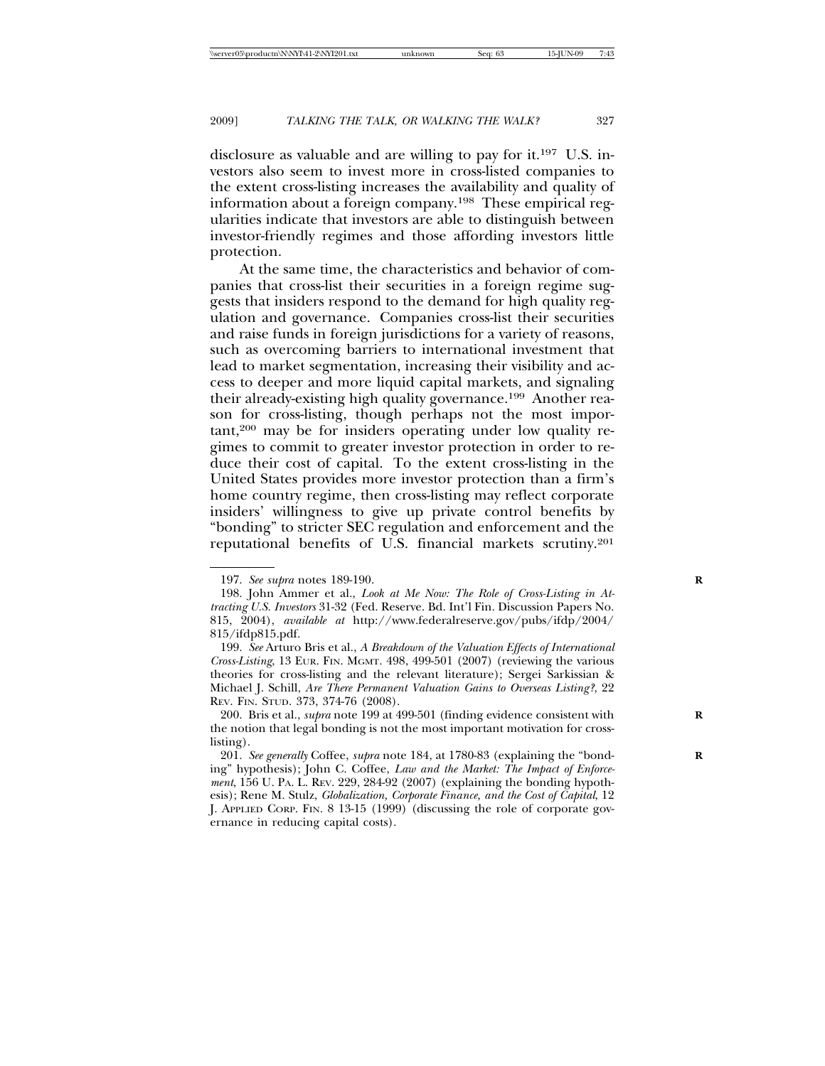disclosure as valuable and are willing to pay for it.197 U.S. investors also seem to invest more in cross-listed companies to the extent cross-listing increases the availability and quality of information about a foreign company.198 These empirical regularities indicate that investors are able to distinguish between investor-friendly regimes and those affording investors little protection.

At the same time, the characteristics and behavior of companies that cross-list their securities in a foreign regime suggests that insiders respond to the demand for high quality regulation and governance. Companies cross-list their securities and raise funds in foreign jurisdictions for a variety of reasons, such as overcoming barriers to international investment that lead to market segmentation, increasing their visibility and access to deeper and more liquid capital markets, and signaling their already-existing high quality governance.199 Another reason for cross-listing, though perhaps not the most important,200 may be for insiders operating under low quality regimes to commit to greater investor protection in order to reduce their cost of capital. To the extent cross-listing in the United States provides more investor protection than a firm's home country regime, then cross-listing may reflect corporate insiders' willingness to give up private control benefits by "bonding" to stricter SEC regulation and enforcement and the reputational benefits of U.S. financial markets scrutiny.201

<sup>197.</sup> *See supra* notes 189-190. **R**

<sup>198.</sup> John Ammer et al., *Look at Me Now: The Role of Cross-Listing in Attracting U.S. Investors* 31-32 (Fed. Reserve. Bd. Int'l Fin. Discussion Papers No. 815, 2004), *available at* http://www.federalreserve.gov/pubs/ifdp/2004/ 815/ifdp815.pdf.

<sup>199.</sup> *See* Arturo Bris et al., *A Breakdown of the Valuation Effects of International Cross-Listing*, 13 EUR. FIN. MGMT. 498, 499-501 (2007) (reviewing the various theories for cross-listing and the relevant literature); Sergei Sarkissian & Michael J. Schill, *Are There Permanent Valuation Gains to Overseas Listing?*, 22 REV. FIN. STUD. 373, 374-76 (2008).

<sup>200.</sup> Bris et al., *supra* note 199 at 499-501 (finding evidence consistent with the notion that legal bonding is not the most important motivation for crosslisting).

<sup>201.</sup> See generally Coffee, *supra* note 184, at 1780-83 (explaining the "bonding" hypothesis); John C. Coffee, *Law and the Market: The Impact of Enforcement*, 156 U. PA. L. REV. 229, 284-92 (2007) (explaining the bonding hypothesis); Rene M. Stulz, *Globalization, Corporate Finance, and the Cost of Capital*, 12 J. APPLIED CORP. FIN. 8 13-15 (1999) (discussing the role of corporate governance in reducing capital costs).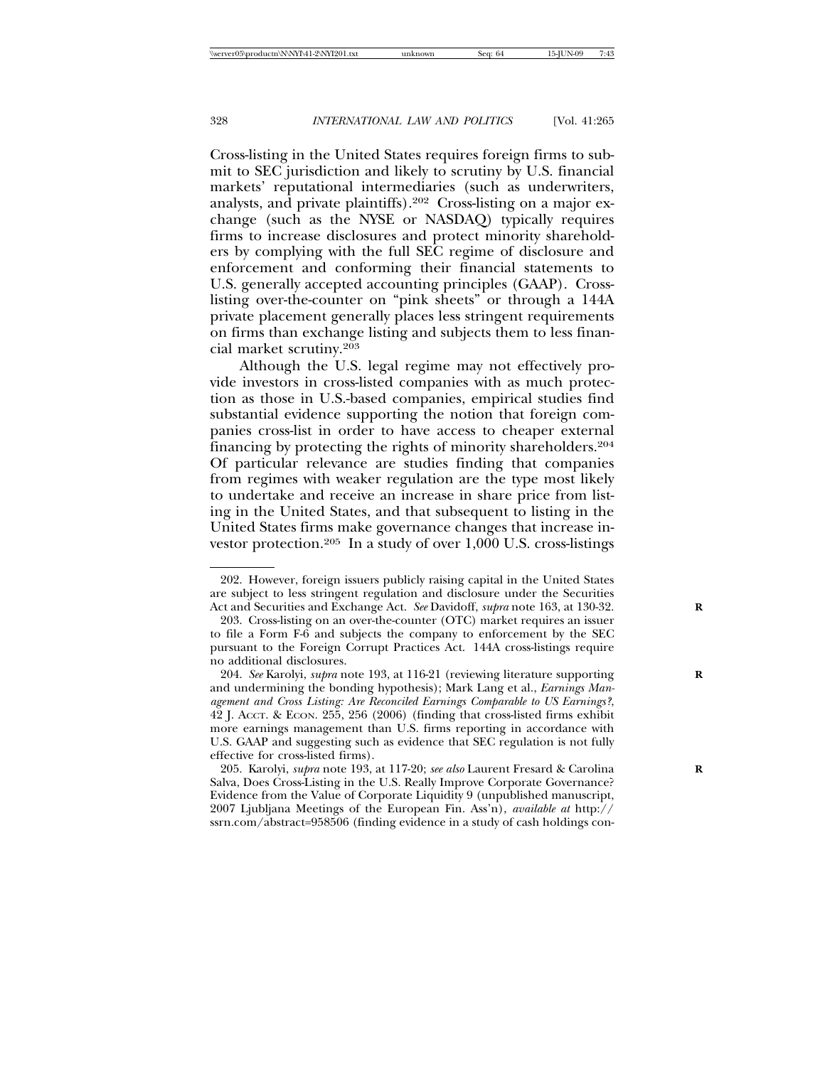Cross-listing in the United States requires foreign firms to submit to SEC jurisdiction and likely to scrutiny by U.S. financial markets' reputational intermediaries (such as underwriters, analysts, and private plaintiffs).202 Cross-listing on a major exchange (such as the NYSE or NASDAQ) typically requires firms to increase disclosures and protect minority shareholders by complying with the full SEC regime of disclosure and enforcement and conforming their financial statements to U.S. generally accepted accounting principles (GAAP). Crosslisting over-the-counter on "pink sheets" or through a 144A private placement generally places less stringent requirements on firms than exchange listing and subjects them to less financial market scrutiny.203

Although the U.S. legal regime may not effectively provide investors in cross-listed companies with as much protection as those in U.S.-based companies, empirical studies find substantial evidence supporting the notion that foreign companies cross-list in order to have access to cheaper external financing by protecting the rights of minority shareholders.204 Of particular relevance are studies finding that companies from regimes with weaker regulation are the type most likely to undertake and receive an increase in share price from listing in the United States, and that subsequent to listing in the United States firms make governance changes that increase investor protection.205 In a study of over 1,000 U.S. cross-listings

<sup>202.</sup> However, foreign issuers publicly raising capital in the United States are subject to less stringent regulation and disclosure under the Securities Act and Securities and Exchange Act. *See* Davidoff, *supra* note 163, at 130-32. **R**

<sup>203.</sup> Cross-listing on an over-the-counter (OTC) market requires an issuer to file a Form F-6 and subjects the company to enforcement by the SEC pursuant to the Foreign Corrupt Practices Act. 144A cross-listings require no additional disclosures.

<sup>204.</sup> *See* Karolyi, *supra* note 193, at 116-21 (reviewing literature supporting **R** and undermining the bonding hypothesis); Mark Lang et al., *Earnings Management and Cross Listing: Are Reconciled Earnings Comparable to US Earnings?*, 42 J. ACCT. & ECON. 255, 256 (2006) (finding that cross-listed firms exhibit more earnings management than U.S. firms reporting in accordance with U.S. GAAP and suggesting such as evidence that SEC regulation is not fully effective for cross-listed firms).

<sup>205.</sup> Karolyi, *supra* note 193, at 117-20; *see also* Laurent Fresard & Carolina **R** Salva, Does Cross-Listing in the U.S. Really Improve Corporate Governance? Evidence from the Value of Corporate Liquidity 9 (unpublished manuscript, 2007 Ljubljana Meetings of the European Fin. Ass'n), *available at* http:// ssrn.com/abstract=958506 (finding evidence in a study of cash holdings con-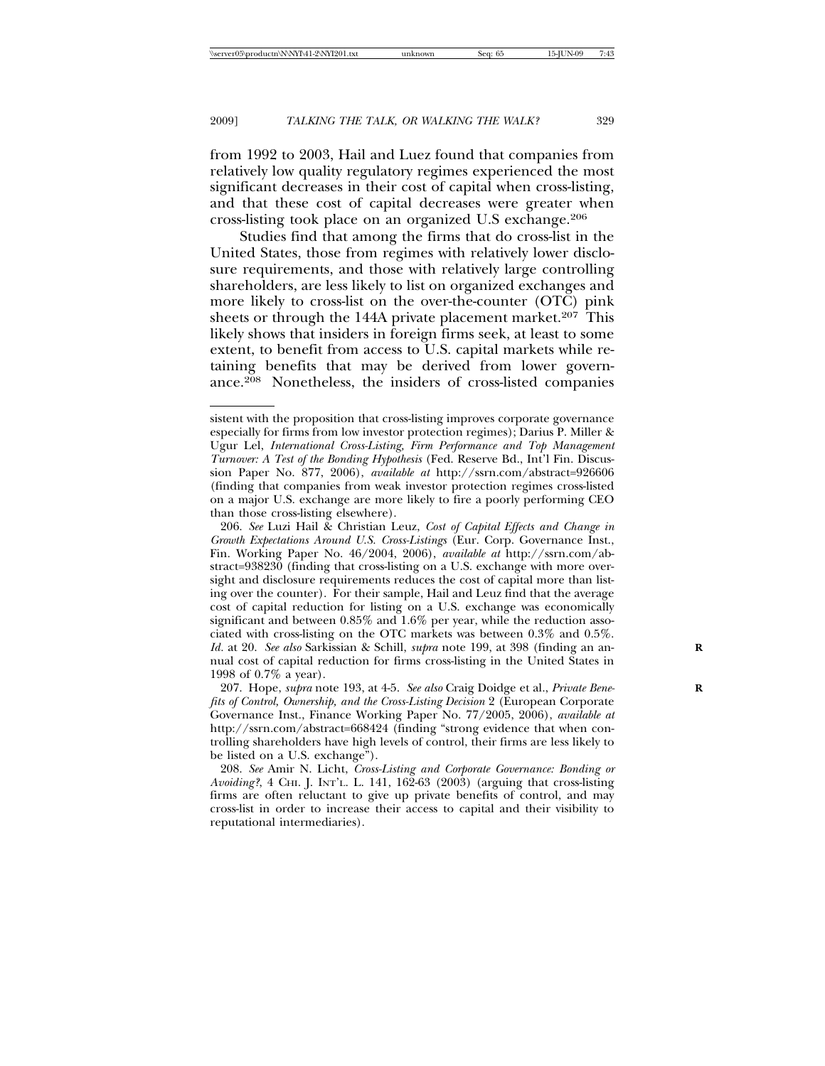from 1992 to 2003, Hail and Luez found that companies from relatively low quality regulatory regimes experienced the most significant decreases in their cost of capital when cross-listing, and that these cost of capital decreases were greater when cross-listing took place on an organized U.S exchange.206

Studies find that among the firms that do cross-list in the United States, those from regimes with relatively lower disclosure requirements, and those with relatively large controlling shareholders, are less likely to list on organized exchanges and more likely to cross-list on the over-the-counter (OTC) pink sheets or through the 144A private placement market.<sup>207</sup> This likely shows that insiders in foreign firms seek, at least to some extent, to benefit from access to U.S. capital markets while retaining benefits that may be derived from lower governance.208 Nonetheless, the insiders of cross-listed companies

sistent with the proposition that cross-listing improves corporate governance especially for firms from low investor protection regimes); Darius P. Miller & Ugur Lel, *International Cross-Listing, Firm Performance and Top Management Turnover: A Test of the Bonding Hypothesis* (Fed. Reserve Bd., Int'l Fin. Discussion Paper No. 877, 2006), *available at* http://ssrn.com/abstract=926606 (finding that companies from weak investor protection regimes cross-listed on a major U.S. exchange are more likely to fire a poorly performing CEO than those cross-listing elsewhere).

<sup>206.</sup> *See* Luzi Hail & Christian Leuz, *Cost of Capital Effects and Change in Growth Expectations Around U.S. Cross-Listings* (Eur. Corp. Governance Inst., Fin. Working Paper No. 46/2004, 2006), *available at* http://ssrn.com/abstract=938230 (finding that cross-listing on a U.S. exchange with more oversight and disclosure requirements reduces the cost of capital more than listing over the counter). For their sample, Hail and Leuz find that the average cost of capital reduction for listing on a U.S. exchange was economically significant and between 0.85% and 1.6% per year, while the reduction associated with cross-listing on the OTC markets was between 0.3% and 0.5%. Id. at 20. See also Sarkissian & Schill, *supra* note 199, at 398 (finding an annual cost of capital reduction for firms cross-listing in the United States in 1998 of 0.7% a year).

<sup>207.</sup> Hope, *supra* note 193, at 4-5. *See also* Craig Doidge et al., *Private Benefits of Control, Ownership, and the Cross-Listing Decision* 2 (European Corporate Governance Inst., Finance Working Paper No. 77/2005, 2006), *available at* http://ssrn.com/abstract=668424 (finding "strong evidence that when controlling shareholders have high levels of control, their firms are less likely to be listed on a U.S. exchange").

<sup>208.</sup> *See* Amir N. Licht, *Cross-Listing and Corporate Governance: Bonding or Avoiding?*, 4 CHI. J. INT'L. L. 141, 162-63 (2003) (arguing that cross-listing firms are often reluctant to give up private benefits of control, and may cross-list in order to increase their access to capital and their visibility to reputational intermediaries).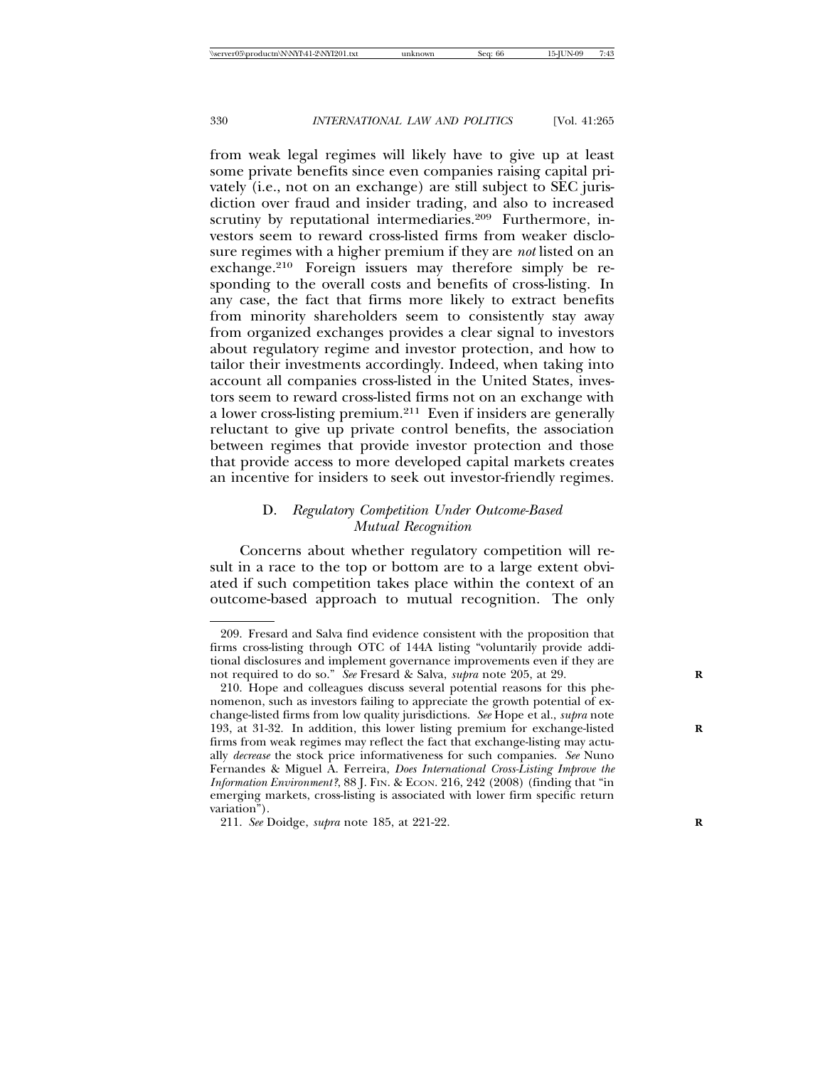from weak legal regimes will likely have to give up at least some private benefits since even companies raising capital privately (i.e., not on an exchange) are still subject to SEC jurisdiction over fraud and insider trading, and also to increased scrutiny by reputational intermediaries.<sup>209</sup> Furthermore, investors seem to reward cross-listed firms from weaker disclosure regimes with a higher premium if they are *not* listed on an exchange.210 Foreign issuers may therefore simply be responding to the overall costs and benefits of cross-listing. In any case, the fact that firms more likely to extract benefits from minority shareholders seem to consistently stay away from organized exchanges provides a clear signal to investors about regulatory regime and investor protection, and how to tailor their investments accordingly. Indeed, when taking into account all companies cross-listed in the United States, investors seem to reward cross-listed firms not on an exchange with a lower cross-listing premium.211 Even if insiders are generally reluctant to give up private control benefits, the association between regimes that provide investor protection and those that provide access to more developed capital markets creates an incentive for insiders to seek out investor-friendly regimes.

# D. *Regulatory Competition Under Outcome-Based Mutual Recognition*

Concerns about whether regulatory competition will result in a race to the top or bottom are to a large extent obviated if such competition takes place within the context of an outcome-based approach to mutual recognition. The only

<sup>209.</sup> Fresard and Salva find evidence consistent with the proposition that firms cross-listing through OTC of 144A listing "voluntarily provide additional disclosures and implement governance improvements even if they are not required to do so." *See* Fresard & Salva, *supra* note 205, at 29. **R**

<sup>210.</sup> Hope and colleagues discuss several potential reasons for this phenomenon, such as investors failing to appreciate the growth potential of exchange-listed firms from low quality jurisdictions. *See* Hope et al., *supra* note 193, at 31-32. In addition, this lower listing premium for exchange-listed firms from weak regimes may reflect the fact that exchange-listing may actually *decrease* the stock price informativeness for such companies. *See* Nuno Fernandes & Miguel A. Ferreira, *Does International Cross-Listing Improve the Information Environment?*, 88 J. Fin. & ECON. 216, 242 (2008) (finding that "in emerging markets, cross-listing is associated with lower firm specific return variation").

<sup>211.</sup> *See* Doidge, *supra* note 185, at 221-22. **R**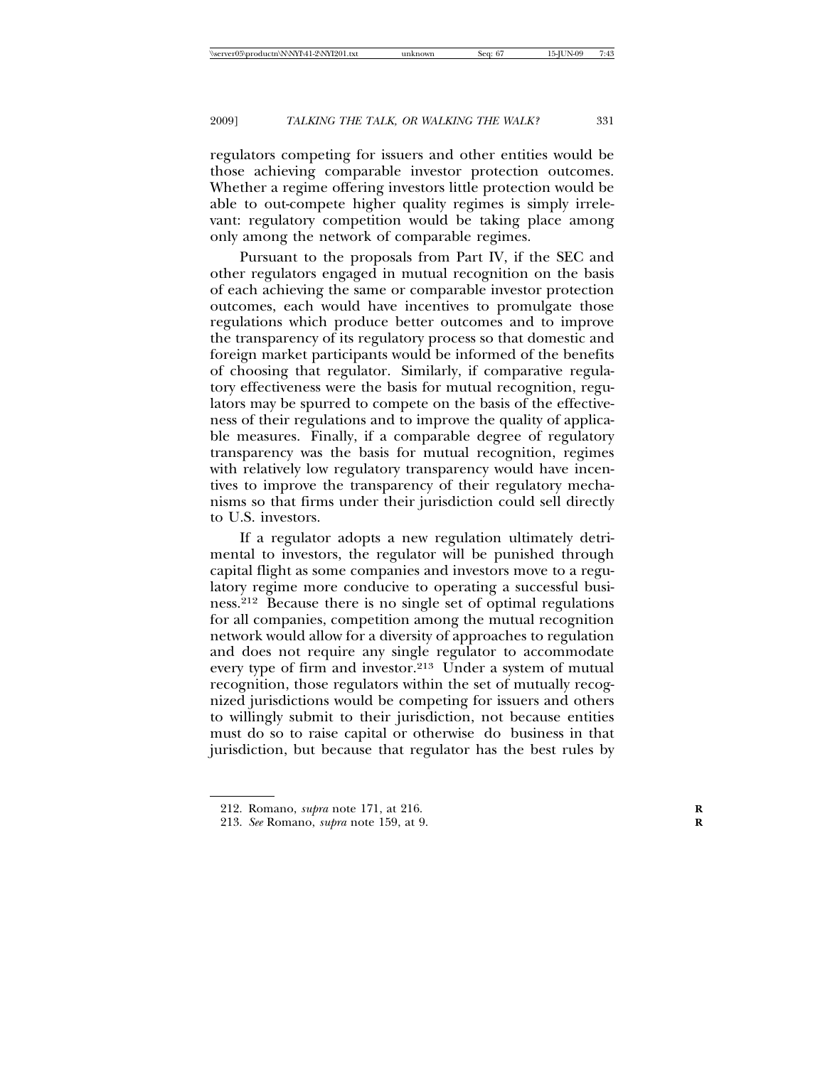regulators competing for issuers and other entities would be those achieving comparable investor protection outcomes. Whether a regime offering investors little protection would be able to out-compete higher quality regimes is simply irrelevant: regulatory competition would be taking place among only among the network of comparable regimes.

Pursuant to the proposals from Part IV, if the SEC and other regulators engaged in mutual recognition on the basis of each achieving the same or comparable investor protection outcomes, each would have incentives to promulgate those regulations which produce better outcomes and to improve the transparency of its regulatory process so that domestic and foreign market participants would be informed of the benefits of choosing that regulator. Similarly, if comparative regulatory effectiveness were the basis for mutual recognition, regulators may be spurred to compete on the basis of the effectiveness of their regulations and to improve the quality of applicable measures. Finally, if a comparable degree of regulatory transparency was the basis for mutual recognition, regimes with relatively low regulatory transparency would have incentives to improve the transparency of their regulatory mechanisms so that firms under their jurisdiction could sell directly to U.S. investors.

If a regulator adopts a new regulation ultimately detrimental to investors, the regulator will be punished through capital flight as some companies and investors move to a regulatory regime more conducive to operating a successful business.212 Because there is no single set of optimal regulations for all companies, competition among the mutual recognition network would allow for a diversity of approaches to regulation and does not require any single regulator to accommodate every type of firm and investor.213 Under a system of mutual recognition, those regulators within the set of mutually recognized jurisdictions would be competing for issuers and others to willingly submit to their jurisdiction, not because entities must do so to raise capital or otherwise do business in that jurisdiction, but because that regulator has the best rules by

<sup>212.</sup> Romano, *supra* note 171, at 216. **R**

<sup>213.</sup> *See* Romano, *supra* note 159, at 9. **R**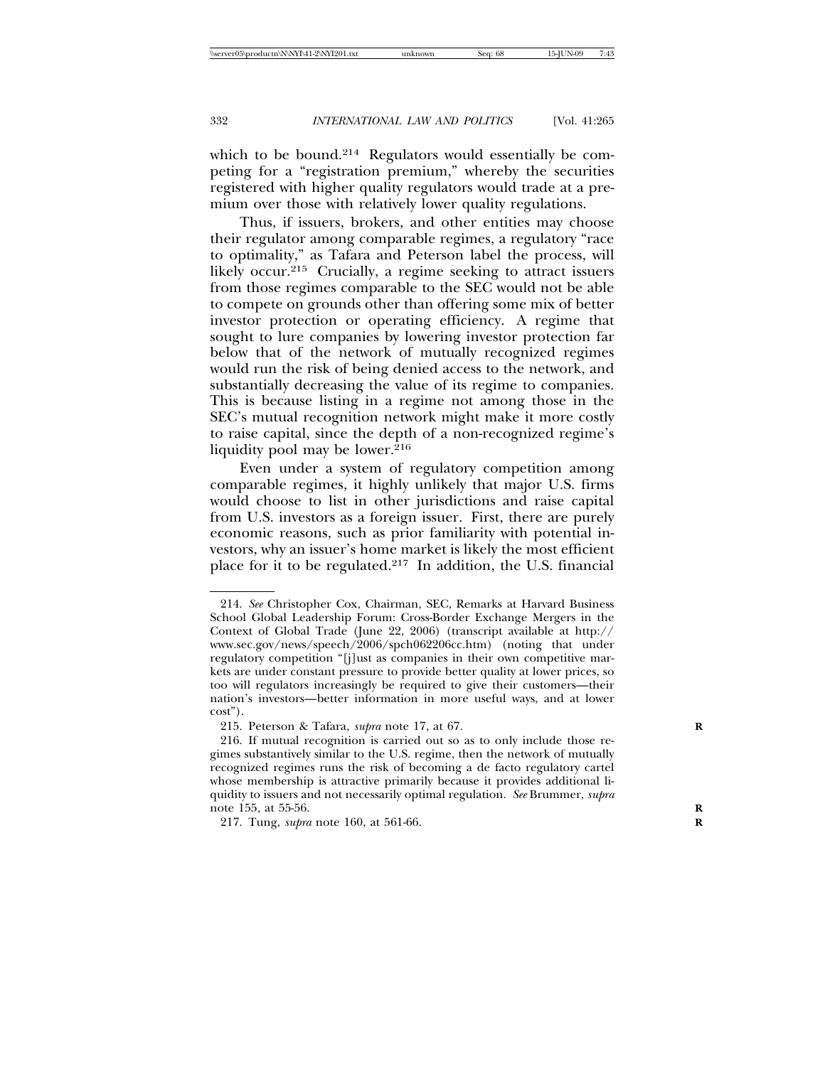which to be bound.<sup>214</sup> Regulators would essentially be competing for a "registration premium," whereby the securities registered with higher quality regulators would trade at a premium over those with relatively lower quality regulations.

Thus, if issuers, brokers, and other entities may choose their regulator among comparable regimes, a regulatory "race to optimality," as Tafara and Peterson label the process, will likely occur.<sup>215</sup> Crucially, a regime seeking to attract issuers from those regimes comparable to the SEC would not be able to compete on grounds other than offering some mix of better investor protection or operating efficiency. A regime that sought to lure companies by lowering investor protection far below that of the network of mutually recognized regimes would run the risk of being denied access to the network, and substantially decreasing the value of its regime to companies. This is because listing in a regime not among those in the SEC's mutual recognition network might make it more costly to raise capital, since the depth of a non-recognized regime's liquidity pool may be lower. $216$ 

Even under a system of regulatory competition among comparable regimes, it highly unlikely that major U.S. firms would choose to list in other jurisdictions and raise capital from U.S. investors as a foreign issuer. First, there are purely economic reasons, such as prior familiarity with potential investors, why an issuer's home market is likely the most efficient place for it to be regulated.217 In addition, the U.S. financial

<sup>214.</sup> *See* Christopher Cox, Chairman, SEC, Remarks at Harvard Business School Global Leadership Forum: Cross-Border Exchange Mergers in the Context of Global Trade (June 22, 2006) (transcript available at http:// www.sec.gov/news/speech/2006/spch062206cc.htm) (noting that under regulatory competition "[j]ust as companies in their own competitive markets are under constant pressure to provide better quality at lower prices, so too will regulators increasingly be required to give their customers—their nation's investors—better information in more useful ways, and at lower cost").

<sup>215.</sup> Peterson & Tafara, *supra* note 17, at 67. **R**

<sup>216.</sup> If mutual recognition is carried out so as to only include those regimes substantively similar to the U.S. regime, then the network of mutually recognized regimes runs the risk of becoming a de facto regulatory cartel whose membership is attractive primarily because it provides additional liquidity to issuers and not necessarily optimal regulation. *See* Brummer, *supra* note 155, at 55-56. **R**

<sup>217.</sup> Tung, *supra* note 160, at 561-66. **R**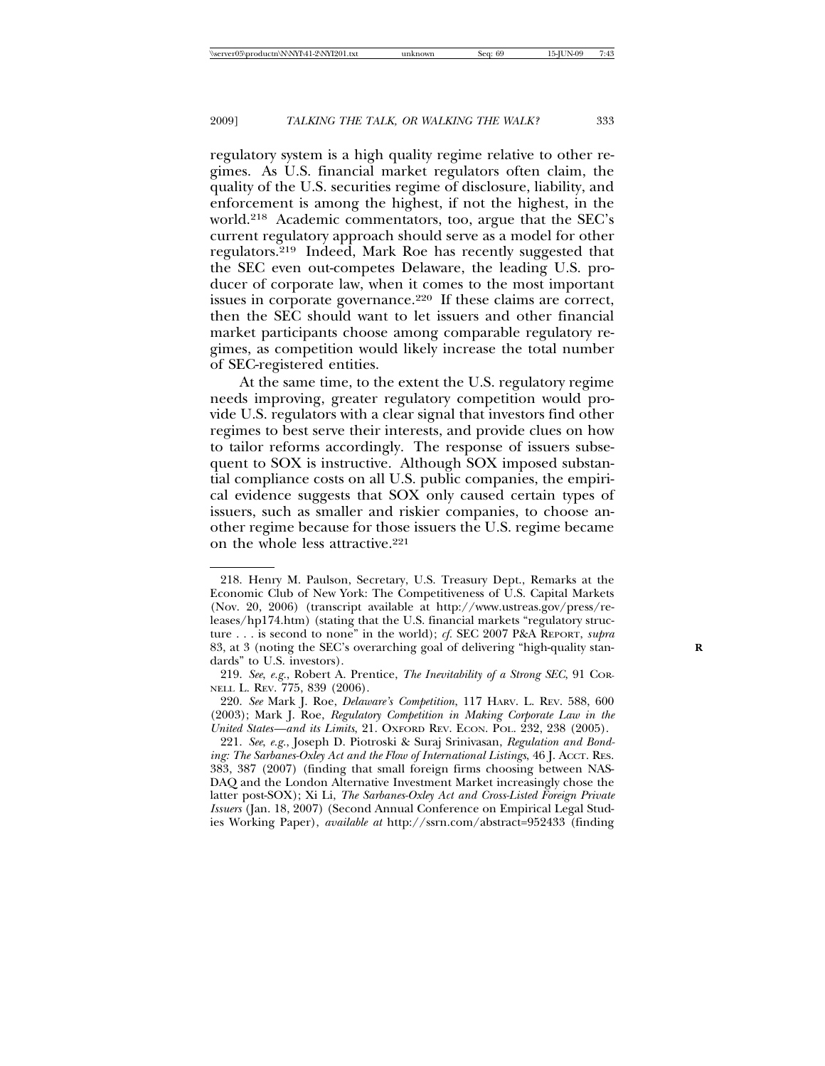regulatory system is a high quality regime relative to other regimes. As U.S. financial market regulators often claim, the quality of the U.S. securities regime of disclosure, liability, and enforcement is among the highest, if not the highest, in the world.218 Academic commentators, too, argue that the SEC's current regulatory approach should serve as a model for other regulators.219 Indeed, Mark Roe has recently suggested that the SEC even out-competes Delaware, the leading U.S. producer of corporate law, when it comes to the most important issues in corporate governance.<sup>220</sup> If these claims are correct, then the SEC should want to let issuers and other financial market participants choose among comparable regulatory regimes, as competition would likely increase the total number of SEC-registered entities.

At the same time, to the extent the U.S. regulatory regime needs improving, greater regulatory competition would provide U.S. regulators with a clear signal that investors find other regimes to best serve their interests, and provide clues on how to tailor reforms accordingly. The response of issuers subsequent to SOX is instructive. Although SOX imposed substantial compliance costs on all U.S. public companies, the empirical evidence suggests that SOX only caused certain types of issuers, such as smaller and riskier companies, to choose another regime because for those issuers the U.S. regime became on the whole less attractive.221

<sup>218.</sup> Henry M. Paulson, Secretary, U.S. Treasury Dept., Remarks at the Economic Club of New York: The Competitiveness of U.S. Capital Markets (Nov. 20, 2006) (transcript available at http://www.ustreas.gov/press/releases/hp174.htm) (stating that the U.S. financial markets "regulatory structure . . . is second to none" in the world); *cf.* SEC 2007 P&A REPORT, *supra* 83, at 3 (noting the SEC's overarching goal of delivering "high-quality standards" to U.S. investors).

<sup>219.</sup> *See*, *e.g.*, Robert A. Prentice, *The Inevitability of a Strong SEC*, 91 COR-NELL L. REV. 775, 839 (2006).

<sup>220.</sup> *See* Mark J. Roe, *Delaware's Competition*, 117 HARV. L. REV. 588, 600 (2003); Mark J. Roe, *Regulatory Competition in Making Corporate Law in the United States—and its Limits*, 21. OXFORD REV. ECON. POL. 232, 238 (2005).

<sup>221.</sup> *See*, *e.g.*, Joseph D. Piotroski & Suraj Srinivasan, *Regulation and Bonding: The Sarbanes-Oxley Act and the Flow of International Listings*, 46 J. ACCT. RES. 383, 387 (2007) (finding that small foreign firms choosing between NAS-DAQ and the London Alternative Investment Market increasingly chose the latter post-SOX); Xi Li, *The Sarbanes-Oxley Act and Cross-Listed Foreign Private Issuers* (Jan. 18, 2007) (Second Annual Conference on Empirical Legal Studies Working Paper), *available at* http://ssrn.com/abstract=952433 (finding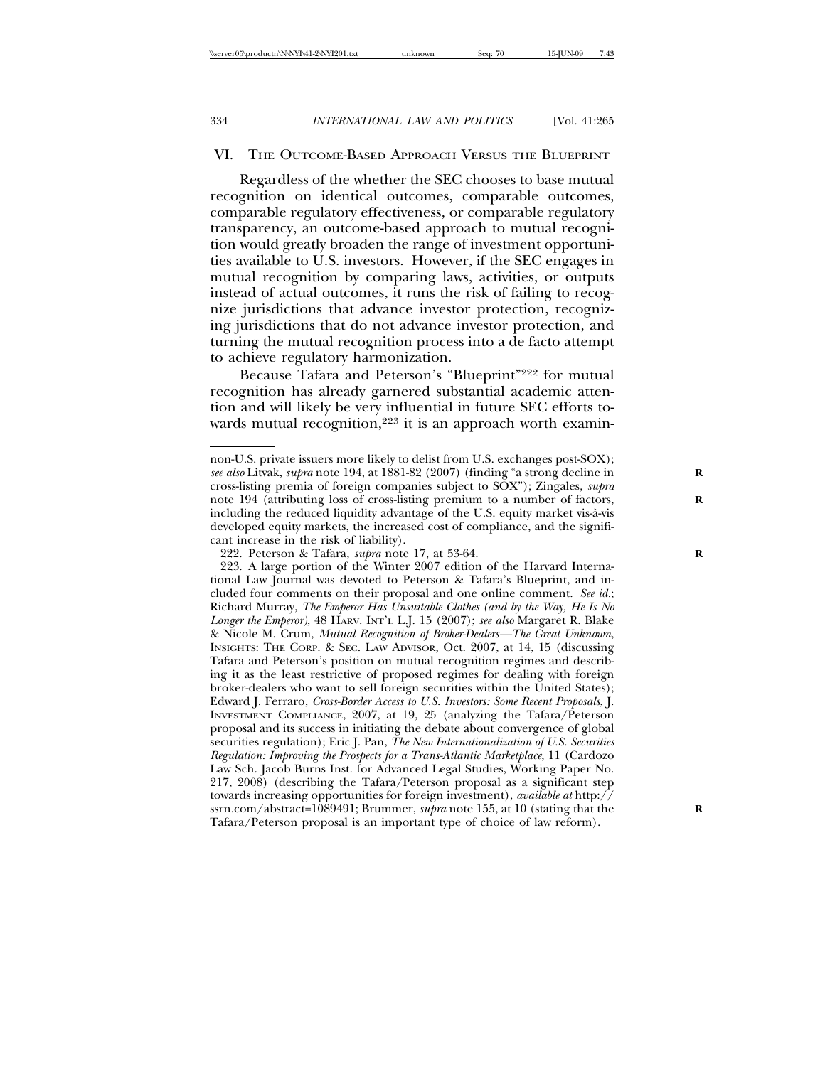#### VI. THE OUTCOME-BASED APPROACH VERSUS THE BLUEPRINT

Regardless of the whether the SEC chooses to base mutual recognition on identical outcomes, comparable outcomes, comparable regulatory effectiveness, or comparable regulatory transparency, an outcome-based approach to mutual recognition would greatly broaden the range of investment opportunities available to U.S. investors. However, if the SEC engages in mutual recognition by comparing laws, activities, or outputs instead of actual outcomes, it runs the risk of failing to recognize jurisdictions that advance investor protection, recognizing jurisdictions that do not advance investor protection, and turning the mutual recognition process into a de facto attempt to achieve regulatory harmonization.

Because Tafara and Peterson's "Blueprint"222 for mutual recognition has already garnered substantial academic attention and will likely be very influential in future SEC efforts towards mutual recognition,<sup>223</sup> it is an approach worth examin-

non-U.S. private issuers more likely to delist from U.S. exchanges post-SOX); *see also* Litvak, *supra* note 194, at 1881-82 (2007) (finding "a strong decline in **R** cross-listing premia of foreign companies subject to SOX"); Zingales, *supra* note 194 (attributing loss of cross-listing premium to a number of factors, **R** including the reduced liquidity advantage of the U.S. equity market vis-a-vis ` developed equity markets, the increased cost of compliance, and the significant increase in the risk of liability).

<sup>222.</sup> Peterson & Tafara, *supra* note 17, at 53-64. **R**

<sup>223.</sup> A large portion of the Winter 2007 edition of the Harvard International Law Journal was devoted to Peterson & Tafara's Blueprint, and included four comments on their proposal and one online comment. *See id.*; Richard Murray, *The Emperor Has Unsuitable Clothes (and by the Way, He Is No Longer the Emperor)*, 48 HARV. INT'L L.J. 15 (2007); *see also* Margaret R. Blake & Nicole M. Crum, *Mutual Recognition of Broker-Dealers—The Great Unknown*, INSIGHTS: THE CORP. & SEC. LAW ADVISOR, Oct. 2007, at 14, 15 (discussing Tafara and Peterson's position on mutual recognition regimes and describing it as the least restrictive of proposed regimes for dealing with foreign broker-dealers who want to sell foreign securities within the United States); Edward J. Ferraro, *Cross-Border Access to U.S. Investors: Some Recent Proposals*, J. INVESTMENT COMPLIANCE, 2007, at 19, 25 (analyzing the Tafara/Peterson proposal and its success in initiating the debate about convergence of global securities regulation); Eric J. Pan, *The New Internationalization of U.S. Securities Regulation: Improving the Prospects for a Trans-Atlantic Marketplace*, 11 (Cardozo Law Sch. Jacob Burns Inst. for Advanced Legal Studies, Working Paper No. 217, 2008) (describing the Tafara/Peterson proposal as a significant step towards increasing opportunities for foreign investment), *available at* http:// ssrn.com/abstract=1089491; Brummer, *supra* note 155, at 10 (stating that the Tafara/Peterson proposal is an important type of choice of law reform).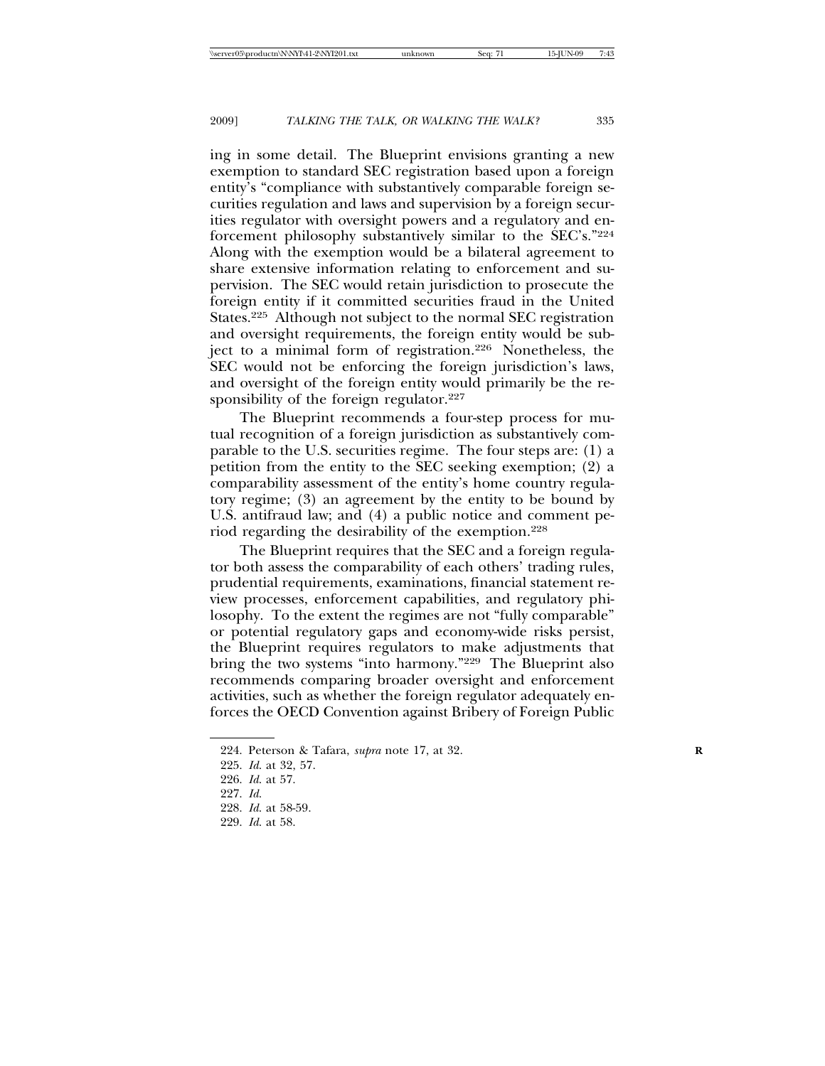ing in some detail. The Blueprint envisions granting a new exemption to standard SEC registration based upon a foreign entity's "compliance with substantively comparable foreign securities regulation and laws and supervision by a foreign securities regulator with oversight powers and a regulatory and enforcement philosophy substantively similar to the SEC's."224 Along with the exemption would be a bilateral agreement to share extensive information relating to enforcement and supervision. The SEC would retain jurisdiction to prosecute the foreign entity if it committed securities fraud in the United States.<sup>225</sup> Although not subject to the normal SEC registration and oversight requirements, the foreign entity would be subject to a minimal form of registration.<sup>226</sup> Nonetheless, the SEC would not be enforcing the foreign jurisdiction's laws, and oversight of the foreign entity would primarily be the responsibility of the foreign regulator.<sup>227</sup>

The Blueprint recommends a four-step process for mutual recognition of a foreign jurisdiction as substantively comparable to the U.S. securities regime. The four steps are: (1) a petition from the entity to the SEC seeking exemption; (2) a comparability assessment of the entity's home country regulatory regime; (3) an agreement by the entity to be bound by U.S. antifraud law; and (4) a public notice and comment period regarding the desirability of the exemption.228

The Blueprint requires that the SEC and a foreign regulator both assess the comparability of each others' trading rules, prudential requirements, examinations, financial statement review processes, enforcement capabilities, and regulatory philosophy. To the extent the regimes are not "fully comparable" or potential regulatory gaps and economy-wide risks persist, the Blueprint requires regulators to make adjustments that bring the two systems "into harmony."229 The Blueprint also recommends comparing broader oversight and enforcement activities, such as whether the foreign regulator adequately enforces the OECD Convention against Bribery of Foreign Public

<sup>224.</sup> Peterson & Tafara, *supra* note 17, at 32. **R**

<sup>225.</sup> *Id*. at 32, 57.

<sup>226.</sup> *Id*. at 57.

<sup>227.</sup> *Id*.

<sup>228.</sup> *Id*. at 58-59.

<sup>229.</sup> *Id*. at 58.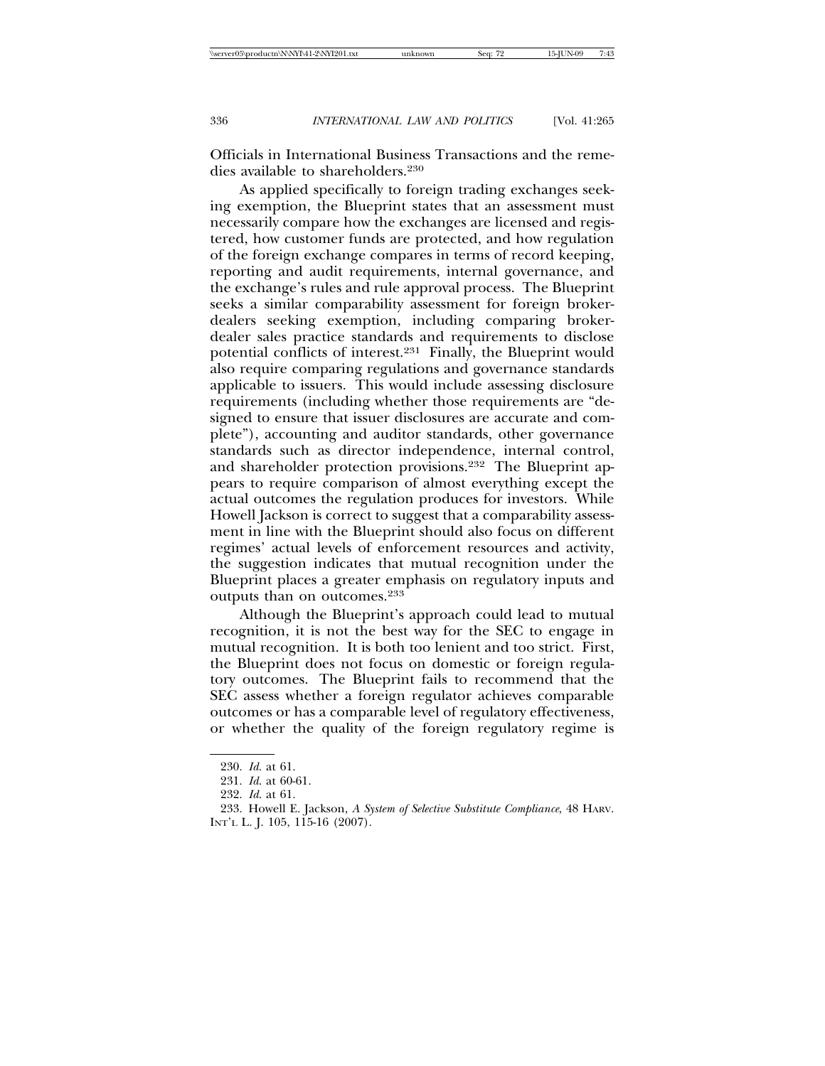Officials in International Business Transactions and the remedies available to shareholders.230

As applied specifically to foreign trading exchanges seeking exemption, the Blueprint states that an assessment must necessarily compare how the exchanges are licensed and registered, how customer funds are protected, and how regulation of the foreign exchange compares in terms of record keeping, reporting and audit requirements, internal governance, and the exchange's rules and rule approval process. The Blueprint seeks a similar comparability assessment for foreign brokerdealers seeking exemption, including comparing brokerdealer sales practice standards and requirements to disclose potential conflicts of interest.231 Finally, the Blueprint would also require comparing regulations and governance standards applicable to issuers. This would include assessing disclosure requirements (including whether those requirements are "designed to ensure that issuer disclosures are accurate and complete"), accounting and auditor standards, other governance standards such as director independence, internal control, and shareholder protection provisions.232 The Blueprint appears to require comparison of almost everything except the actual outcomes the regulation produces for investors. While Howell Jackson is correct to suggest that a comparability assessment in line with the Blueprint should also focus on different regimes' actual levels of enforcement resources and activity, the suggestion indicates that mutual recognition under the Blueprint places a greater emphasis on regulatory inputs and outputs than on outcomes.233

Although the Blueprint's approach could lead to mutual recognition, it is not the best way for the SEC to engage in mutual recognition. It is both too lenient and too strict. First, the Blueprint does not focus on domestic or foreign regulatory outcomes. The Blueprint fails to recommend that the SEC assess whether a foreign regulator achieves comparable outcomes or has a comparable level of regulatory effectiveness, or whether the quality of the foreign regulatory regime is

<sup>230.</sup> *Id*. at 61.

<sup>231.</sup> *Id*. at 60-61.

<sup>232.</sup> *Id*. at 61.

<sup>233.</sup> Howell E. Jackson, *A System of Selective Substitute Compliance*, 48 HARV. INT'L L. J. 105, 115-16 (2007).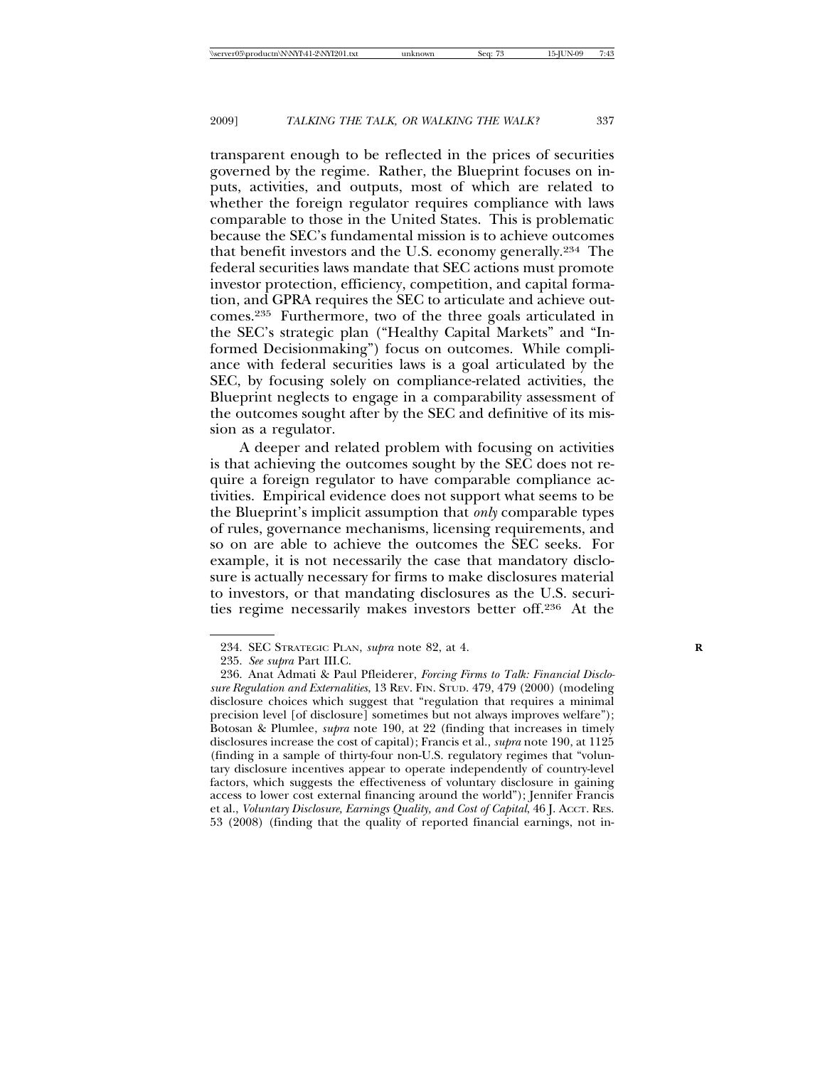transparent enough to be reflected in the prices of securities governed by the regime. Rather, the Blueprint focuses on inputs, activities, and outputs, most of which are related to whether the foreign regulator requires compliance with laws comparable to those in the United States. This is problematic because the SEC's fundamental mission is to achieve outcomes that benefit investors and the U.S. economy generally.234 The federal securities laws mandate that SEC actions must promote investor protection, efficiency, competition, and capital formation, and GPRA requires the SEC to articulate and achieve outcomes.235 Furthermore, two of the three goals articulated in the SEC's strategic plan ("Healthy Capital Markets" and "Informed Decisionmaking") focus on outcomes. While compliance with federal securities laws is a goal articulated by the SEC, by focusing solely on compliance-related activities, the Blueprint neglects to engage in a comparability assessment of the outcomes sought after by the SEC and definitive of its mission as a regulator.

A deeper and related problem with focusing on activities is that achieving the outcomes sought by the SEC does not require a foreign regulator to have comparable compliance activities. Empirical evidence does not support what seems to be the Blueprint's implicit assumption that *only* comparable types of rules, governance mechanisms, licensing requirements, and so on are able to achieve the outcomes the SEC seeks. For example, it is not necessarily the case that mandatory disclosure is actually necessary for firms to make disclosures material to investors, or that mandating disclosures as the U.S. securities regime necessarily makes investors better off.236 At the

<sup>234.</sup> SEC STRATEGIC PLAN, *supra* note 82, at 4. **R**

<sup>235.</sup> *See supra* Part III.C.

<sup>236.</sup> Anat Admati & Paul Pfleiderer, *Forcing Firms to Talk: Financial Disclosure Regulation and Externalities*, 13 REV. FIN. STUD. 479, 479 (2000) (modeling disclosure choices which suggest that "regulation that requires a minimal precision level [of disclosure] sometimes but not always improves welfare"); Botosan & Plumlee, *supra* note 190, at 22 (finding that increases in timely disclosures increase the cost of capital); Francis et al., *supra* note 190, at 1125 (finding in a sample of thirty-four non-U.S. regulatory regimes that "voluntary disclosure incentives appear to operate independently of country-level factors, which suggests the effectiveness of voluntary disclosure in gaining access to lower cost external financing around the world"); Jennifer Francis et al., *Voluntary Disclosure, Earnings Quality, and Cost of Capital*, 46 J. ACCT. RES. 53 (2008) (finding that the quality of reported financial earnings, not in-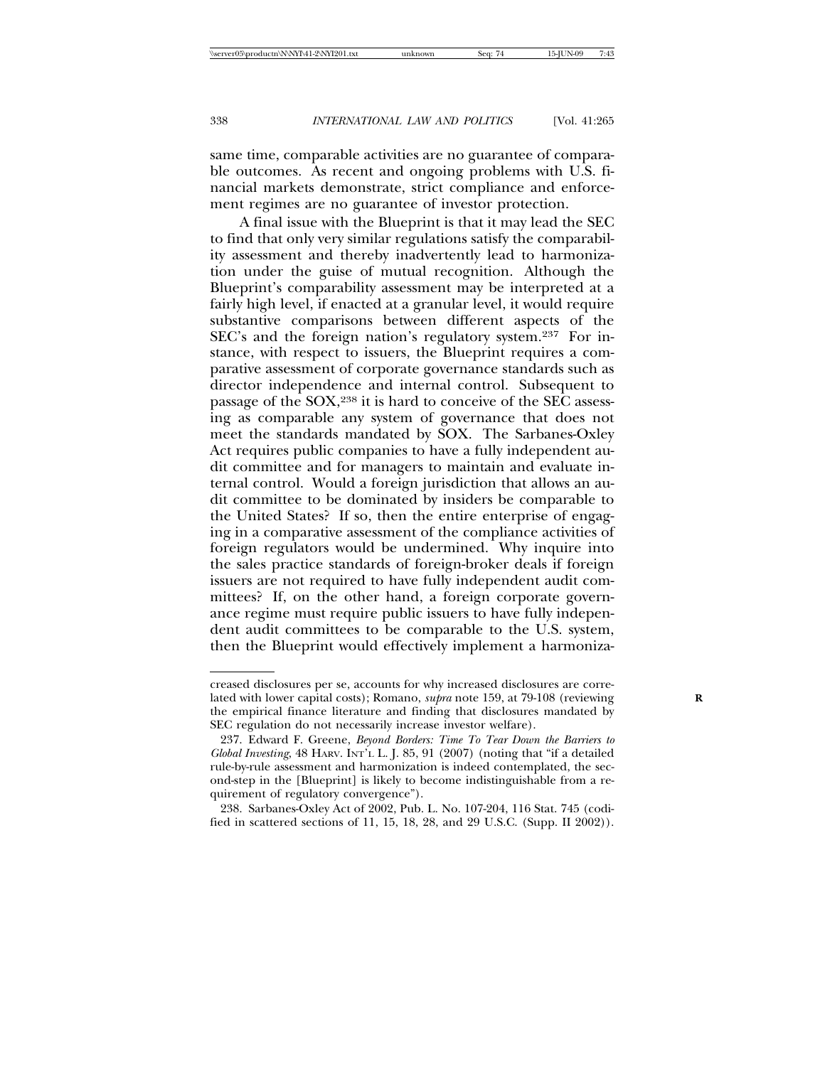same time, comparable activities are no guarantee of comparable outcomes. As recent and ongoing problems with U.S. financial markets demonstrate, strict compliance and enforcement regimes are no guarantee of investor protection.

A final issue with the Blueprint is that it may lead the SEC to find that only very similar regulations satisfy the comparability assessment and thereby inadvertently lead to harmonization under the guise of mutual recognition. Although the Blueprint's comparability assessment may be interpreted at a fairly high level, if enacted at a granular level, it would require substantive comparisons between different aspects of the SEC's and the foreign nation's regulatory system.237 For instance, with respect to issuers, the Blueprint requires a comparative assessment of corporate governance standards such as director independence and internal control. Subsequent to passage of the SOX,238 it is hard to conceive of the SEC assessing as comparable any system of governance that does not meet the standards mandated by SOX. The Sarbanes-Oxley Act requires public companies to have a fully independent audit committee and for managers to maintain and evaluate internal control. Would a foreign jurisdiction that allows an audit committee to be dominated by insiders be comparable to the United States? If so, then the entire enterprise of engaging in a comparative assessment of the compliance activities of foreign regulators would be undermined. Why inquire into the sales practice standards of foreign-broker deals if foreign issuers are not required to have fully independent audit committees? If, on the other hand, a foreign corporate governance regime must require public issuers to have fully independent audit committees to be comparable to the U.S. system, then the Blueprint would effectively implement a harmoniza-

creased disclosures per se, accounts for why increased disclosures are correlated with lower capital costs); Romano, *supra* note 159, at 79-108 (reviewing the empirical finance literature and finding that disclosures mandated by SEC regulation do not necessarily increase investor welfare).

<sup>237.</sup> Edward F. Greene, *Beyond Borders: Time To Tear Down the Barriers to Global Investing*, 48 HARV. INT'L L. J. 85, 91 (2007) (noting that "if a detailed rule-by-rule assessment and harmonization is indeed contemplated, the second-step in the [Blueprint] is likely to become indistinguishable from a requirement of regulatory convergence").

<sup>238.</sup> Sarbanes-Oxley Act of 2002, Pub. L. No. 107-204, 116 Stat. 745 (codified in scattered sections of 11, 15, 18, 28, and 29 U.S.C. (Supp. II 2002)).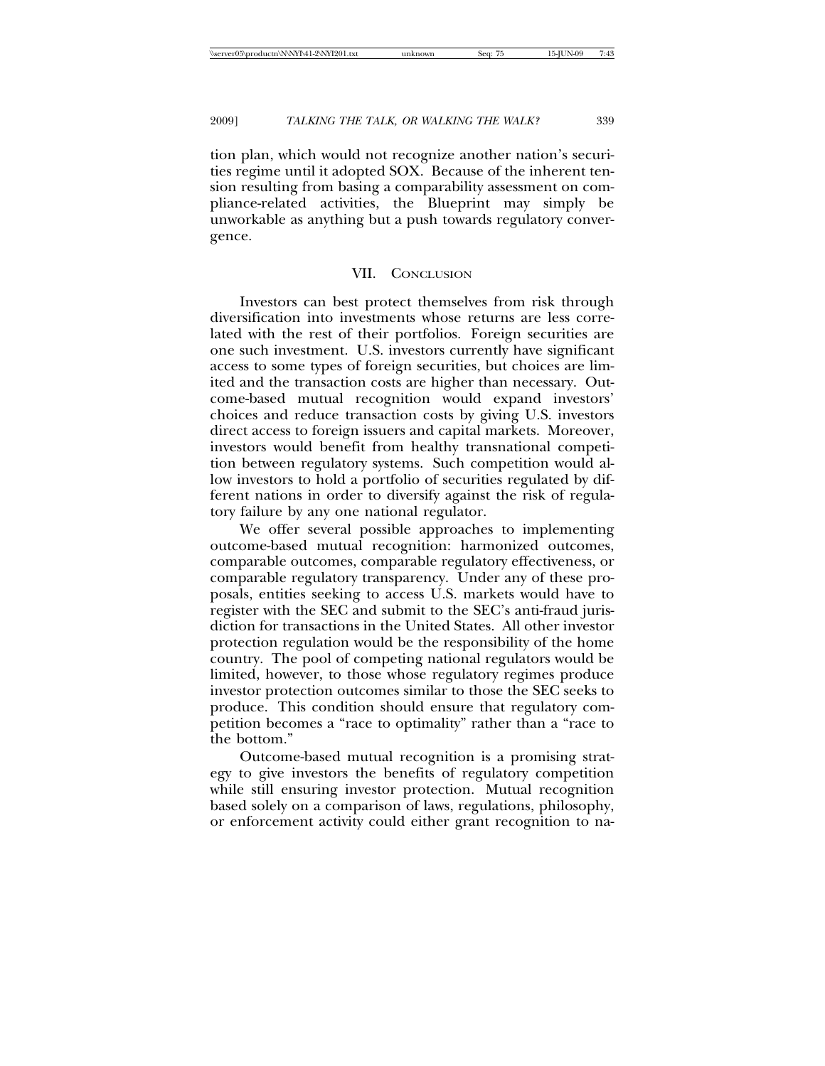tion plan, which would not recognize another nation's securities regime until it adopted SOX. Because of the inherent tension resulting from basing a comparability assessment on compliance-related activities, the Blueprint may simply be unworkable as anything but a push towards regulatory convergence.

## VII. CONCLUSION

Investors can best protect themselves from risk through diversification into investments whose returns are less correlated with the rest of their portfolios. Foreign securities are one such investment. U.S. investors currently have significant access to some types of foreign securities, but choices are limited and the transaction costs are higher than necessary. Outcome-based mutual recognition would expand investors' choices and reduce transaction costs by giving U.S. investors direct access to foreign issuers and capital markets. Moreover, investors would benefit from healthy transnational competition between regulatory systems. Such competition would allow investors to hold a portfolio of securities regulated by different nations in order to diversify against the risk of regulatory failure by any one national regulator.

We offer several possible approaches to implementing outcome-based mutual recognition: harmonized outcomes, comparable outcomes, comparable regulatory effectiveness, or comparable regulatory transparency. Under any of these proposals, entities seeking to access U.S. markets would have to register with the SEC and submit to the SEC's anti-fraud jurisdiction for transactions in the United States. All other investor protection regulation would be the responsibility of the home country. The pool of competing national regulators would be limited, however, to those whose regulatory regimes produce investor protection outcomes similar to those the SEC seeks to produce. This condition should ensure that regulatory competition becomes a "race to optimality" rather than a "race to the bottom."

Outcome-based mutual recognition is a promising strategy to give investors the benefits of regulatory competition while still ensuring investor protection. Mutual recognition based solely on a comparison of laws, regulations, philosophy, or enforcement activity could either grant recognition to na